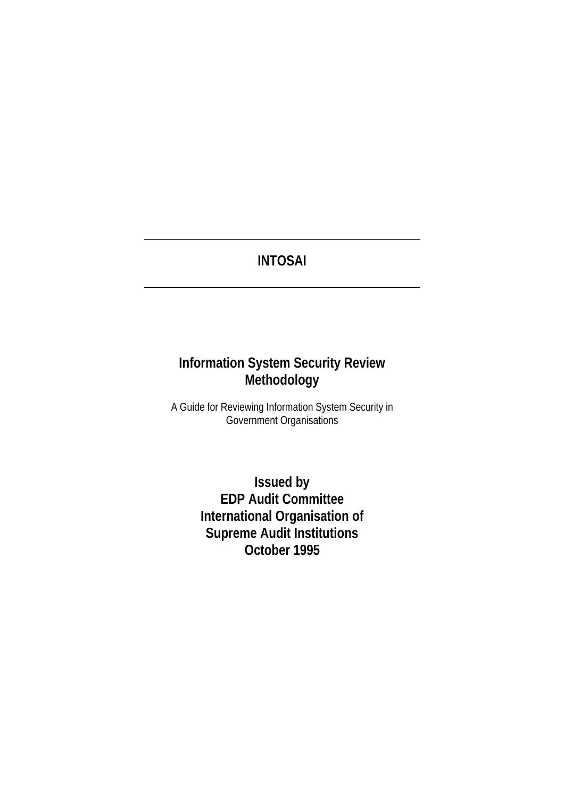# **INTOSAI**

# **Information System Security Review Methodology**

A Guide for Reviewing Information System Security in Government Organisations

> **Issued by EDP Audit Committee International Organisation of Supreme Audit Institutions October 1995**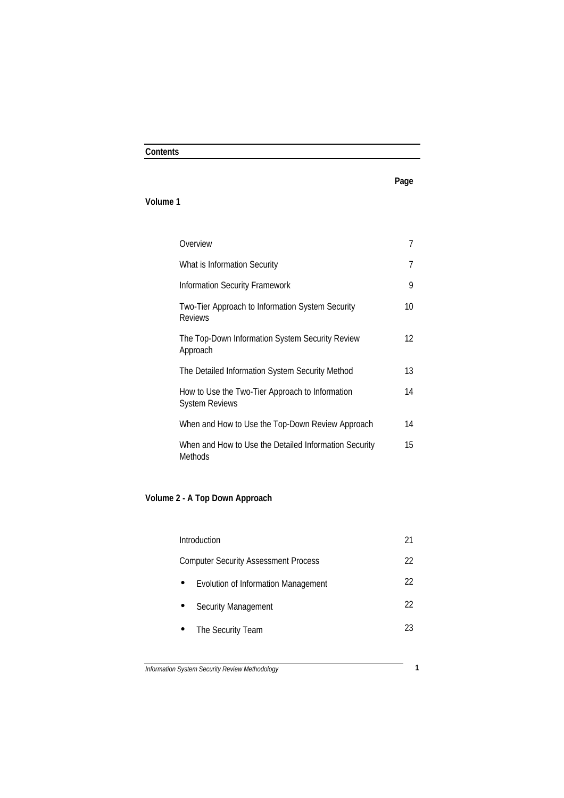# **Contents**

# **Page**

## **Volume 1**

| Overview                                                                 | 7  |
|--------------------------------------------------------------------------|----|
| What is Information Security                                             | 7  |
| Information Security Framework                                           | 9  |
| Two-Tier Approach to Information System Security<br><b>Reviews</b>       | 10 |
| The Top-Down Information System Security Review<br>Approach              | 12 |
| The Detailed Information System Security Method                          | 13 |
| How to Use the Two-Tier Approach to Information<br><b>System Reviews</b> | 14 |
| When and How to Use the Top-Down Review Approach                         | 14 |
| When and How to Use the Detailed Information Security<br><b>Methods</b>  | 15 |

# **Volume 2 - A Top Down Approach**

| 21 |
|----|
| 22 |
| 22 |
| 22 |
| 23 |
|    |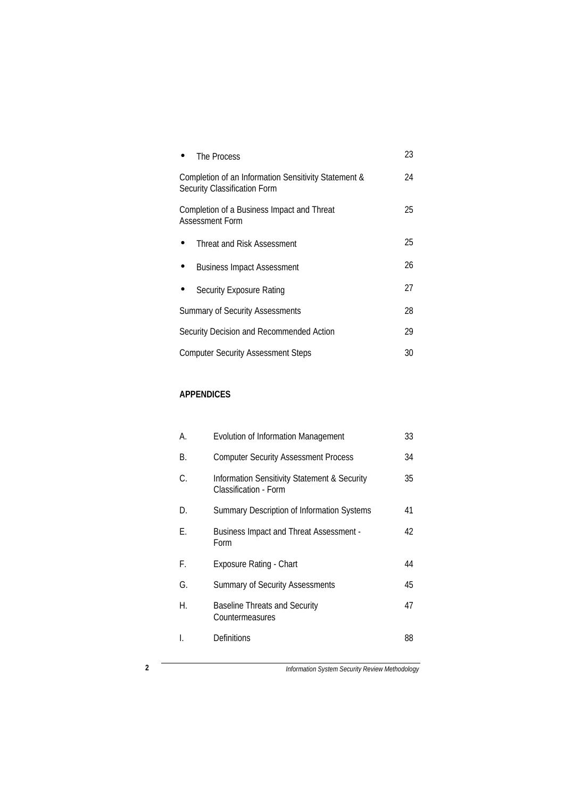| The Process                                                                          | 23 |
|--------------------------------------------------------------------------------------|----|
| Completion of an Information Sensitivity Statement &<br>Security Classification Form | 24 |
| Completion of a Business Impact and Threat<br>Assessment Form                        | 25 |
| Threat and Risk Assessment                                                           | 25 |
| <b>Business Impact Assessment</b>                                                    | 26 |
| Security Exposure Rating                                                             | 27 |
| <b>Summary of Security Assessments</b>                                               | 28 |
| Security Decision and Recommended Action                                             | 29 |
| <b>Computer Security Assessment Steps</b>                                            | 30 |

## **APPENDICES**

| А. | Evolution of Information Management                                   | 33 |
|----|-----------------------------------------------------------------------|----|
| В. | <b>Computer Security Assessment Process</b>                           | 34 |
| C. | Information Sensitivity Statement & Security<br>Classification - Form | 35 |
| D. | Summary Description of Information Systems                            | 41 |
| Е. | <b>Business Impact and Threat Assessment -</b><br>Form                | 42 |
| F. | <b>Exposure Rating - Chart</b>                                        | 44 |
| G. | <b>Summary of Security Assessments</b>                                | 45 |
| Н. | <b>Baseline Threats and Security</b><br>Countermeasures               | 47 |
| L  | <b>Definitions</b>                                                    | 88 |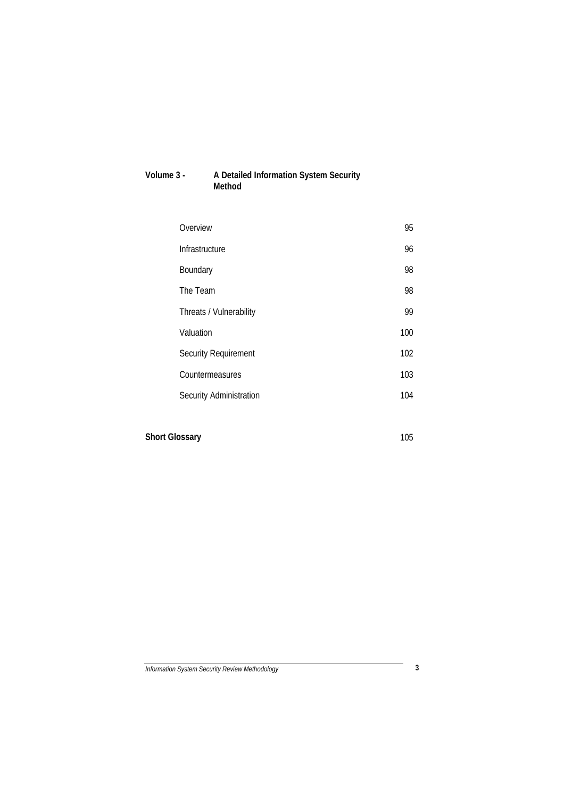## **Volume 3 - A Detailed Information System Security Method**

| Overview                    | 95  |
|-----------------------------|-----|
| Infrastructure              | 96  |
| Boundary                    | 98  |
| The Team                    | 98  |
| Threats / Vulnerability     | 99  |
| Valuation                   | 100 |
| <b>Security Requirement</b> | 102 |
| Countermeasures             | 103 |
| Security Administration     | 104 |
|                             |     |

**Short Glossary** 105

*Information System Security Review Methodology* **3**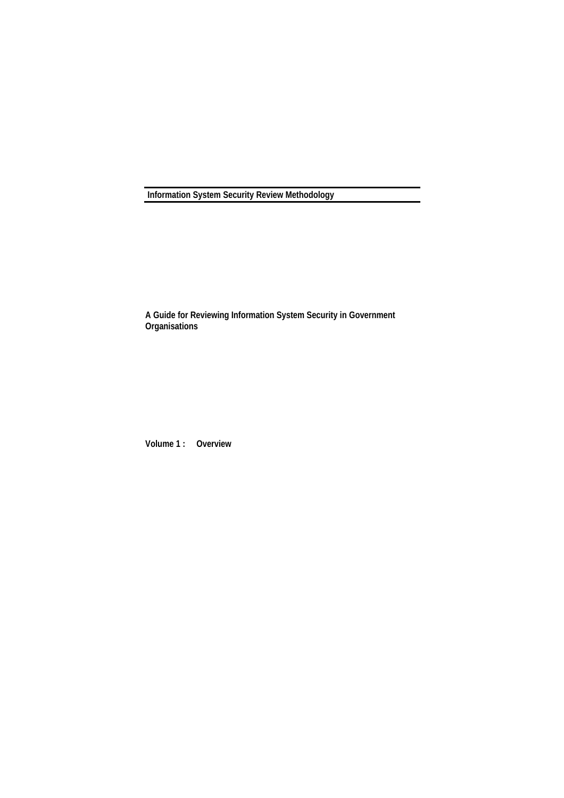**Information System Security Review Methodology**

**A Guide for Reviewing Information System Security in Government Organisations**

**Volume 1 : Overview**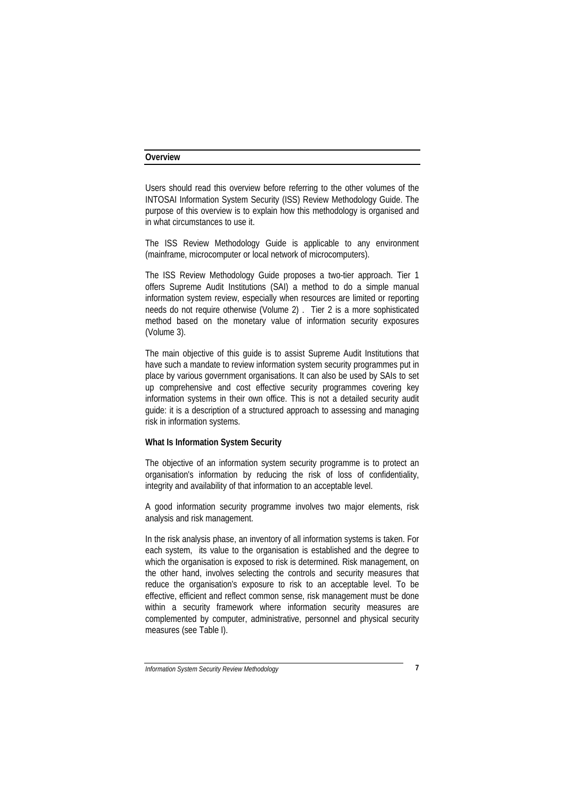#### **Overview**

Users should read this overview before referring to the other volumes of the INTOSAI Information System Security (ISS) Review Methodology Guide. The purpose of this overview is to explain how this methodology is organised and in what circumstances to use it.

The ISS Review Methodology Guide is applicable to any environment (mainframe, microcomputer or local network of microcomputers).

The ISS Review Methodology Guide proposes a two-tier approach. Tier 1 offers Supreme Audit Institutions (SAI) a method to do a simple manual information system review, especially when resources are limited or reporting needs do not require otherwise (Volume 2) . Tier 2 is a more sophisticated method based on the monetary value of information security exposures (Volume 3).

The main objective of this guide is to assist Supreme Audit Institutions that have such a mandate to review information system security programmes put in place by various government organisations. It can also be used by SAIs to set up comprehensive and cost effective security programmes covering key information systems in their own office. This is not a detailed security audit guide: it is a description of a structured approach to assessing and managing risk in information systems.

## **What Is Information System Security**

The objective of an information system security programme is to protect an organisation's information by reducing the risk of loss of confidentiality, integrity and availability of that information to an acceptable level.

A good information security programme involves two major elements, risk analysis and risk management.

In the risk analysis phase, an inventory of all information systems is taken. For each system, its value to the organisation is established and the degree to which the organisation is exposed to risk is determined. Risk management, on the other hand, involves selecting the controls and security measures that reduce the organisation's exposure to risk to an acceptable level. To be effective, efficient and reflect common sense, risk management must be done within a security framework where information security measures are complemented by computer, administrative, personnel and physical security measures (see Table I).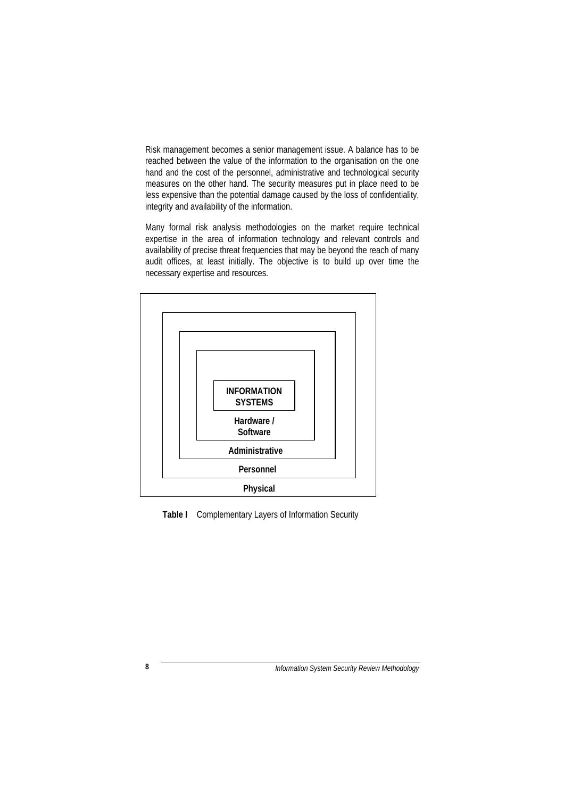Risk management becomes a senior management issue. A balance has to be reached between the value of the information to the organisation on the one hand and the cost of the personnel, administrative and technological security measures on the other hand. The security measures put in place need to be less expensive than the potential damage caused by the loss of confidentiality, integrity and availability of the information.

Many formal risk analysis methodologies on the market require technical expertise in the area of information technology and relevant controls and availability of precise threat frequencies that may be beyond the reach of many audit offices, at least initially. The objective is to build up over time the necessary expertise and resources.



**Table I** Complementary Layers of Information Security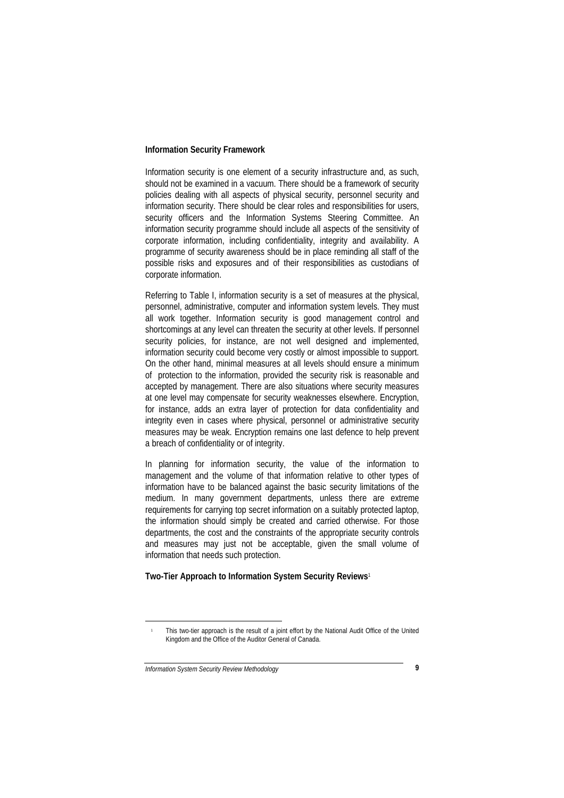#### **Information Security Framework**

Information security is one element of a security infrastructure and, as such, should not be examined in a vacuum. There should be a framework of security policies dealing with all aspects of physical security, personnel security and information security. There should be clear roles and responsibilities for users, security officers and the Information Systems Steering Committee. An information security programme should include all aspects of the sensitivity of corporate information, including confidentiality, integrity and availability. A programme of security awareness should be in place reminding all staff of the possible risks and exposures and of their responsibilities as custodians of corporate information.

Referring to Table I, information security is a set of measures at the physical, personnel, administrative, computer and information system levels. They must all work together. Information security is good management control and shortcomings at any level can threaten the security at other levels. If personnel security policies, for instance, are not well designed and implemented, information security could become very costly or almost impossible to support. On the other hand, minimal measures at all levels should ensure a minimum of protection to the information, provided the security risk is reasonable and accepted by management. There are also situations where security measures at one level may compensate for security weaknesses elsewhere. Encryption, for instance, adds an extra layer of protection for data confidentiality and integrity even in cases where physical, personnel or administrative security measures may be weak. Encryption remains one last defence to help prevent a breach of confidentiality or of integrity.

In planning for information security, the value of the information to management and the volume of that information relative to other types of information have to be balanced against the basic security limitations of the medium. In many government departments, unless there are extreme requirements for carrying top secret information on a suitably protected laptop, the information should simply be created and carried otherwise. For those departments, the cost and the constraints of the appropriate security controls and measures may just not be acceptable, given the small volume of information that needs such protection.

### **Two-Tier Approach to Information System Security Reviews**<sup>1</sup>

<sup>1</sup> This two-tier approach is the result of a joint effort by the National Audit Office of the United Kingdom and the Office of the Auditor General of Canada.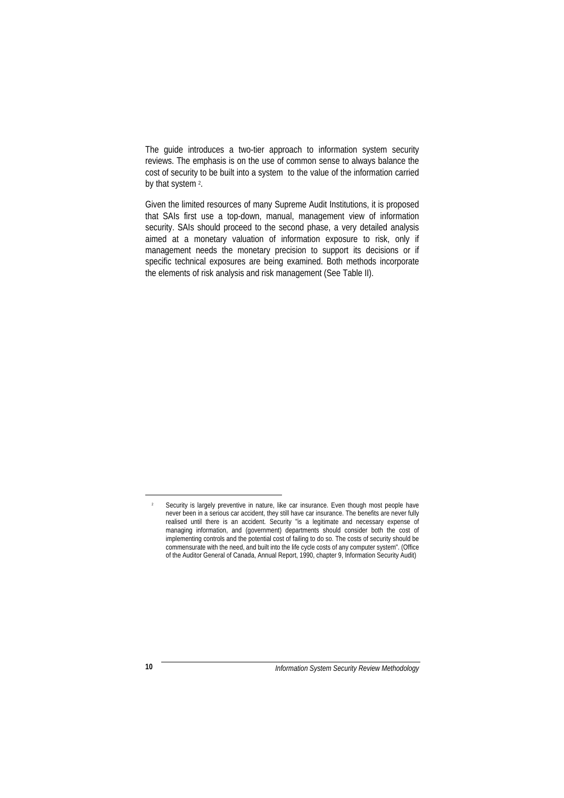The guide introduces a two-tier approach to information system security reviews. The emphasis is on the use of common sense to always balance the cost of security to be built into a system to the value of the information carried by that system 2.

Given the limited resources of many Supreme Audit Institutions, it is proposed that SAIs first use a top-down, manual, management view of information security. SAIs should proceed to the second phase, a very detailed analysis aimed at a monetary valuation of information exposure to risk, only if management needs the monetary precision to support its decisions or if specific technical exposures are being examined. Both methods incorporate the elements of risk analysis and risk management (See Table II).

<sup>&</sup>lt;sup>2</sup> Security is largely preventive in nature, like car insurance. Even though most people have never been in a serious car accident, they still have car insurance. The benefits are never fully realised until there is an accident. Security "is a legitimate and necessary expense of managing information, and (government) departments should consider both the cost of implementing controls and the potential cost of failing to do so. The costs of security should be commensurate with the need, and built into the life cycle costs of any computer system". (Office of the Auditor General of Canada, Annual Report, 1990, chapter 9, Information Security Audit)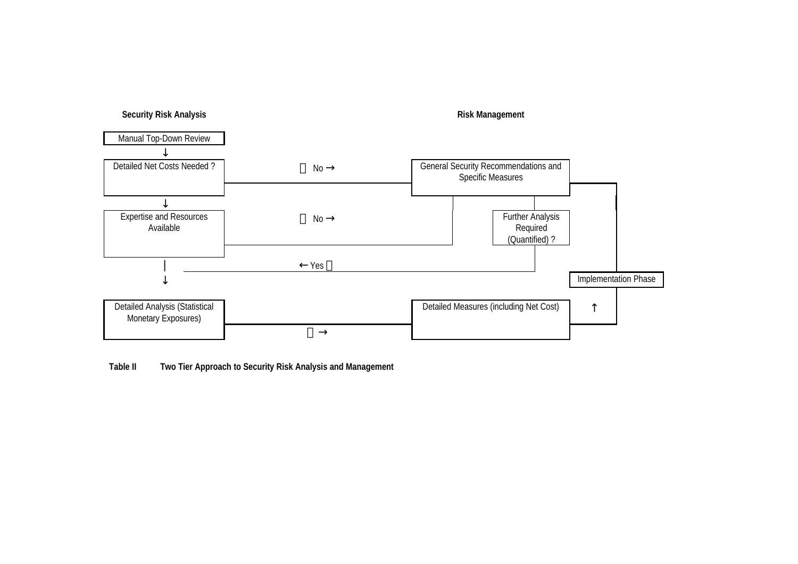

**Table II Two Tier Approach to Security Risk Analysis and Management**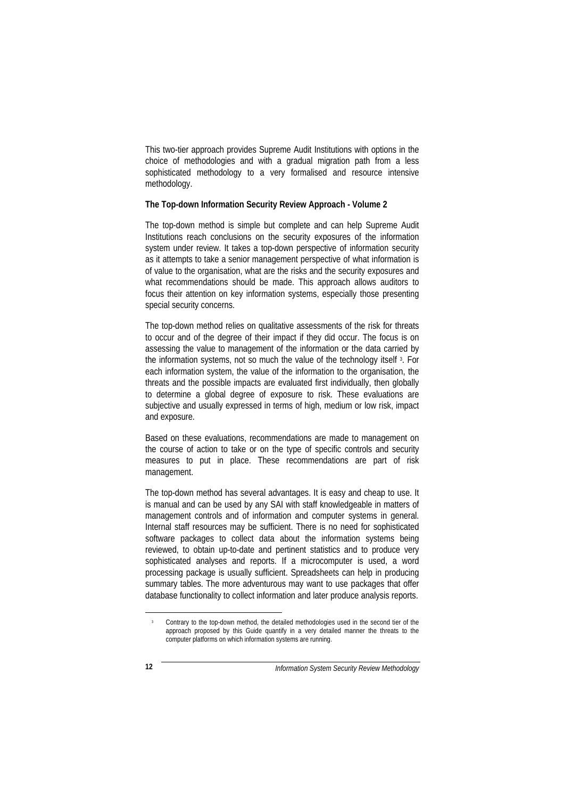This two-tier approach provides Supreme Audit Institutions with options in the choice of methodologies and with a gradual migration path from a less sophisticated methodology to a very formalised and resource intensive methodology.

#### **The Top-down Information Security Review Approach - Volume 2**

The top-down method is simple but complete and can help Supreme Audit Institutions reach conclusions on the security exposures of the information system under review. It takes a top-down perspective of information security as it attempts to take a senior management perspective of what information is of value to the organisation, what are the risks and the security exposures and what recommendations should be made. This approach allows auditors to focus their attention on key information systems, especially those presenting special security concerns.

The top-down method relies on qualitative assessments of the risk for threats to occur and of the degree of their impact if they did occur. The focus is on assessing the value to management of the information or the data carried by the information systems, not so much the value of the technology itself 3. For each information system, the value of the information to the organisation, the threats and the possible impacts are evaluated first individually, then globally to determine a global degree of exposure to risk. These evaluations are subjective and usually expressed in terms of high, medium or low risk, impact and exposure.

Based on these evaluations, recommendations are made to management on the course of action to take or on the type of specific controls and security measures to put in place. These recommendations are part of risk management.

The top-down method has several advantages. It is easy and cheap to use. It is manual and can be used by any SAI with staff knowledgeable in matters of management controls and of information and computer systems in general. Internal staff resources may be sufficient. There is no need for sophisticated software packages to collect data about the information systems being reviewed, to obtain up-to-date and pertinent statistics and to produce very sophisticated analyses and reports. If a microcomputer is used, a word processing package is usually sufficient. Spreadsheets can help in producing summary tables. The more adventurous may want to use packages that offer database functionality to collect information and later produce analysis reports.

<sup>3</sup> Contrary to the top-down method, the detailed methodologies used in the second tier of the approach proposed by this Guide quantify in a very detailed manner the threats to the computer platforms on which information systems are running.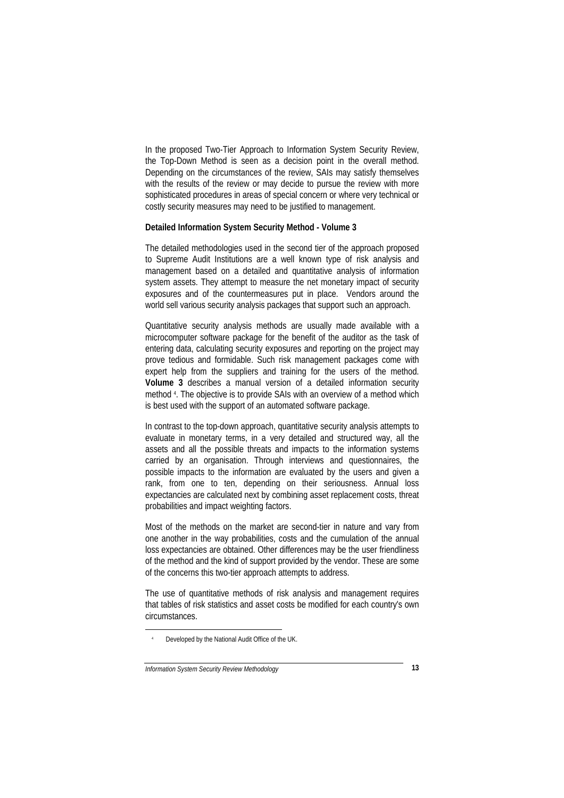In the proposed Two-Tier Approach to Information System Security Review, the Top-Down Method is seen as a decision point in the overall method. Depending on the circumstances of the review, SAIs may satisfy themselves with the results of the review or may decide to pursue the review with more sophisticated procedures in areas of special concern or where very technical or costly security measures may need to be justified to management.

#### **Detailed Information System Security Method - Volume 3**

The detailed methodologies used in the second tier of the approach proposed to Supreme Audit Institutions are a well known type of risk analysis and management based on a detailed and quantitative analysis of information system assets. They attempt to measure the net monetary impact of security exposures and of the countermeasures put in place. Vendors around the world sell various security analysis packages that support such an approach.

Quantitative security analysis methods are usually made available with a microcomputer software package for the benefit of the auditor as the task of entering data, calculating security exposures and reporting on the project may prove tedious and formidable. Such risk management packages come with expert help from the suppliers and training for the users of the method. **Volume 3** describes a manual version of a detailed information security method <sup>4</sup> . The objective is to provide SAIs with an overview of a method which is best used with the support of an automated software package.

In contrast to the top-down approach, quantitative security analysis attempts to evaluate in monetary terms, in a very detailed and structured way, all the assets and all the possible threats and impacts to the information systems carried by an organisation. Through interviews and questionnaires, the possible impacts to the information are evaluated by the users and given a rank, from one to ten, depending on their seriousness. Annual loss expectancies are calculated next by combining asset replacement costs, threat probabilities and impact weighting factors.

Most of the methods on the market are second-tier in nature and vary from one another in the way probabilities, costs and the cumulation of the annual loss expectancies are obtained. Other differences may be the user friendliness of the method and the kind of support provided by the vendor. These are some of the concerns this two-tier approach attempts to address.

The use of quantitative methods of risk analysis and management requires that tables of risk statistics and asset costs be modified for each country's own circumstances.

<sup>4</sup> Developed by the National Audit Office of the UK.

*Information System Security Review Methodology* **13**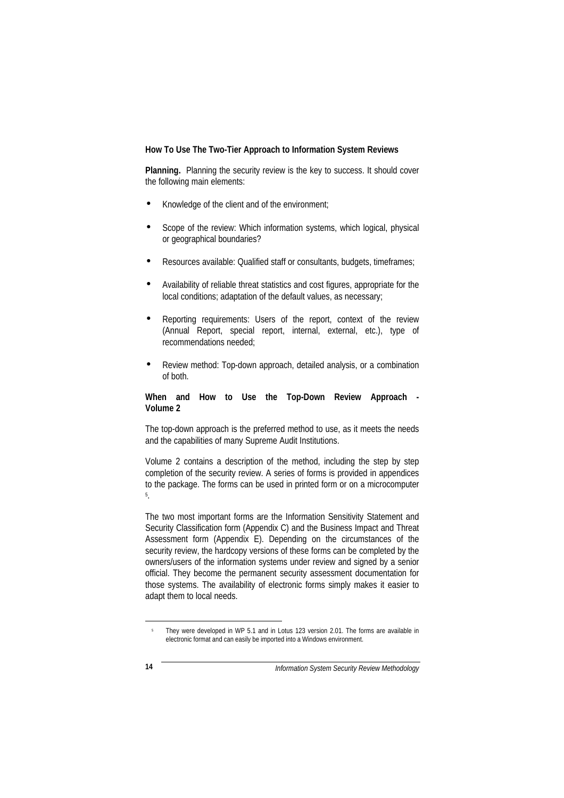#### **How To Use The Two-Tier Approach to Information System Reviews**

**Planning.** Planning the security review is the key to success. It should cover the following main elements:

- Knowledge of the client and of the environment;
- Scope of the review: Which information systems, which logical, physical or geographical boundaries?
- Resources available: Qualified staff or consultants, budgets, timeframes;
- Availability of reliable threat statistics and cost figures, appropriate for the local conditions; adaptation of the default values, as necessary;
- Reporting requirements: Users of the report, context of the review (Annual Report, special report, internal, external, etc.), type of recommendations needed;
- Review method: Top-down approach, detailed analysis, or a combination of both.

#### **When and How to Use the Top-Down Review Approach - Volume 2**

The top-down approach is the preferred method to use, as it meets the needs and the capabilities of many Supreme Audit Institutions.

Volume 2 contains a description of the method, including the step by step completion of the security review. A series of forms is provided in appendices to the package. The forms can be used in printed form or on a microcomputer 5 .

The two most important forms are the Information Sensitivity Statement and Security Classification form (Appendix C) and the Business Impact and Threat Assessment form (Appendix E). Depending on the circumstances of the security review, the hardcopy versions of these forms can be completed by the owners/users of the information systems under review and signed by a senior official. They become the permanent security assessment documentation for those systems. The availability of electronic forms simply makes it easier to adapt them to local needs.

<sup>&</sup>lt;sup>5</sup> They were developed in WP 5.1 and in Lotus 123 version 2.01. The forms are available in electronic format and can easily be imported into a Windows environment.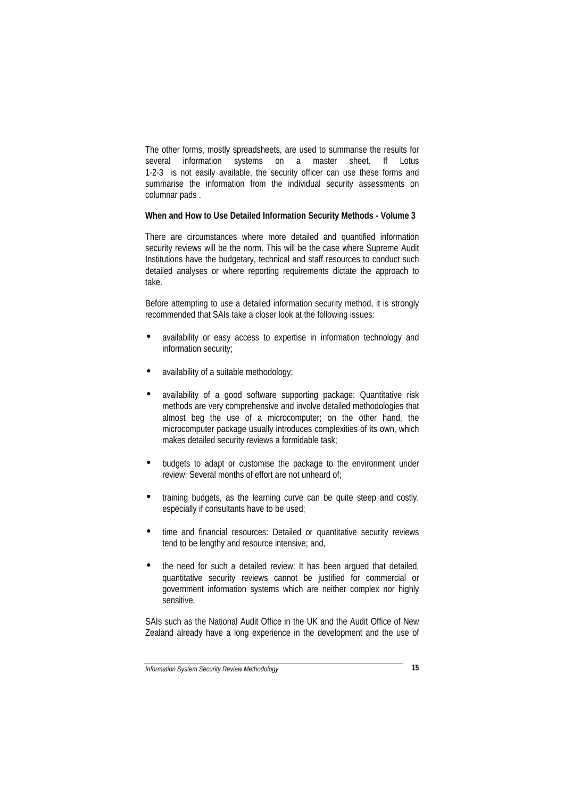The other forms, mostly spreadsheets, are used to summarise the results for several information systems on a master sheet. If Lotus 1-2-3 is not easily available, the security officer can use these forms and summarise the information from the individual security assessments on columnar pads .

#### **When and How to Use Detailed Information Security Methods - Volume 3**

There are circumstances where more detailed and quantified information security reviews will be the norm. This will be the case where Supreme Audit Institutions have the budgetary, technical and staff resources to conduct such detailed analyses or where reporting requirements dictate the approach to take.

Before attempting to use a detailed information security method, it is strongly recommended that SAIs take a closer look at the following issues:

- availability or easy access to expertise in information technology and information security;
- availability of a suitable methodology;
- availability of a good software supporting package: Quantitative risk methods are very comprehensive and involve detailed methodologies that almost beg the use of a microcomputer; on the other hand, the microcomputer package usually introduces complexities of its own, which makes detailed security reviews a formidable task;
- budgets to adapt or customise the package to the environment under review: Several months of effort are not unheard of;
- training budgets, as the learning curve can be quite steep and costly, especially if consultants have to be used;
- time and financial resources: Detailed or quantitative security reviews tend to be lengthy and resource intensive; and,
- the need for such a detailed review: It has been argued that detailed, quantitative security reviews cannot be justified for commercial or government information systems which are neither complex nor highly sensitive.

SAIs such as the National Audit Office in the UK and the Audit Office of New Zealand already have a long experience in the development and the use of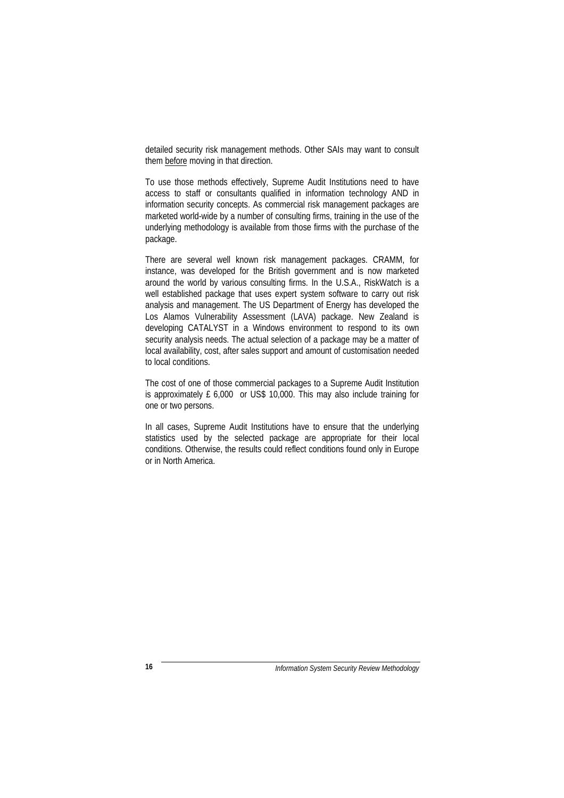detailed security risk management methods. Other SAIs may want to consult them before moving in that direction.

To use those methods effectively, Supreme Audit Institutions need to have access to staff or consultants qualified in information technology AND in information security concepts. As commercial risk management packages are marketed world-wide by a number of consulting firms, training in the use of the underlying methodology is available from those firms with the purchase of the package.

There are several well known risk management packages. CRAMM, for instance, was developed for the British government and is now marketed around the world by various consulting firms. In the U.S.A., RiskWatch is a well established package that uses expert system software to carry out risk analysis and management. The US Department of Energy has developed the Los Alamos Vulnerability Assessment (LAVA) package. New Zealand is developing CATALYST in a Windows environment to respond to its own security analysis needs. The actual selection of a package may be a matter of local availability, cost, after sales support and amount of customisation needed to local conditions.

The cost of one of those commercial packages to a Supreme Audit Institution is approximately £ 6,000 or US\$ 10,000. This may also include training for one or two persons.

In all cases, Supreme Audit Institutions have to ensure that the underlying statistics used by the selected package are appropriate for their local conditions. Otherwise, the results could reflect conditions found only in Europe or in North America.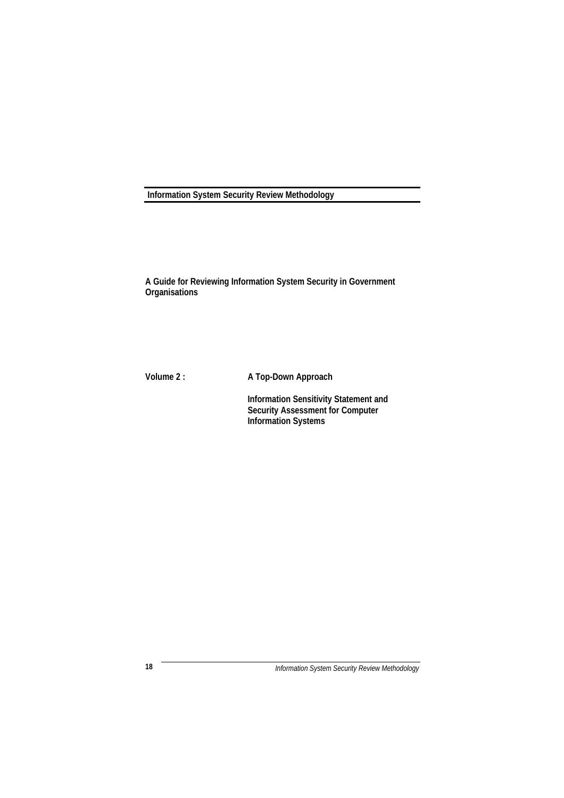## **Information System Security Review Methodology**

**A Guide for Reviewing Information System Security in Government Organisations**

**Volume 2 : A Top-Down Approach**

**Information Sensitivity Statement and Security Assessment for Computer Information Systems**

*Information System Security Review Methodology* **18**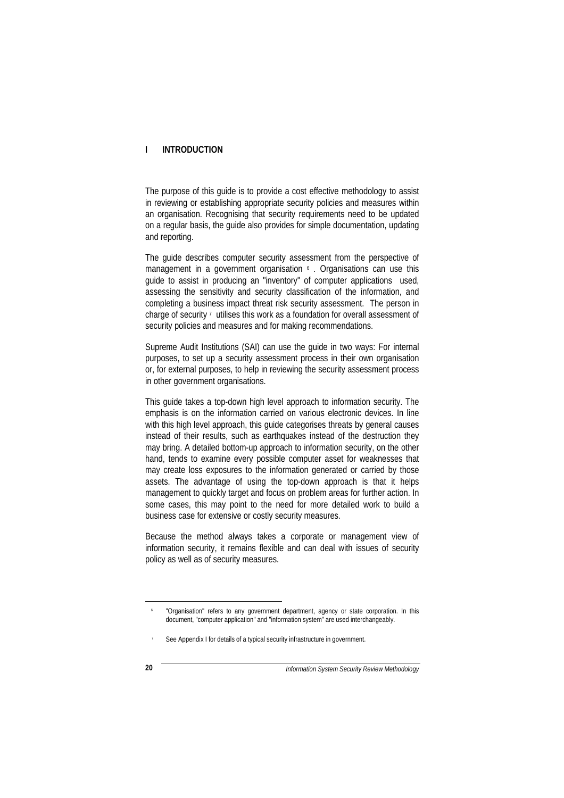#### **I INTRODUCTION**

The purpose of this guide is to provide a cost effective methodology to assist in reviewing or establishing appropriate security policies and measures within an organisation. Recognising that security requirements need to be updated on a regular basis, the guide also provides for simple documentation, updating and reporting.

The guide describes computer security assessment from the perspective of management in a government organisation <sup>6</sup>. Organisations can use this guide to assist in producing an "inventory" of computer applications used, assessing the sensitivity and security classification of the information, and completing a business impact threat risk security assessment. The person in charge of security  $\frac{7}{1}$  utilises this work as a foundation for overall assessment of security policies and measures and for making recommendations.

Supreme Audit Institutions (SAI) can use the guide in two ways: For internal purposes, to set up a security assessment process in their own organisation or, for external purposes, to help in reviewing the security assessment process in other government organisations.

This guide takes a top-down high level approach to information security. The emphasis is on the information carried on various electronic devices. In line with this high level approach, this guide categorises threats by general causes instead of their results, such as earthquakes instead of the destruction they may bring. A detailed bottom-up approach to information security, on the other hand, tends to examine every possible computer asset for weaknesses that may create loss exposures to the information generated or carried by those assets. The advantage of using the top-down approach is that it helps management to quickly target and focus on problem areas for further action. In some cases, this may point to the need for more detailed work to build a business case for extensive or costly security measures.

Because the method always takes a corporate or management view of information security, it remains flexible and can deal with issues of security policy as well as of security measures.

<sup>6</sup> "Organisation" refers to any government department, agency or state corporation. In this document, "computer application" and "information system" are used interchangeably.

See Appendix I for details of a typical security infrastructure in government.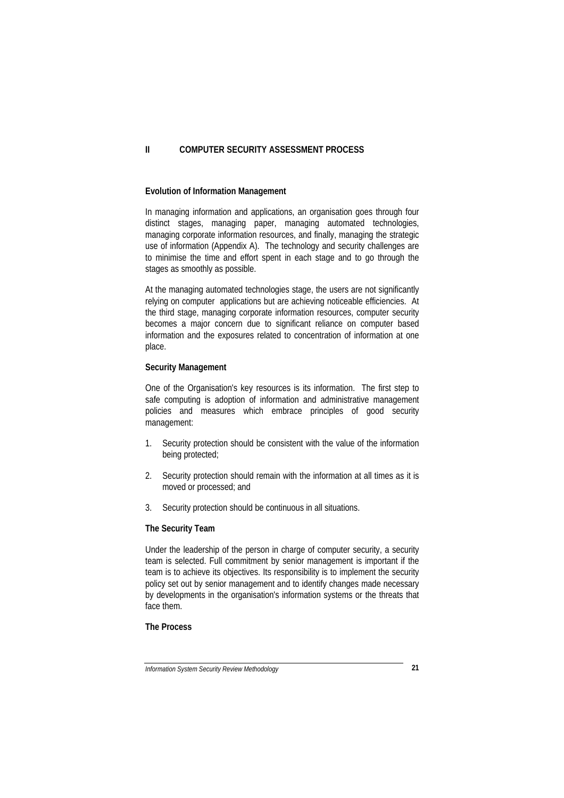#### **II COMPUTER SECURITY ASSESSMENT PROCESS**

#### **Evolution of Information Management**

In managing information and applications, an organisation goes through four distinct stages, managing paper, managing automated technologies, managing corporate information resources, and finally, managing the strategic use of information (Appendix A). The technology and security challenges are to minimise the time and effort spent in each stage and to go through the stages as smoothly as possible.

At the managing automated technologies stage, the users are not significantly relying on computer applications but are achieving noticeable efficiencies. At the third stage, managing corporate information resources, computer security becomes a major concern due to significant reliance on computer based information and the exposures related to concentration of information at one place.

#### **Security Management**

One of the Organisation's key resources is its information. The first step to safe computing is adoption of information and administrative management policies and measures which embrace principles of good security management:

- 1. Security protection should be consistent with the value of the information being protected;
- 2. Security protection should remain with the information at all times as it is moved or processed; and
- 3. Security protection should be continuous in all situations.

#### **The Security Team**

Under the leadership of the person in charge of computer security, a security team is selected. Full commitment by senior management is important if the team is to achieve its objectives. Its responsibility is to implement the security policy set out by senior management and to identify changes made necessary by developments in the organisation's information systems or the threats that face them.

## **The Process**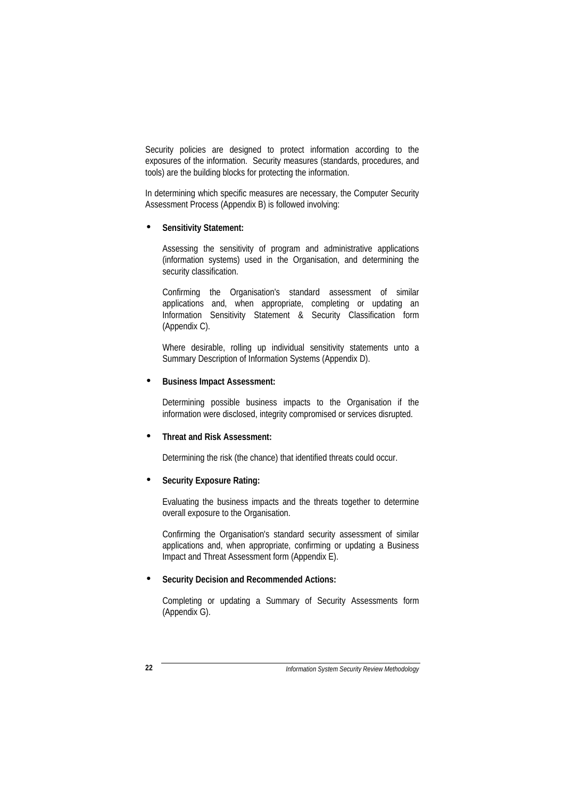Security policies are designed to protect information according to the exposures of the information. Security measures (standards, procedures, and tools) are the building blocks for protecting the information.

In determining which specific measures are necessary, the Computer Security Assessment Process (Appendix B) is followed involving:

#### • **Sensitivity Statement:**

Assessing the sensitivity of program and administrative applications (information systems) used in the Organisation, and determining the security classification.

Confirming the Organisation's standard assessment of similar applications and, when appropriate, completing or updating an Information Sensitivity Statement & Security Classification form (Appendix C).

Where desirable, rolling up individual sensitivity statements unto a Summary Description of Information Systems (Appendix D).

## • **Business Impact Assessment:**

Determining possible business impacts to the Organisation if the information were disclosed, integrity compromised or services disrupted.

## • **Threat and Risk Assessment:**

Determining the risk (the chance) that identified threats could occur.

## • **Security Exposure Rating:**

Evaluating the business impacts and the threats together to determine overall exposure to the Organisation.

Confirming the Organisation's standard security assessment of similar applications and, when appropriate, confirming or updating a Business Impact and Threat Assessment form (Appendix E).

## • **Security Decision and Recommended Actions:**

Completing or updating a Summary of Security Assessments form (Appendix G).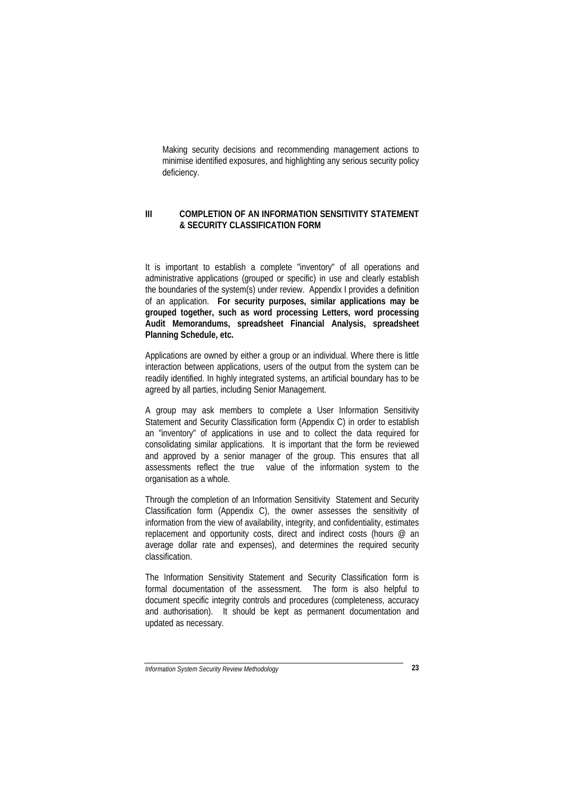Making security decisions and recommending management actions to minimise identified exposures, and highlighting any serious security policy deficiency.

#### **III COMPLETION OF AN INFORMATION SENSITIVITY STATEMENT & SECURITY CLASSIFICATION FORM**

It is important to establish a complete "inventory" of all operations and administrative applications (grouped or specific) in use and clearly establish the boundaries of the system(s) under review. Appendix I provides a definition of an application. **For security purposes, similar applications may be grouped together, such as word processing Letters, word processing Audit Memorandums, spreadsheet Financial Analysis, spreadsheet Planning Schedule, etc.**

Applications are owned by either a group or an individual. Where there is little interaction between applications, users of the output from the system can be readily identified. In highly integrated systems, an artificial boundary has to be agreed by all parties, including Senior Management.

A group may ask members to complete a User Information Sensitivity Statement and Security Classification form (Appendix C) in order to establish an "inventory" of applications in use and to collect the data required for consolidating similar applications. It is important that the form be reviewed and approved by a senior manager of the group. This ensures that all assessments reflect the true value of the information system to the organisation as a whole.

Through the completion of an Information Sensitivity Statement and Security Classification form (Appendix C), the owner assesses the sensitivity of information from the view of availability, integrity, and confidentiality, estimates replacement and opportunity costs, direct and indirect costs (hours @ an average dollar rate and expenses), and determines the required security classification.

The Information Sensitivity Statement and Security Classification form is formal documentation of the assessment. The form is also helpful to document specific integrity controls and procedures (completeness, accuracy and authorisation). It should be kept as permanent documentation and updated as necessary.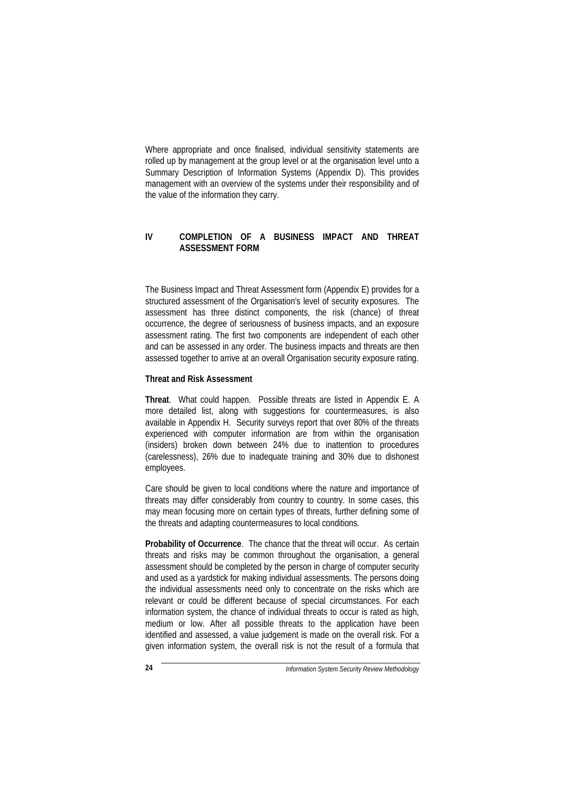Where appropriate and once finalised, individual sensitivity statements are rolled up by management at the group level or at the organisation level unto a Summary Description of Information Systems (Appendix D). This provides management with an overview of the systems under their responsibility and of the value of the information they carry.

## **IV COMPLETION OF A BUSINESS IMPACT AND THREAT ASSESSMENT FORM**

The Business Impact and Threat Assessment form (Appendix E) provides for a structured assessment of the Organisation's level of security exposures. The assessment has three distinct components, the risk (chance) of threat occurrence, the degree of seriousness of business impacts, and an exposure assessment rating. The first two components are independent of each other and can be assessed in any order. The business impacts and threats are then assessed together to arrive at an overall Organisation security exposure rating.

### **Threat and Risk Assessment**

**Threat**. What could happen. Possible threats are listed in Appendix E. A more detailed list, along with suggestions for countermeasures, is also available in Appendix H. Security surveys report that over 80% of the threats experienced with computer information are from within the organisation (insiders) broken down between 24% due to inattention to procedures (carelessness), 26% due to inadequate training and 30% due to dishonest employees.

Care should be given to local conditions where the nature and importance of threats may differ considerably from country to country. In some cases, this may mean focusing more on certain types of threats, further defining some of the threats and adapting countermeasures to local conditions.

**Probability of Occurrence**. The chance that the threat will occur. As certain threats and risks may be common throughout the organisation, a general assessment should be completed by the person in charge of computer security and used as a yardstick for making individual assessments. The persons doing the individual assessments need only to concentrate on the risks which are relevant or could be different because of special circumstances. For each information system, the chance of individual threats to occur is rated as high, medium or low. After all possible threats to the application have been identified and assessed, a value judgement is made on the overall risk. For a given information system, the overall risk is not the result of a formula that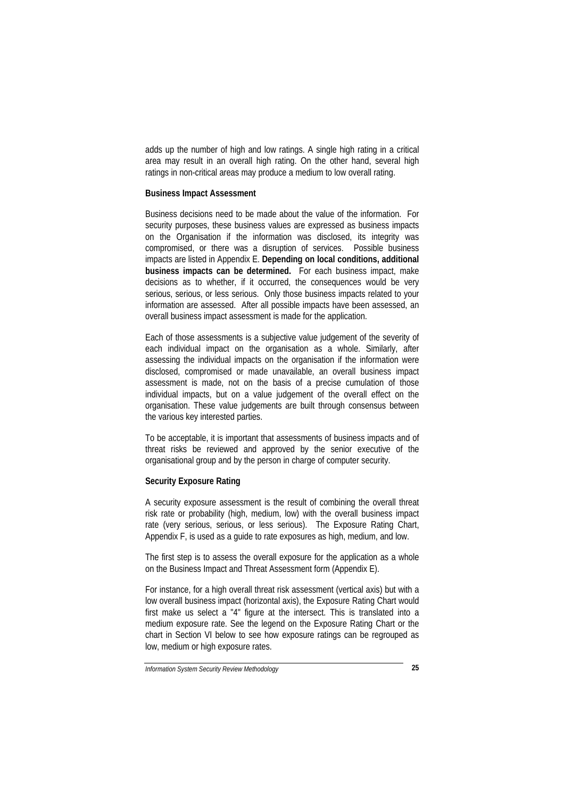adds up the number of high and low ratings. A single high rating in a critical area may result in an overall high rating. On the other hand, several high ratings in non-critical areas may produce a medium to low overall rating.

### **Business Impact Assessment**

Business decisions need to be made about the value of the information. For security purposes, these business values are expressed as business impacts on the Organisation if the information was disclosed, its integrity was compromised, or there was a disruption of services. Possible business impacts are listed in Appendix E. **Depending on local conditions, additional business impacts can be determined.** For each business impact, make decisions as to whether, if it occurred, the consequences would be very serious, serious, or less serious. Only those business impacts related to your information are assessed. After all possible impacts have been assessed, an overall business impact assessment is made for the application.

Each of those assessments is a subjective value judgement of the severity of each individual impact on the organisation as a whole. Similarly, after assessing the individual impacts on the organisation if the information were disclosed, compromised or made unavailable, an overall business impact assessment is made, not on the basis of a precise cumulation of those individual impacts, but on a value judgement of the overall effect on the organisation. These value judgements are built through consensus between the various key interested parties.

To be acceptable, it is important that assessments of business impacts and of threat risks be reviewed and approved by the senior executive of the organisational group and by the person in charge of computer security.

#### **Security Exposure Rating**

A security exposure assessment is the result of combining the overall threat risk rate or probability (high, medium, low) with the overall business impact rate (very serious, serious, or less serious). The Exposure Rating Chart, Appendix F, is used as a guide to rate exposures as high, medium, and low.

The first step is to assess the overall exposure for the application as a whole on the Business Impact and Threat Assessment form (Appendix E).

For instance, for a high overall threat risk assessment (vertical axis) but with a low overall business impact (horizontal axis), the Exposure Rating Chart would first make us select a "4" figure at the intersect. This is translated into a medium exposure rate. See the legend on the Exposure Rating Chart or the chart in Section VI below to see how exposure ratings can be regrouped as low, medium or high exposure rates.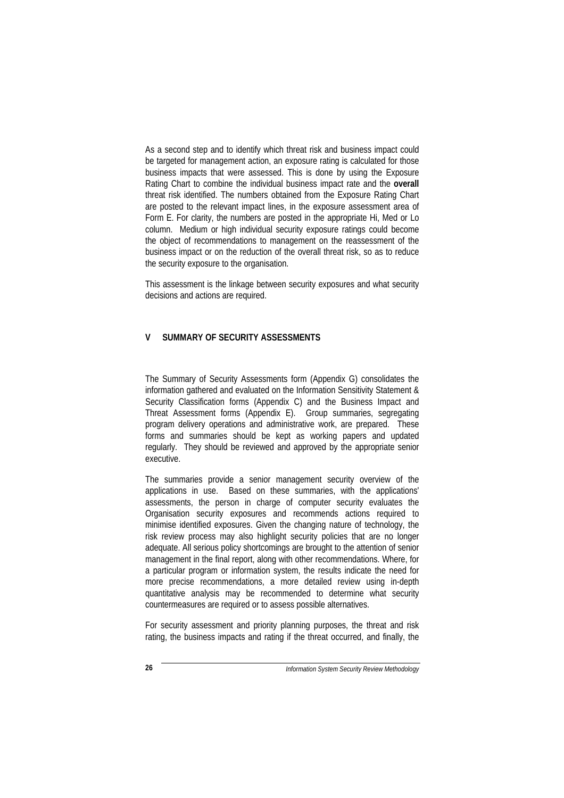As a second step and to identify which threat risk and business impact could be targeted for management action, an exposure rating is calculated for those business impacts that were assessed. This is done by using the Exposure Rating Chart to combine the individual business impact rate and the **overall** threat risk identified. The numbers obtained from the Exposure Rating Chart are posted to the relevant impact lines, in the exposure assessment area of Form E. For clarity, the numbers are posted in the appropriate Hi, Med or Lo column. Medium or high individual security exposure ratings could become the object of recommendations to management on the reassessment of the business impact or on the reduction of the overall threat risk, so as to reduce the security exposure to the organisation.

This assessment is the linkage between security exposures and what security decisions and actions are required.

## **V SUMMARY OF SECURITY ASSESSMENTS**

The Summary of Security Assessments form (Appendix G) consolidates the information gathered and evaluated on the Information Sensitivity Statement & Security Classification forms (Appendix C) and the Business Impact and Threat Assessment forms (Appendix E). Group summaries, segregating program delivery operations and administrative work, are prepared. These forms and summaries should be kept as working papers and updated regularly. They should be reviewed and approved by the appropriate senior executive.

The summaries provide a senior management security overview of the applications in use. Based on these summaries, with the applications' assessments, the person in charge of computer security evaluates the Organisation security exposures and recommends actions required to minimise identified exposures. Given the changing nature of technology, the risk review process may also highlight security policies that are no longer adequate. All serious policy shortcomings are brought to the attention of senior management in the final report, along with other recommendations. Where, for a particular program or information system, the results indicate the need for more precise recommendations, a more detailed review using in-depth quantitative analysis may be recommended to determine what security countermeasures are required or to assess possible alternatives.

For security assessment and priority planning purposes, the threat and risk rating, the business impacts and rating if the threat occurred, and finally, the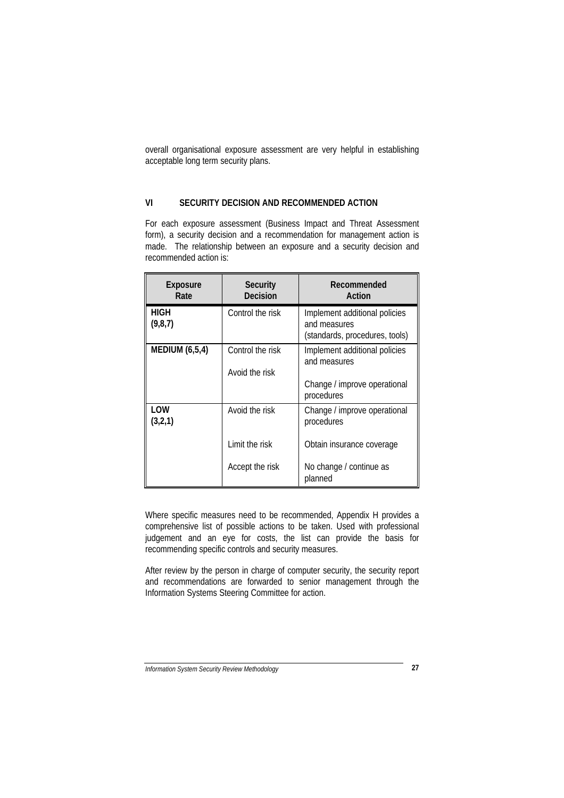overall organisational exposure assessment are very helpful in establishing acceptable long term security plans.

## **VI SECURITY DECISION AND RECOMMENDED ACTION**

For each exposure assessment (Business Impact and Threat Assessment form), a security decision and a recommendation for management action is made. The relationship between an exposure and a security decision and recommended action is:

| Exposure<br>Rate       | <b>Security</b><br>Decision        | Recommended<br>Action                                                           |
|------------------------|------------------------------------|---------------------------------------------------------------------------------|
| <b>HIGH</b><br>(9,8,7) | Control the risk                   | Implement additional policies<br>and measures<br>(standards, procedures, tools) |
| <b>MEDIUM (6,5,4)</b>  | Control the risk<br>Avoid the risk | Implement additional policies<br>and measures                                   |
|                        |                                    | Change / improve operational<br>procedures                                      |
| LOW<br>(3,2,1)         | Avoid the risk                     | Change / improve operational<br>procedures                                      |
|                        | Limit the risk                     | Obtain insurance coverage                                                       |
|                        | Accept the risk                    | No change / continue as<br>planned                                              |

Where specific measures need to be recommended, Appendix H provides a comprehensive list of possible actions to be taken. Used with professional judgement and an eye for costs, the list can provide the basis for recommending specific controls and security measures.

After review by the person in charge of computer security, the security report and recommendations are forwarded to senior management through the Information Systems Steering Committee for action.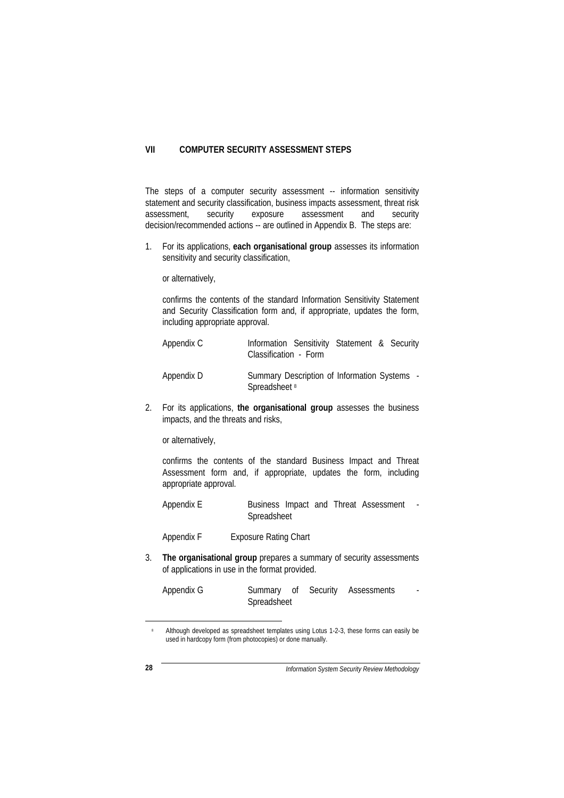#### **VII COMPUTER SECURITY ASSESSMENT STEPS**

The steps of a computer security assessment -- information sensitivity statement and security classification, business impacts assessment, threat risk assessment, security exposure assessment and security decision/recommended actions -- are outlined in Appendix B. The steps are:

1. For its applications, **each organisational group** assesses its information sensitivity and security classification,

or alternatively,

confirms the contents of the standard Information Sensitivity Statement and Security Classification form and, if appropriate, updates the form, including appropriate approval.

| Appendix C | Information Sensitivity Statement & Security<br>Classification - Form |  |  |
|------------|-----------------------------------------------------------------------|--|--|
| Appendix D | Summary Description of Information Systems -<br>Spreadsheet 8         |  |  |

2. For its applications, **the organisational group** assesses the business impacts, and the threats and risks,

or alternatively,

confirms the contents of the standard Business Impact and Threat Assessment form and, if appropriate, updates the form, including appropriate approval.

Appendix E Business Impact and Threat Assessment -Spreadsheet

Appendix F Exposure Rating Chart

3. **The organisational group** prepares a summary of security assessments of applications in use in the format provided.

| Appendix G |             |  | Summary of Security Assessments |  |
|------------|-------------|--|---------------------------------|--|
|            | Spreadsheet |  |                                 |  |

<sup>&</sup>lt;sup>8</sup> Although developed as spreadsheet templates using Lotus 1-2-3, these forms can easily be used in hardcopy form (from photocopies) or done manually.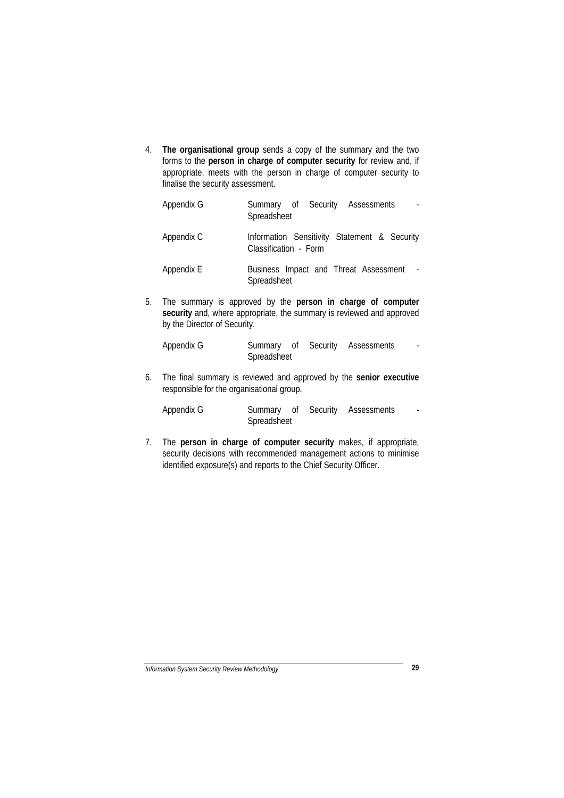4. **The organisational group** sends a copy of the summary and the two forms to the **person in charge of computer security** for review and, if appropriate, meets with the person in charge of computer security to finalise the security assessment.

| Appendix G | Summary of Security Assessments<br>Spreadsheet                        |
|------------|-----------------------------------------------------------------------|
| Appendix C | Information Sensitivity Statement & Security<br>Classification - Form |
| Appendix E | Business Impact and Threat Assessment<br>Spreadsheet                  |

5. The summary is approved by the **person in charge of computer** security and, where appropriate, the summary is reviewed and approved by the Director of Security.

Appendix G Summary of Security Assessments -Spreadsheet

6. The final summary is reviewed and approved by the **senior executive** responsible for the organisational group.

| Appendix G |             |  | Summary of Security Assessments |  |
|------------|-------------|--|---------------------------------|--|
|            | Spreadsheet |  |                                 |  |

7. The **person in charge of computer security** makes, if appropriate, security decisions with recommended management actions to minimise identified exposure(s) and reports to the Chief Security Officer.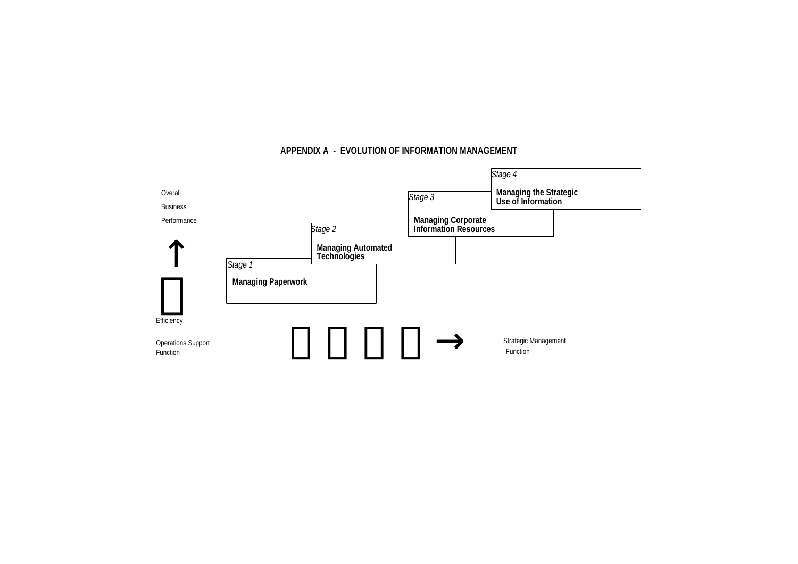## **APPENDIX A - EVOLUTION OF INFORMATION MANAGEMENT**

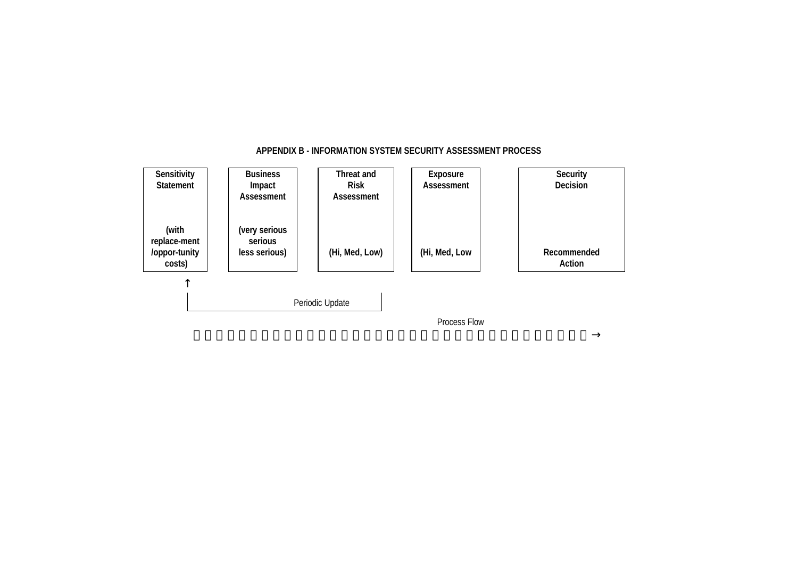

## **APPENDIX B - INFORMATION SYSTEM SECURITY ASSESSMENT PROCESS**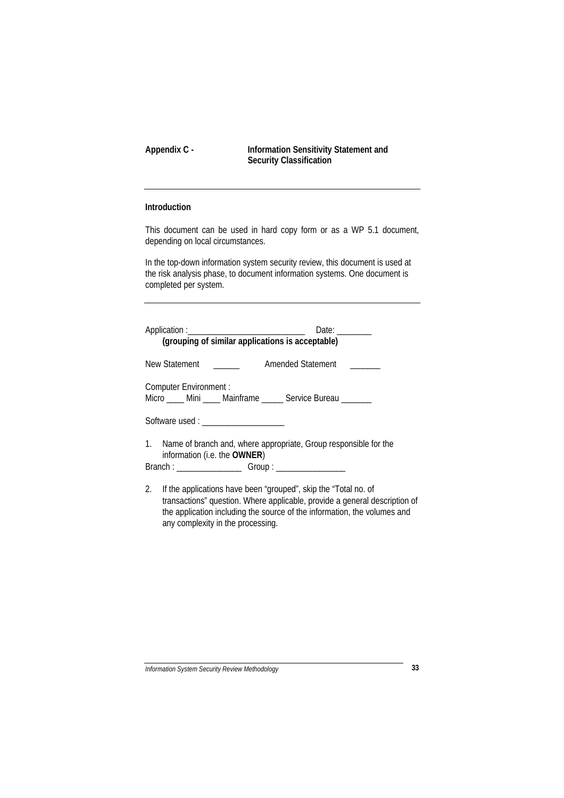**Appendix C - Information Sensitivity Statement and Security Classification**

## **Introduction**

This document can be used in hard copy form or as a WP 5.1 document, depending on local circumstances.

In the top-down information system security review, this document is used at the risk analysis phase, to document information systems. One document is completed per system.

| Date: $\_\_$<br>(grouping of similar applications is acceptable)                      |                                                                     |  |  |  |
|---------------------------------------------------------------------------------------|---------------------------------------------------------------------|--|--|--|
| New Statement                                                                         | amended Statement and The Contract Amended Statement                |  |  |  |
| Computer Environment :<br>Micro ____ Mini ____ Mainframe _____ Service Bureau _______ |                                                                     |  |  |  |
| Software used : ______________________                                                |                                                                     |  |  |  |
| information (i.e. the OWNER)                                                          | 1. Name of branch and, where appropriate, Group responsible for the |  |  |  |
|                                                                                       |                                                                     |  |  |  |

2. If the applications have been "grouped", skip the "Total no. of transactions" question. Where applicable, provide a general description of the application including the source of the information, the volumes and any complexity in the processing.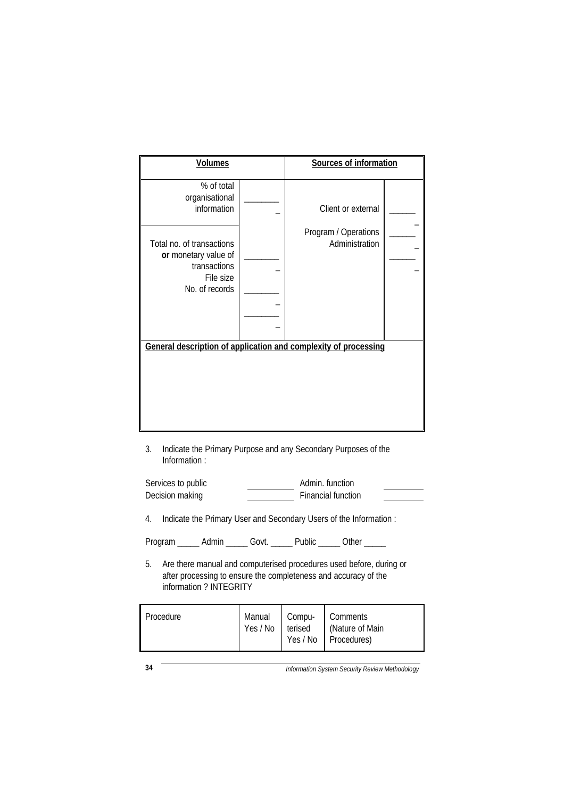| <b>Volumes</b>                                                                                   |  | Sources of information                                          |  |
|--------------------------------------------------------------------------------------------------|--|-----------------------------------------------------------------|--|
| % of total<br>organisational<br>information                                                      |  | Client or external                                              |  |
| Total no. of transactions<br>or monetary value of<br>transactions<br>File size<br>No. of records |  | Program / Operations<br>Administration                          |  |
|                                                                                                  |  | General description of application and complexity of processing |  |
| 3.                                                                                               |  | Indicate the Primary Purpose and any Secondary Purposes of the  |  |

Information :

| Services to public | Admin, function    |  |
|--------------------|--------------------|--|
| Decision making    | Financial function |  |

4. Indicate the Primary User and Secondary Users of the Information :

Program \_\_\_\_\_\_ Admin \_\_\_\_\_ Govt. \_\_\_\_\_ Public \_\_\_\_\_ Other \_\_\_\_\_

5. Are there manual and computerised procedures used before, during or after processing to ensure the completeness and accuracy of the information ? INTEGRITY

| Procedure | Manual Compu-<br>Yes / No terised |  | Comments<br>(Nature of Main<br>Yes / No Procedures) |
|-----------|-----------------------------------|--|-----------------------------------------------------|
|-----------|-----------------------------------|--|-----------------------------------------------------|

**34** *Information System Security Review Methodology*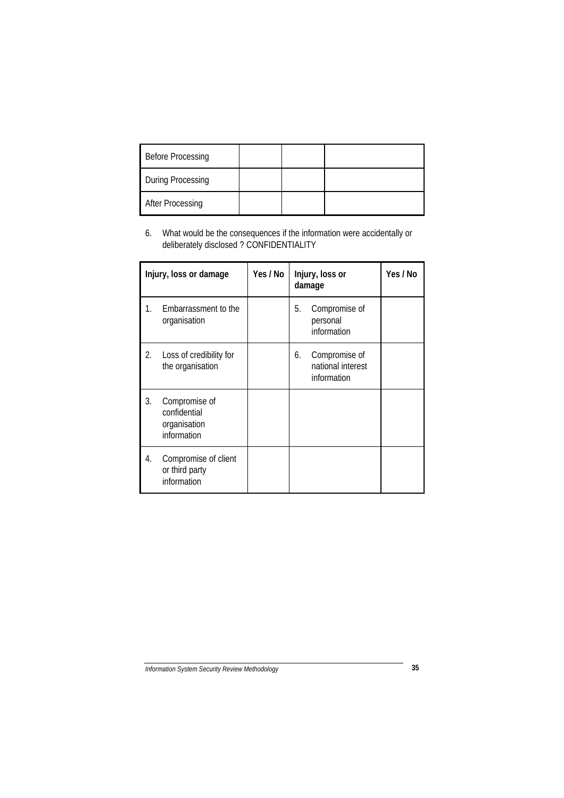| <b>Before Processing</b> |  |  |
|--------------------------|--|--|
| During Processing        |  |  |
| <b>After Processing</b>  |  |  |

6. What would be the consequences if the information were accidentally or deliberately disclosed ? CONFIDENTIALITY

|    | Injury, loss or damage                                       | Yes / No | Injury, loss or<br>damage |                                                   | Yes / No |
|----|--------------------------------------------------------------|----------|---------------------------|---------------------------------------------------|----------|
| 1. | Embarrassment to the<br>organisation                         |          | 5.                        | Compromise of<br>personal<br>information          |          |
| 2. | Loss of credibility for<br>the organisation                  |          | 6.                        | Compromise of<br>national interest<br>information |          |
| 3. | Compromise of<br>confidential<br>organisation<br>information |          |                           |                                                   |          |
| 4. | Compromise of client<br>or third party<br>information        |          |                           |                                                   |          |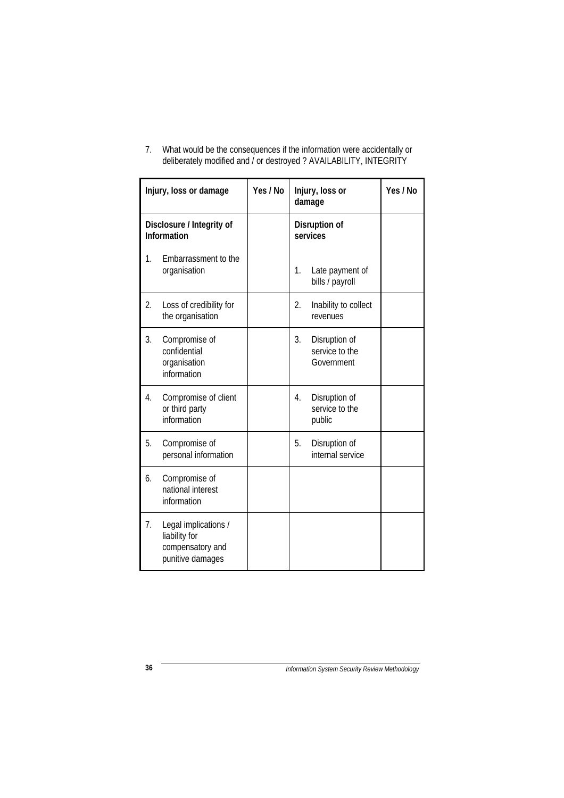|    | Injury, loss or damage                                                        | Yes / No | Injury, loss or<br>damage                           | Yes / No |
|----|-------------------------------------------------------------------------------|----------|-----------------------------------------------------|----------|
|    | Disclosure / Integrity of<br><b>Information</b>                               |          | Disruption of<br>services                           |          |
| 1. | Embarrassment to the<br>organisation                                          |          | 1.<br>Late payment of<br>bills / payroll            |          |
| 2. | Loss of credibility for<br>the organisation                                   |          | 2.<br>Inability to collect<br>revenues              |          |
| 3. | Compromise of<br>confidential<br>organisation<br>information                  |          | 3.<br>Disruption of<br>service to the<br>Government |          |
| 4. | Compromise of client<br>or third party<br>information                         |          | Disruption of<br>4.<br>service to the<br>public     |          |
| 5. | Compromise of<br>personal information                                         |          | 5.<br>Disruption of<br>internal service             |          |
| 6. | Compromise of<br>national interest<br>information                             |          |                                                     |          |
| 7. | Legal implications /<br>liability for<br>compensatory and<br>punitive damages |          |                                                     |          |

7. What would be the consequences if the information were accidentally or deliberately modified and / or destroyed ? AVAILABILITY, INTEGRITY

**36** *Information System Security Review Methodology*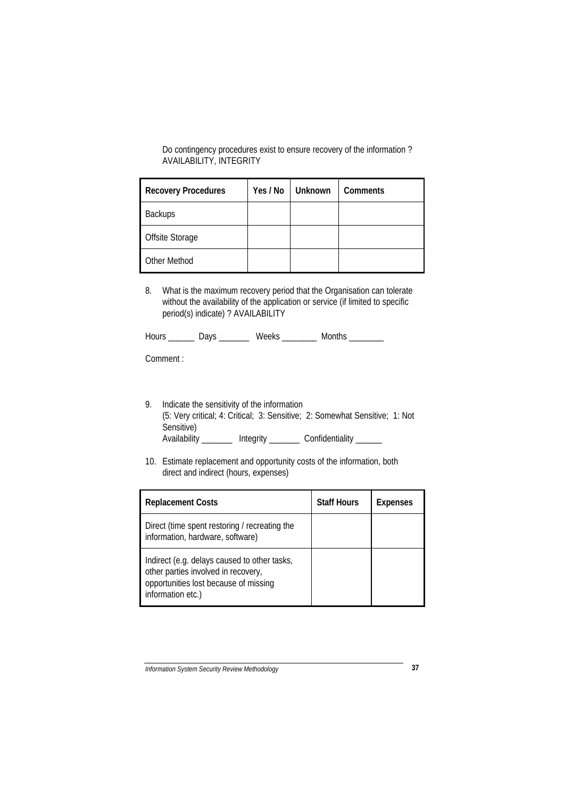Do contingency procedures exist to ensure recovery of the information ? AVAILABILITY, INTEGRITY

| <b>Recovery Procedures</b> | Yes / No | <b>Unknown</b> | <b>Comments</b> |
|----------------------------|----------|----------------|-----------------|
| <b>Backups</b>             |          |                |                 |
| Offsite Storage            |          |                |                 |
| Other Method               |          |                |                 |

8. What is the maximum recovery period that the Organisation can tolerate without the availability of the application or service (if limited to specific period(s) indicate) ? AVAILABILITY

| Hours | $M$ $\cap$ | Months |  |
|-------|------------|--------|--|
|       |            |        |  |

Comment :

- 9. Indicate the sensitivity of the information (5: Very critical; 4: Critical; 3: Sensitive; 2: Somewhat Sensitive; 1: Not Sensitive) Availability \_\_\_\_\_\_\_\_ Integrity \_\_\_\_\_\_\_ Confidentiality \_\_\_\_\_\_
- 10. Estimate replacement and opportunity costs of the information, both direct and indirect (hours, expenses)

| <b>Replacement Costs</b>                                                                                                                          | <b>Staff Hours</b> | <b>Expenses</b> |
|---------------------------------------------------------------------------------------------------------------------------------------------------|--------------------|-----------------|
| Direct (time spent restoring / recreating the<br>information, hardware, software)                                                                 |                    |                 |
| Indirect (e.g. delays caused to other tasks,<br>other parties involved in recovery,<br>opportunities lost because of missing<br>information etc.) |                    |                 |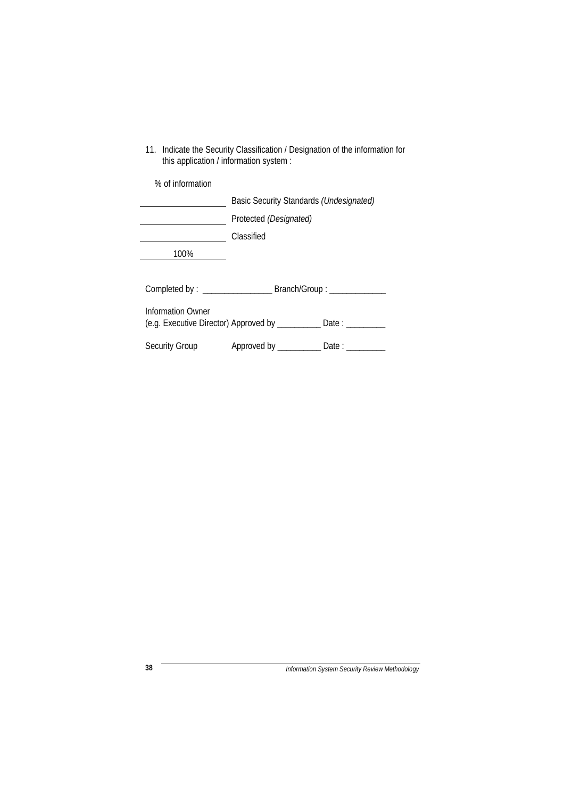| this application / information system : |                                                                     |  |  |
|-----------------------------------------|---------------------------------------------------------------------|--|--|
| % of information                        |                                                                     |  |  |
|                                         | Basic Security Standards (Undesignated)                             |  |  |
|                                         | Protected (Designated)                                              |  |  |
|                                         | Classified                                                          |  |  |
| 100%                                    |                                                                     |  |  |
|                                         |                                                                     |  |  |
|                                         |                                                                     |  |  |
| Information Owner                       | (e.g. Executive Director) Approved by ____________ Date : _________ |  |  |
| Security Group                          | Approved by ______________ Date : ______                            |  |  |

11. Indicate the Security Classification / Designation of the information for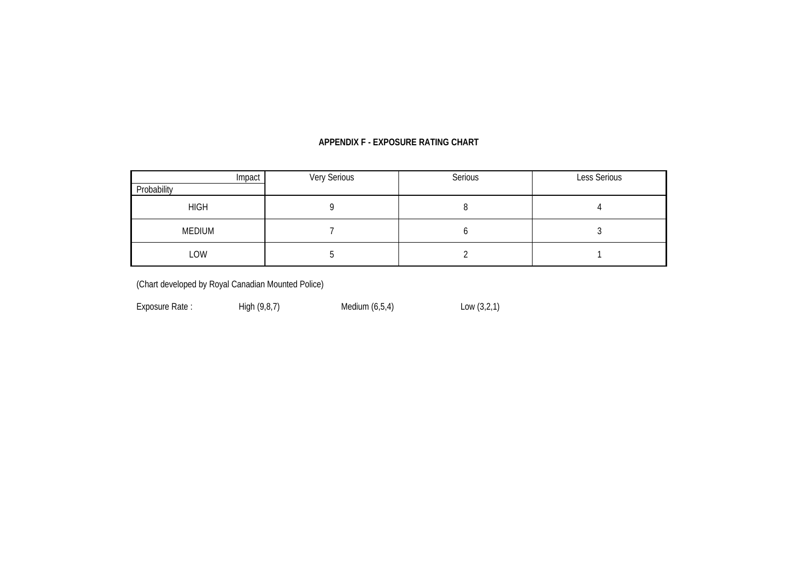## **APPENDIX F - EXPOSURE RATING CHART**

| Impact<br>Probability | Very Serious | Serious | Less Serious |
|-----------------------|--------------|---------|--------------|
|                       |              |         |              |
| <b>HIGH</b>           |              |         |              |
| MEDIUM                |              |         |              |
| LOW                   |              |         |              |

(Chart developed by Royal Canadian Mounted Police)

Exposure Rate : <br>
High (9,8,7) Medium (6,5,4) Low (3,2,1)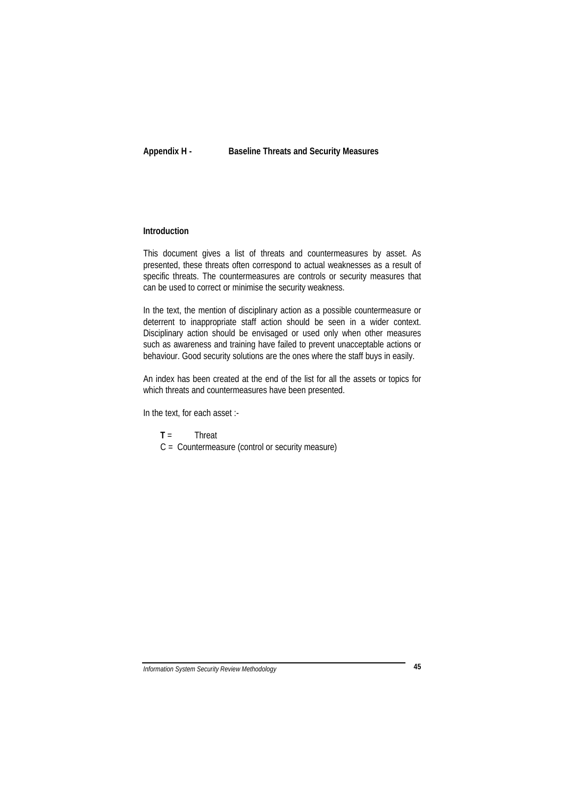**Appendix H - Baseline Threats and Security Measures**

## **Introduction**

This document gives a list of threats and countermeasures by asset. As presented, these threats often correspond to actual weaknesses as a result of specific threats. The countermeasures are controls or security measures that can be used to correct or minimise the security weakness.

In the text, the mention of disciplinary action as a possible countermeasure or deterrent to inappropriate staff action should be seen in a wider context. Disciplinary action should be envisaged or used only when other measures such as awareness and training have failed to prevent unacceptable actions or behaviour. Good security solutions are the ones where the staff buys in easily.

An index has been created at the end of the list for all the assets or topics for which threats and countermeasures have been presented.

In the text, for each asset :-

**T** = Threat

C = Countermeasure (control or security measure)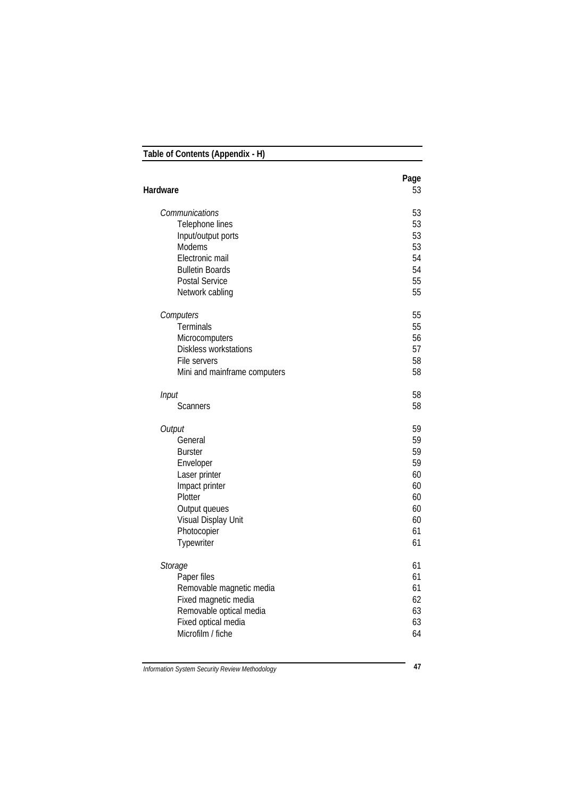| Table of Contents (Appendix - H) |            |  |
|----------------------------------|------------|--|
| Hardware                         | Page<br>53 |  |
|                                  |            |  |
| Communications                   | 53         |  |
| Telephone lines                  | 53         |  |
| Input/output ports               | 53         |  |
| Modems                           | 53         |  |
| Electronic mail                  | 54         |  |
| <b>Bulletin Boards</b>           | 54         |  |
| Postal Service                   | 55         |  |
| Network cabling                  | 55         |  |
| Computers                        | 55         |  |
| Terminals                        | 55         |  |
| Microcomputers                   | 56         |  |
| Diskless workstations            | 57         |  |
| File servers                     | 58         |  |
| Mini and mainframe computers     | 58         |  |
| Input                            | 58         |  |
| <b>Scanners</b>                  | 58         |  |
|                                  |            |  |
| Output                           | 59         |  |
| General                          | 59         |  |
| <b>Burster</b>                   | 59         |  |
| Enveloper                        | 59         |  |
| Laser printer                    | 60         |  |
| Impact printer                   | 60         |  |
| Plotter                          | 60         |  |
| Output queues                    | 60         |  |
| Visual Display Unit              | 60<br>61   |  |
| Photocopier<br>Typewriter        | 61         |  |
|                                  |            |  |
| Storage                          | 61         |  |
| Paper files                      | 61         |  |
| Removable magnetic media         | 61         |  |
| Fixed magnetic media             | 62         |  |
| Removable optical media          | 63         |  |
| Fixed optical media              | 63         |  |
| Microfilm / fiche                | 64         |  |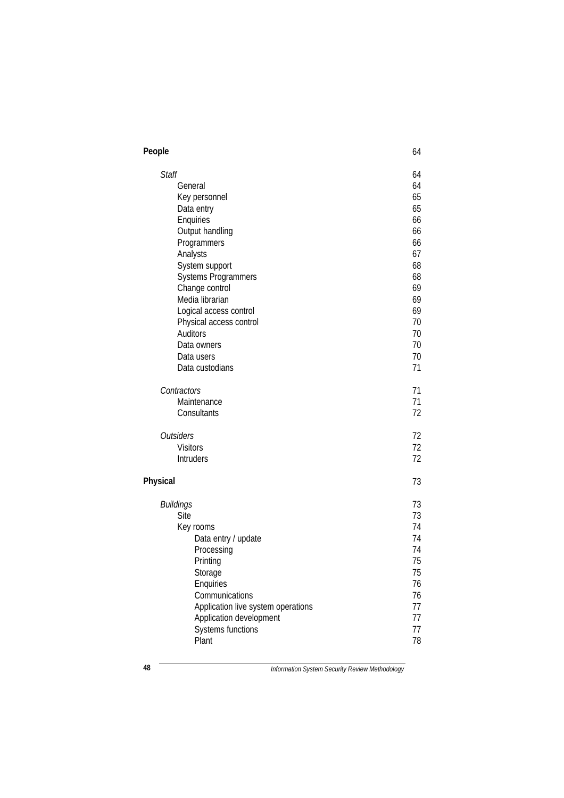| People                             | 64 |
|------------------------------------|----|
| <b>Staff</b>                       | 64 |
| General                            | 64 |
| Key personnel                      | 65 |
| Data entry                         | 65 |
| Enquiries                          | 66 |
| Output handling                    | 66 |
| Programmers                        | 66 |
| Analysts                           | 67 |
| System support                     | 68 |
| Systems Programmers                | 68 |
| Change control                     | 69 |
| Media librarian                    | 69 |
| Logical access control             | 69 |
| Physical access control            | 70 |
| <b>Auditors</b>                    | 70 |
| Data owners                        | 70 |
| Data users                         | 70 |
| Data custodians                    | 71 |
| Contractors                        | 71 |
| Maintenance                        | 71 |
| Consultants                        | 72 |
| <b>Outsiders</b>                   | 72 |
| <b>Visitors</b>                    | 72 |
| Intruders                          | 72 |
| Physical                           | 73 |
| <b>Buildings</b>                   | 73 |
| Site                               | 73 |
| Key rooms                          | 74 |
| Data entry / update                | 74 |
| Processing                         | 74 |
| Printing                           | 75 |
| Storage                            | 75 |
| Enquiries                          | 76 |
| Communications                     | 76 |
| Application live system operations | 77 |
| Application development            | 77 |
| <b>Systems functions</b>           | 77 |
| Plant                              | 78 |

**48** *Information System Security Review Methodology*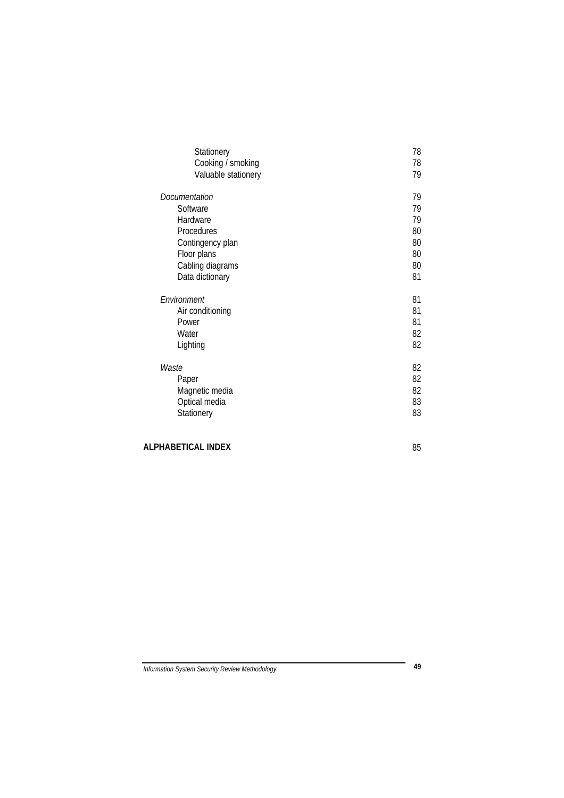| Stationery                               | 78       |
|------------------------------------------|----------|
| Cooking / smoking<br>Valuable stationery | 78<br>79 |
|                                          |          |
| Documentation                            | 79       |
| Software                                 | 79       |
| Hardware                                 | 79       |
| Procedures                               | 80       |
| Contingency plan                         | 80       |
| Floor plans                              | 80       |
| Cabling diagrams                         | 80       |
| Data dictionary                          | 81       |
|                                          |          |
|                                          |          |
| Fnvironment                              | 81       |
| Air conditioning                         | 81       |
| Power                                    | 81       |
| Water                                    | 82       |
| Lighting                                 | 82       |
|                                          |          |
| Waste                                    | 82       |
| Paper                                    | 82       |
| Magnetic media                           | 82       |
| Optical media                            | 83       |
| Stationery                               | 83       |

# **ALPHABETICAL INDEX** 85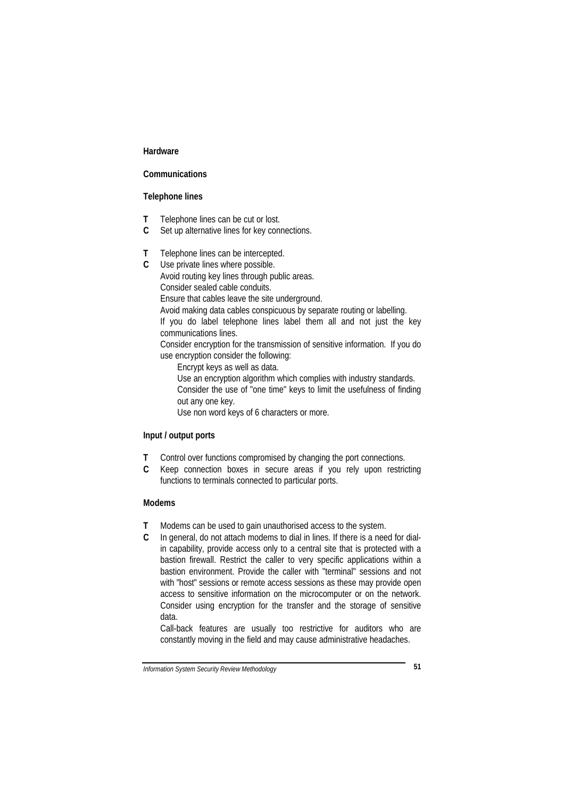#### **Hardware**

## **Communications**

#### **Telephone lines**

- **T** Telephone lines can be cut or lost.
- **C** Set up alternative lines for key connections.
- **T** Telephone lines can be intercepted.
- **C** Use private lines where possible.

Avoid routing key lines through public areas. Consider sealed cable conduits.

Ensure that cables leave the site underground.

Avoid making data cables conspicuous by separate routing or labelling.

If you do label telephone lines label them all and not just the key communications lines.

Consider encryption for the transmission of sensitive information. If you do use encryption consider the following:

Encrypt keys as well as data.

Use an encryption algorithm which complies with industry standards.

Consider the use of "one time" keys to limit the usefulness of finding out any one key.

Use non word keys of 6 characters or more.

## **Input / output ports**

- **T** Control over functions compromised by changing the port connections.
- **C** Keep connection boxes in secure areas if you rely upon restricting functions to terminals connected to particular ports.

## **Modems**

- **T** Modems can be used to gain unauthorised access to the system.
- **C** In general, do not attach modems to dial in lines. If there is a need for dialin capability, provide access only to a central site that is protected with a bastion firewall. Restrict the caller to very specific applications within a bastion environment. Provide the caller with "terminal" sessions and not with "host" sessions or remote access sessions as these may provide open access to sensitive information on the microcomputer or on the network. Consider using encryption for the transfer and the storage of sensitive data.

Call-back features are usually too restrictive for auditors who are constantly moving in the field and may cause administrative headaches.

*Information System Security Review Methodology* **51**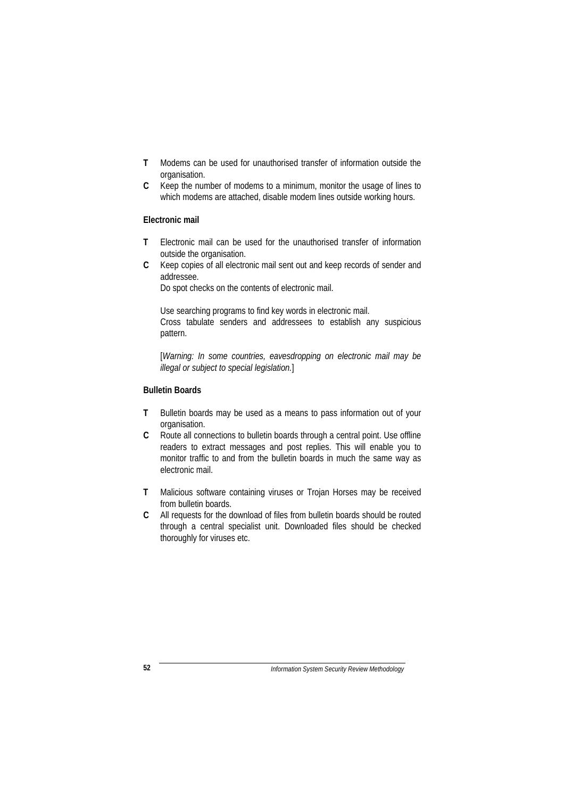- **T** Modems can be used for unauthorised transfer of information outside the organisation.
- **C** Keep the number of modems to a minimum, monitor the usage of lines to which modems are attached, disable modem lines outside working hours.

## **Electronic mail**

- **T** Electronic mail can be used for the unauthorised transfer of information outside the organisation.
- **C** Keep copies of all electronic mail sent out and keep records of sender and addressee.

Do spot checks on the contents of electronic mail.

Use searching programs to find key words in electronic mail. Cross tabulate senders and addressees to establish any suspicious pattern.

[*Warning: In some countries, eavesdropping on electronic mail may be illegal or subject to special legislation.*]

# **Bulletin Boards**

- **T** Bulletin boards may be used as a means to pass information out of your organisation.
- **C** Route all connections to bulletin boards through a central point. Use offline readers to extract messages and post replies. This will enable you to monitor traffic to and from the bulletin boards in much the same way as electronic mail.
- **T** Malicious software containing viruses or Trojan Horses may be received from bulletin boards.
- **C** All requests for the download of files from bulletin boards should be routed through a central specialist unit. Downloaded files should be checked thoroughly for viruses etc.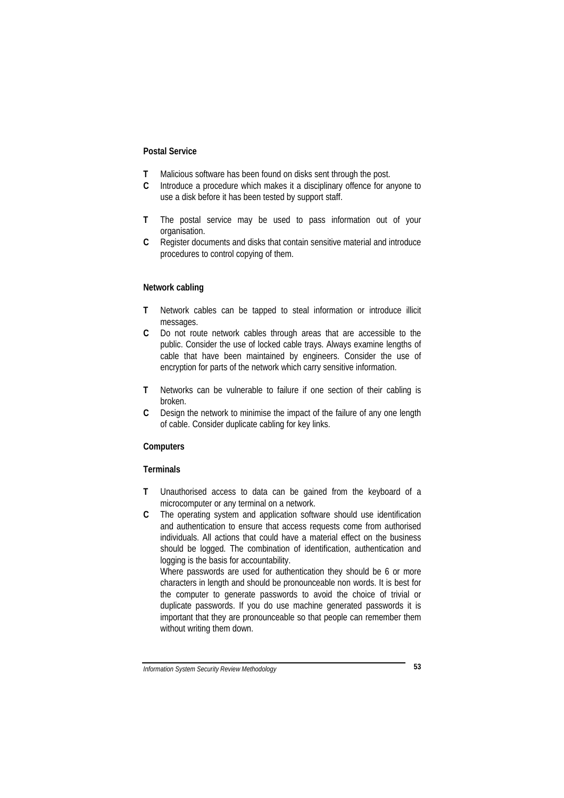#### **Postal Service**

- **T** Malicious software has been found on disks sent through the post.
- **C** Introduce a procedure which makes it a disciplinary offence for anyone to use a disk before it has been tested by support staff.
- **T** The postal service may be used to pass information out of your organisation.
- **C** Register documents and disks that contain sensitive material and introduce procedures to control copying of them.

#### **Network cabling**

- **T** Network cables can be tapped to steal information or introduce illicit messages.
- **C** Do not route network cables through areas that are accessible to the public. Consider the use of locked cable trays. Always examine lengths of cable that have been maintained by engineers. Consider the use of encryption for parts of the network which carry sensitive information.
- **T** Networks can be vulnerable to failure if one section of their cabling is broken.
- **C** Design the network to minimise the impact of the failure of any one length of cable. Consider duplicate cabling for key links.

#### **Computers**

#### **Terminals**

- **T** Unauthorised access to data can be gained from the keyboard of a microcomputer or any terminal on a network.
- **C** The operating system and application software should use identification and authentication to ensure that access requests come from authorised individuals. All actions that could have a material effect on the business should be logged. The combination of identification, authentication and logging is the basis for accountability.

Where passwords are used for authentication they should be 6 or more characters in length and should be pronounceable non words. It is best for the computer to generate passwords to avoid the choice of trivial or duplicate passwords. If you do use machine generated passwords it is important that they are pronounceable so that people can remember them without writing them down.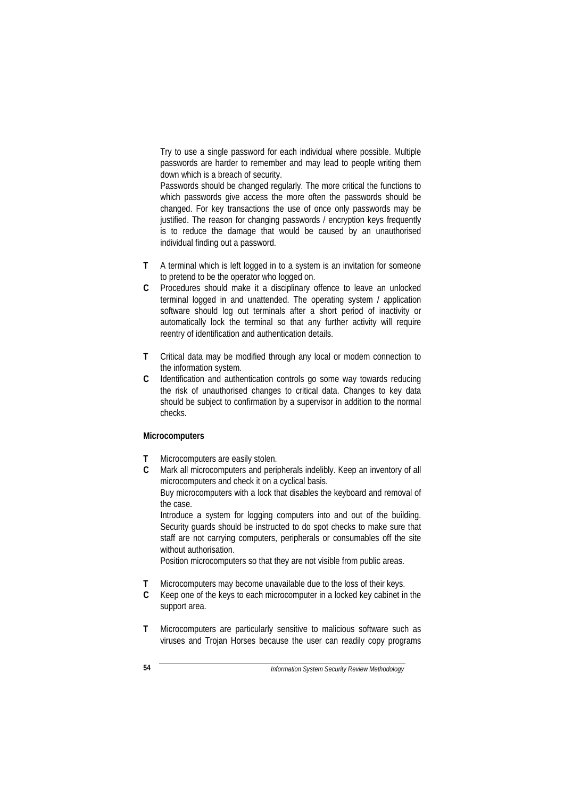Try to use a single password for each individual where possible. Multiple passwords are harder to remember and may lead to people writing them down which is a breach of security.

Passwords should be changed regularly. The more critical the functions to which passwords give access the more often the passwords should be changed. For key transactions the use of once only passwords may be justified. The reason for changing passwords / encryption keys frequently is to reduce the damage that would be caused by an unauthorised individual finding out a password.

- **T** A terminal which is left logged in to a system is an invitation for someone to pretend to be the operator who logged on.
- **C** Procedures should make it a disciplinary offence to leave an unlocked terminal logged in and unattended. The operating system / application software should log out terminals after a short period of inactivity or automatically lock the terminal so that any further activity will require reentry of identification and authentication details.
- **T** Critical data may be modified through any local or modem connection to the information system.
- **C** Identification and authentication controls go some way towards reducing the risk of unauthorised changes to critical data. Changes to key data should be subject to confirmation by a supervisor in addition to the normal checks.

#### **Microcomputers**

- **T** Microcomputers are easily stolen.
- **C** Mark all microcomputers and peripherals indelibly. Keep an inventory of all microcomputers and check it on a cyclical basis.

Buy microcomputers with a lock that disables the keyboard and removal of the case.

Introduce a system for logging computers into and out of the building. Security guards should be instructed to do spot checks to make sure that staff are not carrying computers, peripherals or consumables off the site without authorisation.

Position microcomputers so that they are not visible from public areas.

- **T** Microcomputers may become unavailable due to the loss of their keys.
- **C** Keep one of the keys to each microcomputer in a locked key cabinet in the support area.
- **T** Microcomputers are particularly sensitive to malicious software such as viruses and Trojan Horses because the user can readily copy programs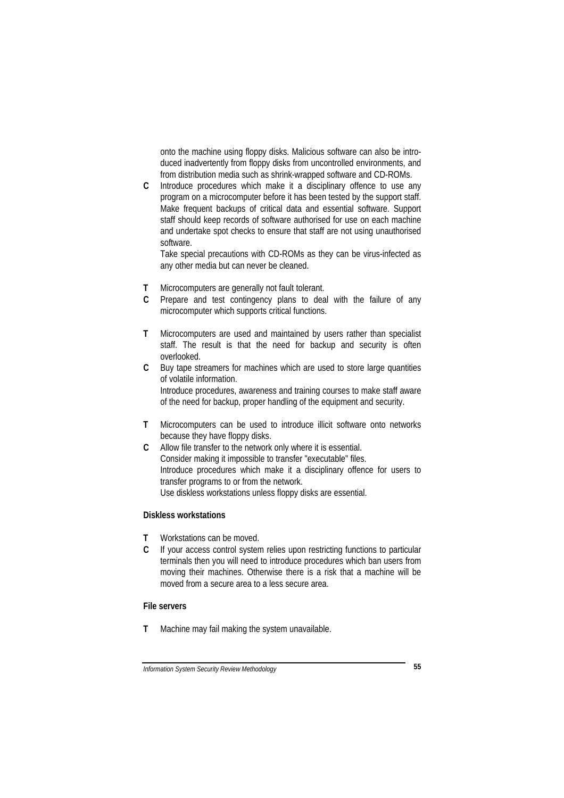onto the machine using floppy disks. Malicious software can also be introduced inadvertently from floppy disks from uncontrolled environments, and from distribution media such as shrink-wrapped software and CD-ROMs.

**C** Introduce procedures which make it a disciplinary offence to use any program on a microcomputer before it has been tested by the support staff. Make frequent backups of critical data and essential software. Support staff should keep records of software authorised for use on each machine and undertake spot checks to ensure that staff are not using unauthorised software.

Take special precautions with CD-ROMs as they can be virus-infected as any other media but can never be cleaned.

- **T** Microcomputers are generally not fault tolerant.
- **C** Prepare and test contingency plans to deal with the failure of any microcomputer which supports critical functions.
- **T** Microcomputers are used and maintained by users rather than specialist staff. The result is that the need for backup and security is often overlooked.
- **C** Buy tape streamers for machines which are used to store large quantities of volatile information. Introduce procedures, awareness and training courses to make staff aware of the need for backup, proper handling of the equipment and security.
- **T** Microcomputers can be used to introduce illicit software onto networks because they have floppy disks.
- **C** Allow file transfer to the network only where it is essential. Consider making it impossible to transfer "executable" files. Introduce procedures which make it a disciplinary offence for users to transfer programs to or from the network. Use diskless workstations unless floppy disks are essential.

## **Diskless workstations**

- **T** Workstations can be moved.
- **C** If your access control system relies upon restricting functions to particular terminals then you will need to introduce procedures which ban users from moving their machines. Otherwise there is a risk that a machine will be moved from a secure area to a less secure area.

#### **File servers**

**T** Machine may fail making the system unavailable.

*Information System Security Review Methodology* **55**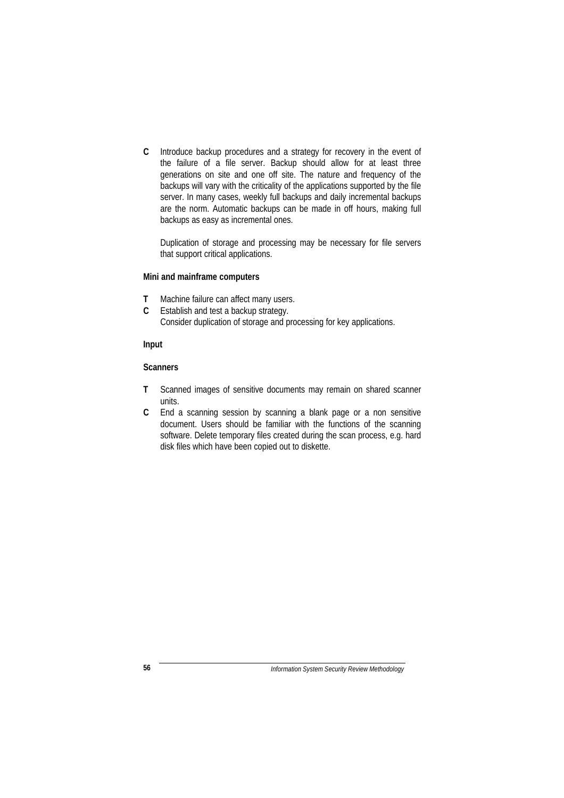**C** Introduce backup procedures and a strategy for recovery in the event of the failure of a file server. Backup should allow for at least three generations on site and one off site. The nature and frequency of the backups will vary with the criticality of the applications supported by the file server. In many cases, weekly full backups and daily incremental backups are the norm. Automatic backups can be made in off hours, making full backups as easy as incremental ones.

Duplication of storage and processing may be necessary for file servers that support critical applications.

## **Mini and mainframe computers**

- **T** Machine failure can affect many users.
- **C** Establish and test a backup strategy. Consider duplication of storage and processing for key applications.

#### **Input**

#### **Scanners**

- **T** Scanned images of sensitive documents may remain on shared scanner units.
- **C** End a scanning session by scanning a blank page or a non sensitive document. Users should be familiar with the functions of the scanning software. Delete temporary files created during the scan process, e.g. hard disk files which have been copied out to diskette.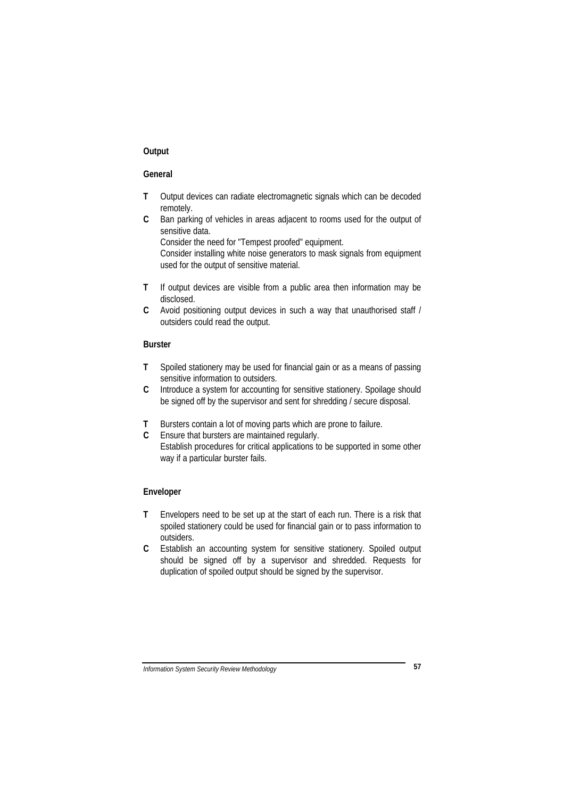## **Output**

## **General**

- **T** Output devices can radiate electromagnetic signals which can be decoded remotely.
- **C** Ban parking of vehicles in areas adjacent to rooms used for the output of sensitive data.

Consider the need for "Tempest proofed" equipment. Consider installing white noise generators to mask signals from equipment used for the output of sensitive material.

- **T** If output devices are visible from a public area then information may be disclosed.
- **C** Avoid positioning output devices in such a way that unauthorised staff / outsiders could read the output.

## **Burster**

- **T** Spoiled stationery may be used for financial gain or as a means of passing sensitive information to outsiders.
- **C** Introduce a system for accounting for sensitive stationery. Spoilage should be signed off by the supervisor and sent for shredding / secure disposal.
- **T** Bursters contain a lot of moving parts which are prone to failure.
- **C** Ensure that bursters are maintained regularly. Establish procedures for critical applications to be supported in some other way if a particular burster fails.

## **Enveloper**

- **T** Envelopers need to be set up at the start of each run. There is a risk that spoiled stationery could be used for financial gain or to pass information to outsiders.
- **C** Establish an accounting system for sensitive stationery. Spoiled output should be signed off by a supervisor and shredded. Requests for duplication of spoiled output should be signed by the supervisor.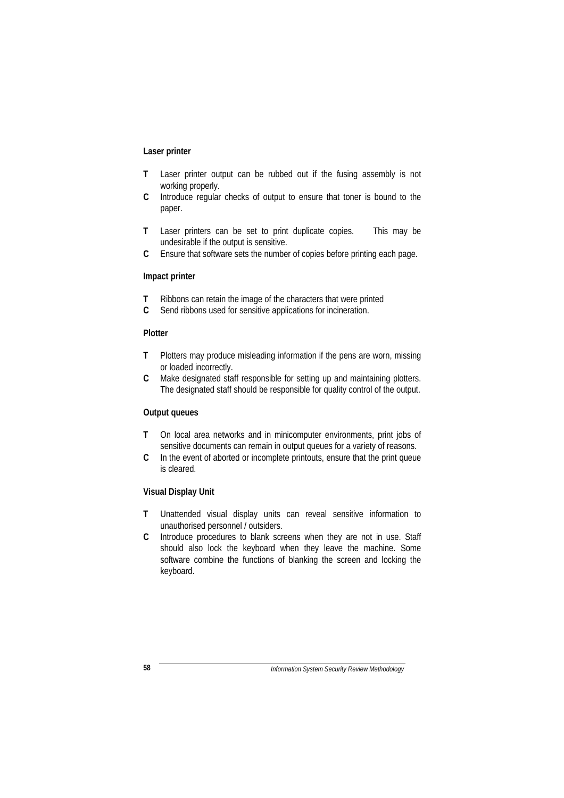## **Laser printer**

- **T** Laser printer output can be rubbed out if the fusing assembly is not working properly.
- **C** Introduce regular checks of output to ensure that toner is bound to the paper.
- **T** Laser printers can be set to print duplicate copies. This may be undesirable if the output is sensitive.
- **C** Ensure that software sets the number of copies before printing each page.

#### **Impact printer**

- **T** Ribbons can retain the image of the characters that were printed
- **C** Send ribbons used for sensitive applications for incineration.

#### **Plotter**

- **T** Plotters may produce misleading information if the pens are worn, missing or loaded incorrectly.
- **C** Make designated staff responsible for setting up and maintaining plotters. The designated staff should be responsible for quality control of the output.

#### **Output queues**

- **T** On local area networks and in minicomputer environments, print jobs of sensitive documents can remain in output queues for a variety of reasons.
- **C** In the event of aborted or incomplete printouts, ensure that the print queue is cleared.

#### **Visual Display Unit**

- **T** Unattended visual display units can reveal sensitive information to unauthorised personnel / outsiders.
- **C** Introduce procedures to blank screens when they are not in use. Staff should also lock the keyboard when they leave the machine. Some software combine the functions of blanking the screen and locking the keyboard.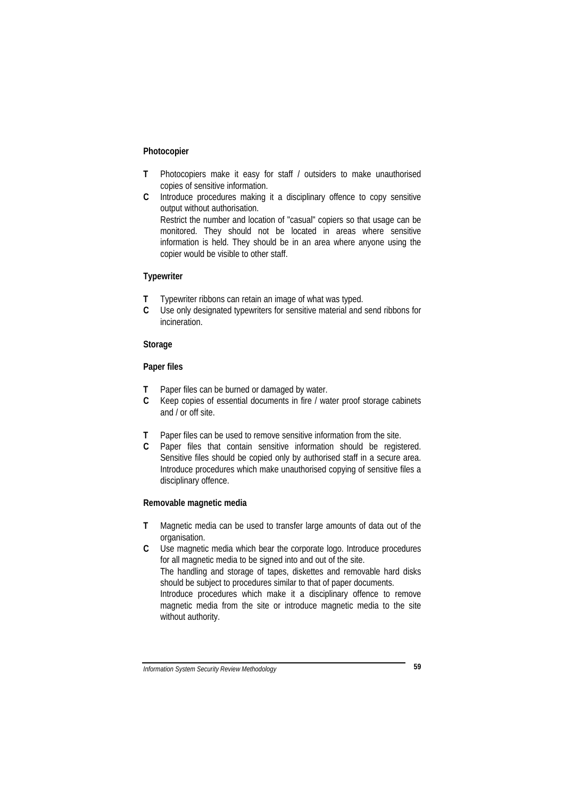#### **Photocopier**

- **T** Photocopiers make it easy for staff / outsiders to make unauthorised copies of sensitive information.
- **C** Introduce procedures making it a disciplinary offence to copy sensitive output without authorisation. Restrict the number and location of "casual" copiers so that usage can be monitored. They should not be located in areas where sensitive information is held. They should be in an area where anyone using the copier would be visible to other staff.

## **Typewriter**

- **T** Typewriter ribbons can retain an image of what was typed.
- **C** Use only designated typewriters for sensitive material and send ribbons for incineration.

## **Storage**

#### **Paper files**

- **T** Paper files can be burned or damaged by water.
- **C** Keep copies of essential documents in fire / water proof storage cabinets and / or off site.
- **T** Paper files can be used to remove sensitive information from the site.
- **C** Paper files that contain sensitive information should be registered. Sensitive files should be copied only by authorised staff in a secure area. Introduce procedures which make unauthorised copying of sensitive files a disciplinary offence.

## **Removable magnetic media**

- **T** Magnetic media can be used to transfer large amounts of data out of the organisation.
- **C** Use magnetic media which bear the corporate logo. Introduce procedures for all magnetic media to be signed into and out of the site. The handling and storage of tapes, diskettes and removable hard disks should be subject to procedures similar to that of paper documents. Introduce procedures which make it a disciplinary offence to remove magnetic media from the site or introduce magnetic media to the site without authority.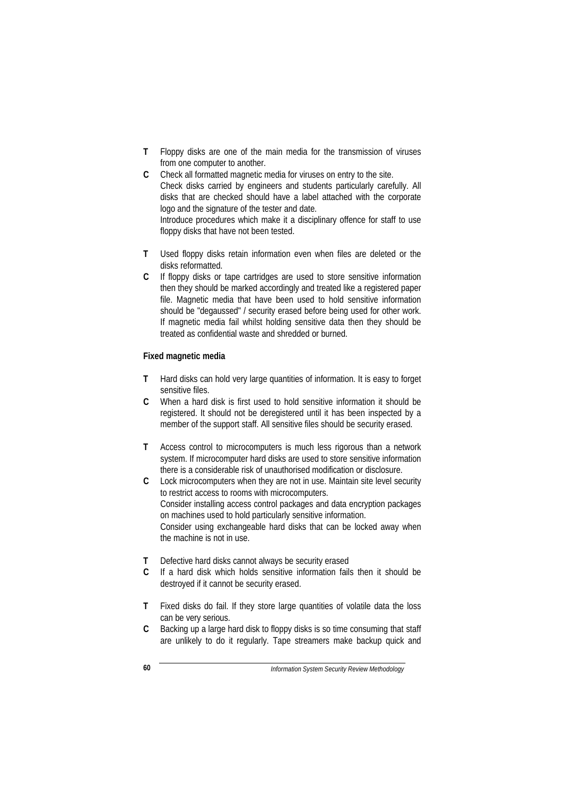- **T** Floppy disks are one of the main media for the transmission of viruses from one computer to another.
- **C** Check all formatted magnetic media for viruses on entry to the site. Check disks carried by engineers and students particularly carefully. All disks that are checked should have a label attached with the corporate logo and the signature of the tester and date. Introduce procedures which make it a disciplinary offence for staff to use floppy disks that have not been tested.
- **T** Used floppy disks retain information even when files are deleted or the disks reformatted.
- **C** If floppy disks or tape cartridges are used to store sensitive information then they should be marked accordingly and treated like a registered paper file. Magnetic media that have been used to hold sensitive information should be "degaussed" / security erased before being used for other work. If magnetic media fail whilst holding sensitive data then they should be treated as confidential waste and shredded or burned.

#### **Fixed magnetic media**

- **T** Hard disks can hold very large quantities of information. It is easy to forget sensitive files.
- **C** When a hard disk is first used to hold sensitive information it should be registered. It should not be deregistered until it has been inspected by a member of the support staff. All sensitive files should be security erased.
- **T** Access control to microcomputers is much less rigorous than a network system. If microcomputer hard disks are used to store sensitive information there is a considerable risk of unauthorised modification or disclosure.
- **C** Lock microcomputers when they are not in use. Maintain site level security to restrict access to rooms with microcomputers. Consider installing access control packages and data encryption packages on machines used to hold particularly sensitive information. Consider using exchangeable hard disks that can be locked away when the machine is not in use.
- **T** Defective hard disks cannot always be security erased
- **C** If a hard disk which holds sensitive information fails then it should be destroyed if it cannot be security erased.
- **T** Fixed disks do fail. If they store large quantities of volatile data the loss can be very serious.
- **C** Backing up a large hard disk to floppy disks is so time consuming that staff are unlikely to do it regularly. Tape streamers make backup quick and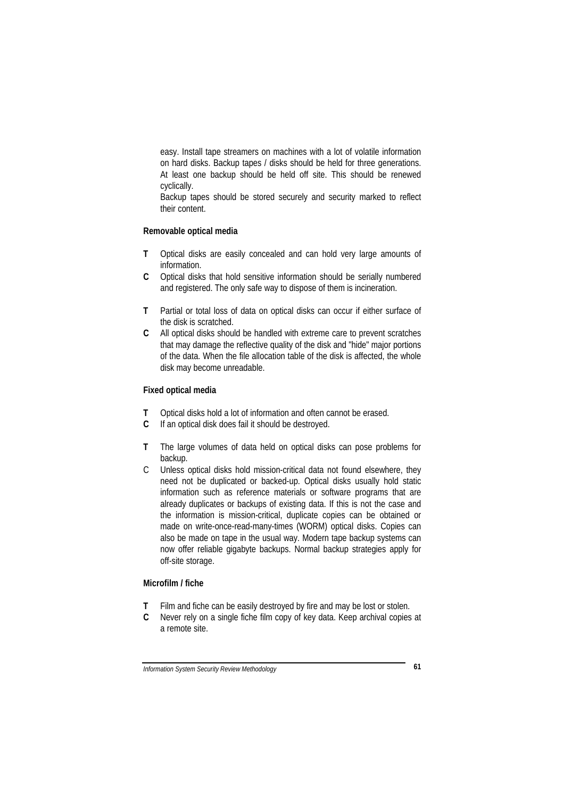easy. Install tape streamers on machines with a lot of volatile information on hard disks. Backup tapes / disks should be held for three generations. At least one backup should be held off site. This should be renewed cyclically.

Backup tapes should be stored securely and security marked to reflect their content.

#### **Removable optical media**

- **T** Optical disks are easily concealed and can hold very large amounts of information.
- **C** Optical disks that hold sensitive information should be serially numbered and registered. The only safe way to dispose of them is incineration.
- **T** Partial or total loss of data on optical disks can occur if either surface of the disk is scratched.
- **C** All optical disks should be handled with extreme care to prevent scratches that may damage the reflective quality of the disk and "hide" major portions of the data. When the file allocation table of the disk is affected, the whole disk may become unreadable.

## **Fixed optical media**

- **T** Optical disks hold a lot of information and often cannot be erased.
- **C** If an optical disk does fail it should be destroyed.
- **T** The large volumes of data held on optical disks can pose problems for backup.
- C Unless optical disks hold mission-critical data not found elsewhere, they need not be duplicated or backed-up. Optical disks usually hold static information such as reference materials or software programs that are already duplicates or backups of existing data. If this is not the case and the information is mission-critical, duplicate copies can be obtained or made on write-once-read-many-times (WORM) optical disks. Copies can also be made on tape in the usual way. Modern tape backup systems can now offer reliable gigabyte backups. Normal backup strategies apply for off-site storage.

#### **Microfilm / fiche**

- **T** Film and fiche can be easily destroyed by fire and may be lost or stolen.
- **C** Never rely on a single fiche film copy of key data. Keep archival copies at a remote site.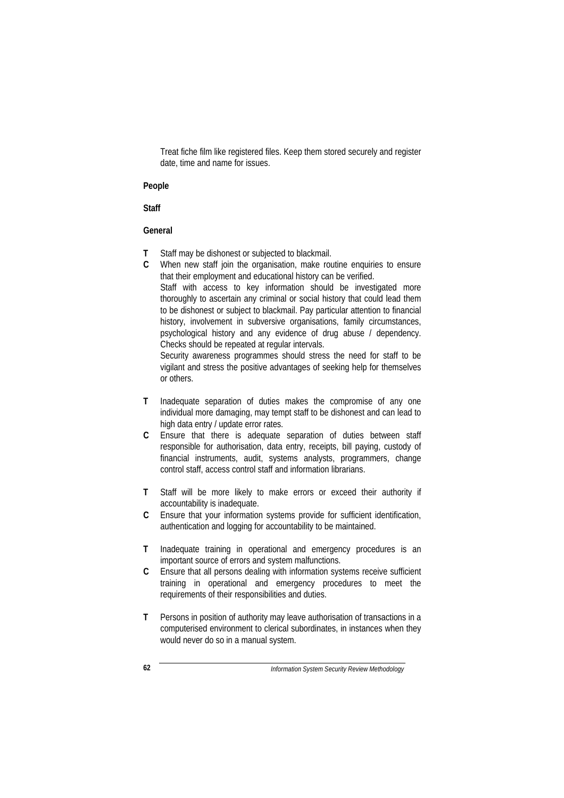Treat fiche film like registered files. Keep them stored securely and register date, time and name for issues.

#### **People**

#### **Staff**

#### **General**

- **T** Staff may be dishonest or subjected to blackmail.
- **C** When new staff join the organisation, make routine enquiries to ensure that their employment and educational history can be verified. Staff with access to key information should be investigated more

thoroughly to ascertain any criminal or social history that could lead them to be dishonest or subject to blackmail. Pay particular attention to financial history, involvement in subversive organisations, family circumstances, psychological history and any evidence of drug abuse / dependency. Checks should be repeated at regular intervals.

Security awareness programmes should stress the need for staff to be vigilant and stress the positive advantages of seeking help for themselves or others.

- **T** Inadequate separation of duties makes the compromise of any one individual more damaging, may tempt staff to be dishonest and can lead to high data entry / update error rates.
- **C** Ensure that there is adequate separation of duties between staff responsible for authorisation, data entry, receipts, bill paying, custody of financial instruments, audit, systems analysts, programmers, change control staff, access control staff and information librarians.
- **T** Staff will be more likely to make errors or exceed their authority if accountability is inadequate.
- **C** Ensure that your information systems provide for sufficient identification, authentication and logging for accountability to be maintained.
- **T** Inadequate training in operational and emergency procedures is an important source of errors and system malfunctions.
- **C** Ensure that all persons dealing with information systems receive sufficient training in operational and emergency procedures to meet the requirements of their responsibilities and duties.
- **T** Persons in position of authority may leave authorisation of transactions in a computerised environment to clerical subordinates, in instances when they would never do so in a manual system.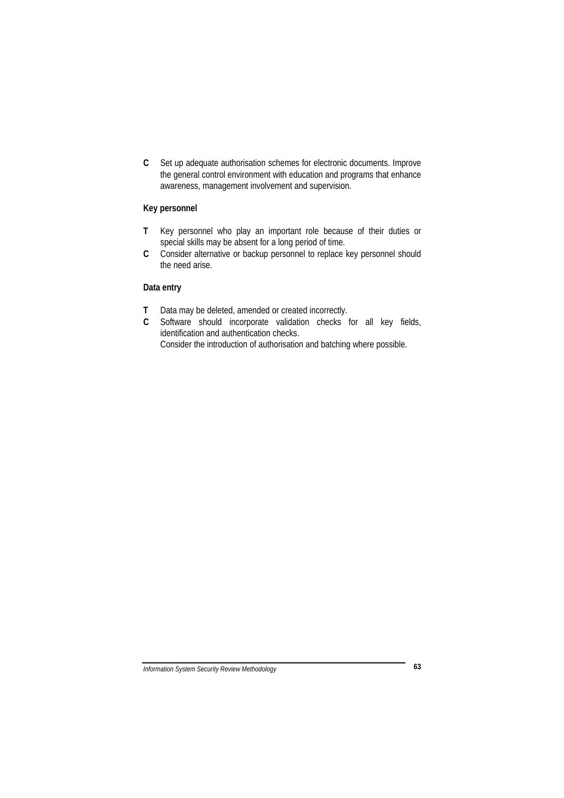**C** Set up adequate authorisation schemes for electronic documents. Improve the general control environment with education and programs that enhance awareness, management involvement and supervision.

## **Key personnel**

- **T** Key personnel who play an important role because of their duties or special skills may be absent for a long period of time.
- **C** Consider alternative or backup personnel to replace key personnel should the need arise.

## **Data entry**

- **T** Data may be deleted, amended or created incorrectly.
- **C** Software should incorporate validation checks for all key fields, identification and authentication checks. Consider the introduction of authorisation and batching where possible.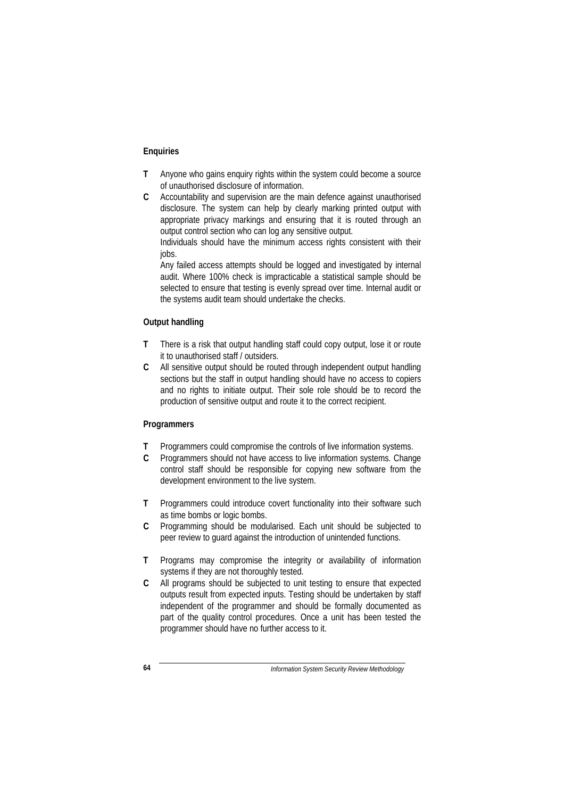## **Enquiries**

- **T** Anyone who gains enquiry rights within the system could become a source of unauthorised disclosure of information.
- **C** Accountability and supervision are the main defence against unauthorised disclosure. The system can help by clearly marking printed output with appropriate privacy markings and ensuring that it is routed through an output control section who can log any sensitive output.

Individuals should have the minimum access rights consistent with their jobs.

Any failed access attempts should be logged and investigated by internal audit. Where 100% check is impracticable a statistical sample should be selected to ensure that testing is evenly spread over time. Internal audit or the systems audit team should undertake the checks.

## **Output handling**

- **T** There is a risk that output handling staff could copy output, lose it or route it to unauthorised staff / outsiders.
- **C** All sensitive output should be routed through independent output handling sections but the staff in output handling should have no access to copiers and no rights to initiate output. Their sole role should be to record the production of sensitive output and route it to the correct recipient.

#### **Programmers**

- **T** Programmers could compromise the controls of live information systems.
- **C** Programmers should not have access to live information systems. Change control staff should be responsible for copying new software from the development environment to the live system.
- **T** Programmers could introduce covert functionality into their software such as time bombs or logic bombs.
- **C** Programming should be modularised. Each unit should be subjected to peer review to guard against the introduction of unintended functions.
- **T** Programs may compromise the integrity or availability of information systems if they are not thoroughly tested.
- **C** All programs should be subjected to unit testing to ensure that expected outputs result from expected inputs. Testing should be undertaken by staff independent of the programmer and should be formally documented as part of the quality control procedures. Once a unit has been tested the programmer should have no further access to it.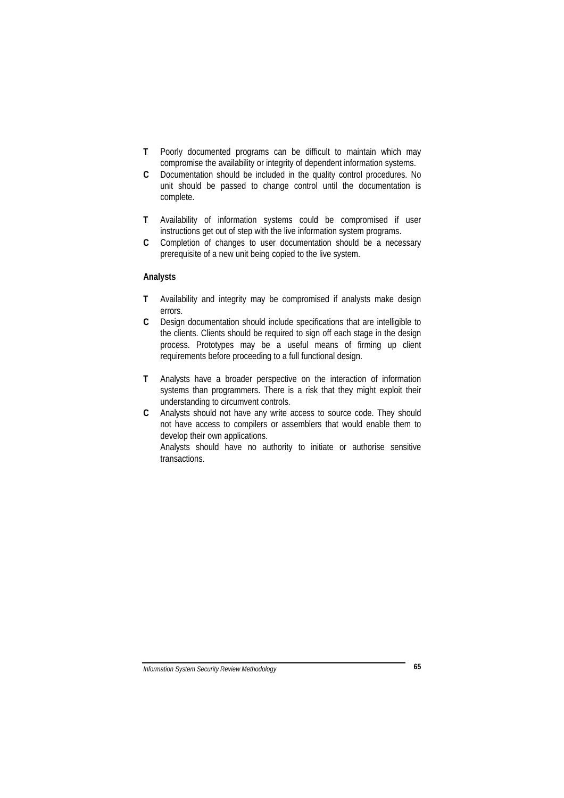- **T** Poorly documented programs can be difficult to maintain which may compromise the availability or integrity of dependent information systems.
- **C** Documentation should be included in the quality control procedures. No unit should be passed to change control until the documentation is complete.
- **T** Availability of information systems could be compromised if user instructions get out of step with the live information system programs.
- **C** Completion of changes to user documentation should be a necessary prerequisite of a new unit being copied to the live system.

#### **Analysts**

- **T** Availability and integrity may be compromised if analysts make design errors.
- **C** Design documentation should include specifications that are intelligible to the clients. Clients should be required to sign off each stage in the design process. Prototypes may be a useful means of firming up client requirements before proceeding to a full functional design.
- **T** Analysts have a broader perspective on the interaction of information systems than programmers. There is a risk that they might exploit their understanding to circumvent controls.
- **C** Analysts should not have any write access to source code. They should not have access to compilers or assemblers that would enable them to develop their own applications.

Analysts should have no authority to initiate or authorise sensitive transactions.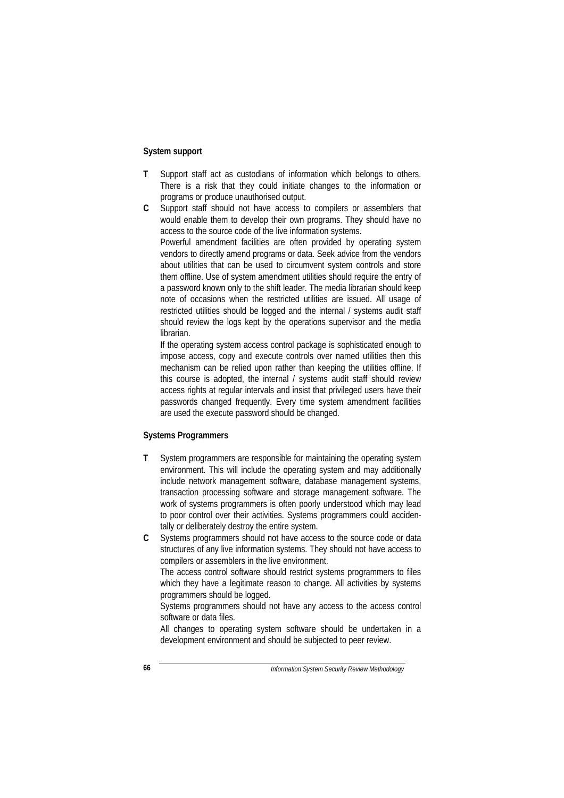### **System support**

- **T** Support staff act as custodians of information which belongs to others. There is a risk that they could initiate changes to the information or programs or produce unauthorised output.
- **C** Support staff should not have access to compilers or assemblers that would enable them to develop their own programs. They should have no access to the source code of the live information systems. Powerful amendment facilities are often provided by operating system vendors to directly amend programs or data. Seek advice from the vendors about utilities that can be used to circumvent system controls and store them offline. Use of system amendment utilities should require the entry of a password known only to the shift leader. The media librarian should keep note of occasions when the restricted utilities are issued. All usage of restricted utilities should be logged and the internal / systems audit staff should review the logs kept by the operations supervisor and the media librarian.

If the operating system access control package is sophisticated enough to impose access, copy and execute controls over named utilities then this mechanism can be relied upon rather than keeping the utilities offline. If this course is adopted, the internal / systems audit staff should review access rights at regular intervals and insist that privileged users have their passwords changed frequently. Every time system amendment facilities are used the execute password should be changed.

#### **Systems Programmers**

- **T** System programmers are responsible for maintaining the operating system environment. This will include the operating system and may additionally include network management software, database management systems, transaction processing software and storage management software. The work of systems programmers is often poorly understood which may lead to poor control over their activities. Systems programmers could accidentally or deliberately destroy the entire system.
- **C** Systems programmers should not have access to the source code or data structures of any live information systems. They should not have access to compilers or assemblers in the live environment.

The access control software should restrict systems programmers to files which they have a legitimate reason to change. All activities by systems programmers should be logged.

Systems programmers should not have any access to the access control software or data files.

All changes to operating system software should be undertaken in a development environment and should be subjected to peer review.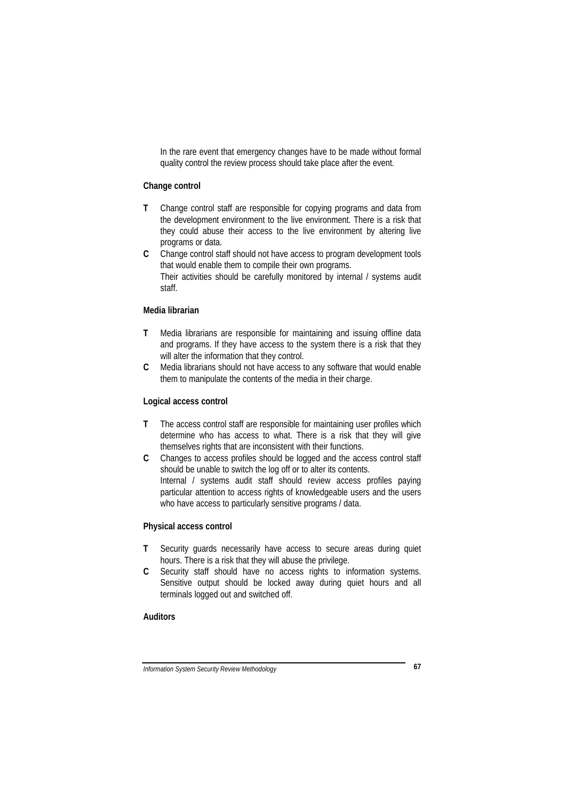In the rare event that emergency changes have to be made without formal quality control the review process should take place after the event.

#### **Change control**

- **T** Change control staff are responsible for copying programs and data from the development environment to the live environment. There is a risk that they could abuse their access to the live environment by altering live programs or data.
- **C** Change control staff should not have access to program development tools that would enable them to compile their own programs. Their activities should be carefully monitored by internal / systems audit staff.

#### **Media librarian**

- **T** Media librarians are responsible for maintaining and issuing offline data and programs. If they have access to the system there is a risk that they will alter the information that they control.
- **C** Media librarians should not have access to any software that would enable them to manipulate the contents of the media in their charge.

#### **Logical access control**

- **T** The access control staff are responsible for maintaining user profiles which determine who has access to what. There is a risk that they will give themselves rights that are inconsistent with their functions.
- **C** Changes to access profiles should be logged and the access control staff should be unable to switch the log off or to alter its contents. Internal / systems audit staff should review access profiles paying particular attention to access rights of knowledgeable users and the users who have access to particularly sensitive programs / data.

#### **Physical access control**

- **T** Security guards necessarily have access to secure areas during quiet hours. There is a risk that they will abuse the privilege.
- **C** Security staff should have no access rights to information systems. Sensitive output should be locked away during quiet hours and all terminals logged out and switched off.

## **Auditors**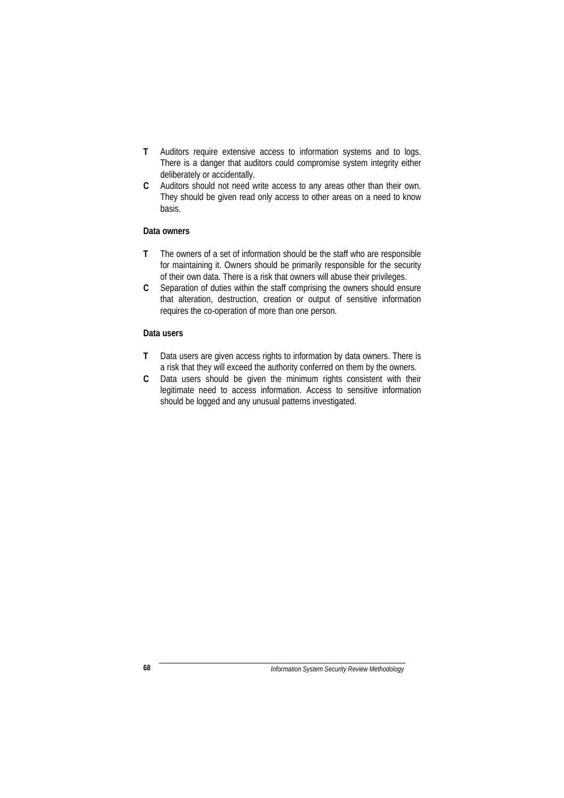- **T** Auditors require extensive access to information systems and to logs. There is a danger that auditors could compromise system integrity either deliberately or accidentally.
- **C** Auditors should not need write access to any areas other than their own. They should be given read only access to other areas on a need to know basis.

### **Data owners**

- **T** The owners of a set of information should be the staff who are responsible for maintaining it. Owners should be primarily responsible for the security of their own data. There is a risk that owners will abuse their privileges.
- **C** Separation of duties within the staff comprising the owners should ensure that alteration, destruction, creation or output of sensitive information requires the co-operation of more than one person.

#### **Data users**

- **T** Data users are given access rights to information by data owners. There is a risk that they will exceed the authority conferred on them by the owners.
- **C** Data users should be given the minimum rights consistent with their legitimate need to access information. Access to sensitive information should be logged and any unusual patterns investigated.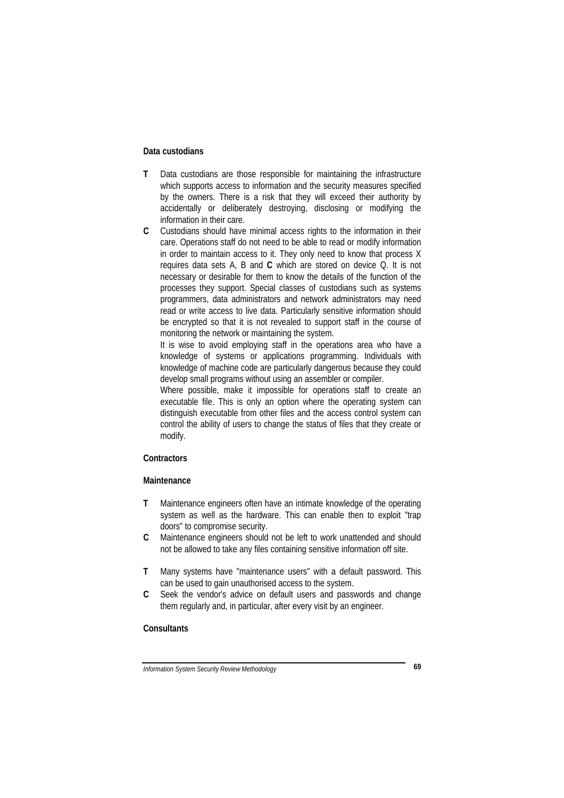#### **Data custodians**

- **T** Data custodians are those responsible for maintaining the infrastructure which supports access to information and the security measures specified by the owners. There is a risk that they will exceed their authority by accidentally or deliberately destroying, disclosing or modifying the information in their care.
- **C** Custodians should have minimal access rights to the information in their care. Operations staff do not need to be able to read or modify information in order to maintain access to it. They only need to know that process X requires data sets A, B and **C** which are stored on device Q. It is not necessary or desirable for them to know the details of the function of the processes they support. Special classes of custodians such as systems programmers, data administrators and network administrators may need read or write access to live data. Particularly sensitive information should be encrypted so that it is not revealed to support staff in the course of monitoring the network or maintaining the system.

It is wise to avoid employing staff in the operations area who have a knowledge of systems or applications programming. Individuals with knowledge of machine code are particularly dangerous because they could develop small programs without using an assembler or compiler.

Where possible, make it impossible for operations staff to create an executable file. This is only an option where the operating system can distinguish executable from other files and the access control system can control the ability of users to change the status of files that they create or modify.

## **Contractors**

#### **Maintenance**

- **T** Maintenance engineers often have an intimate knowledge of the operating system as well as the hardware. This can enable then to exploit "trap doors" to compromise security.
- **C** Maintenance engineers should not be left to work unattended and should not be allowed to take any files containing sensitive information off site.
- **T** Many systems have "maintenance users" with a default password. This can be used to gain unauthorised access to the system.
- **C** Seek the vendor's advice on default users and passwords and change them regularly and, in particular, after every visit by an engineer.

## **Consultants**

*Information System Security Review Methodology* **69**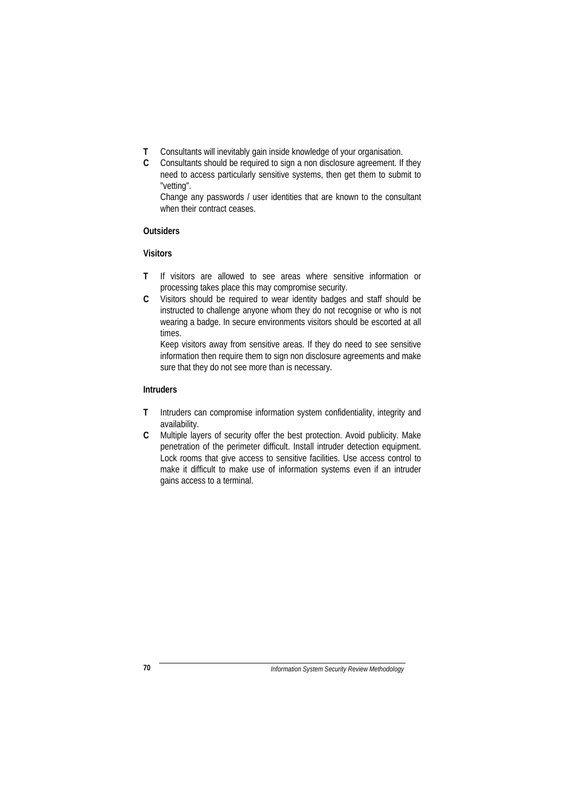- **T** Consultants will inevitably gain inside knowledge of your organisation.
- **C** Consultants should be required to sign a non disclosure agreement. If they need to access particularly sensitive systems, then get them to submit to "vetting".

Change any passwords / user identities that are known to the consultant when their contract ceases.

## **Outsiders**

#### **Visitors**

- **T** If visitors are allowed to see areas where sensitive information or processing takes place this may compromise security.
- **C** Visitors should be required to wear identity badges and staff should be instructed to challenge anyone whom they do not recognise or who is not wearing a badge. In secure environments visitors should be escorted at all times.

Keep visitors away from sensitive areas. If they do need to see sensitive information then require them to sign non disclosure agreements and make sure that they do not see more than is necessary.

## **Intruders**

- **T** Intruders can compromise information system confidentiality, integrity and availability.
- **C** Multiple layers of security offer the best protection. Avoid publicity. Make penetration of the perimeter difficult. Install intruder detection equipment. Lock rooms that give access to sensitive facilities. Use access control to make it difficult to make use of information systems even if an intruder gains access to a terminal.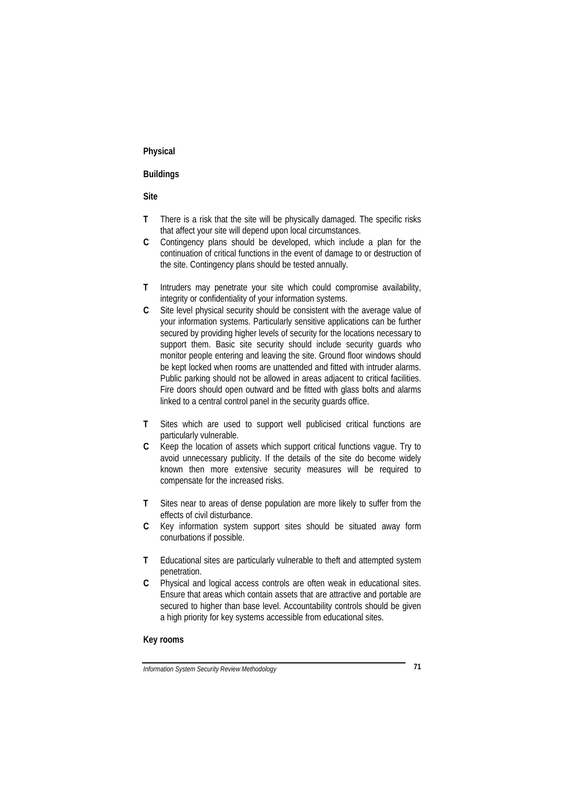## **Physical**

## **Buildings**

#### **Site**

- **T** There is a risk that the site will be physically damaged. The specific risks that affect your site will depend upon local circumstances.
- **C** Contingency plans should be developed, which include a plan for the continuation of critical functions in the event of damage to or destruction of the site. Contingency plans should be tested annually.
- **T** Intruders may penetrate your site which could compromise availability, integrity or confidentiality of your information systems.
- **C** Site level physical security should be consistent with the average value of your information systems. Particularly sensitive applications can be further secured by providing higher levels of security for the locations necessary to support them. Basic site security should include security guards who monitor people entering and leaving the site. Ground floor windows should be kept locked when rooms are unattended and fitted with intruder alarms. Public parking should not be allowed in areas adjacent to critical facilities. Fire doors should open outward and be fitted with glass bolts and alarms linked to a central control panel in the security guards office.
- **T** Sites which are used to support well publicised critical functions are particularly vulnerable.
- **C** Keep the location of assets which support critical functions vague. Try to avoid unnecessary publicity. If the details of the site do become widely known then more extensive security measures will be required to compensate for the increased risks.
- **T** Sites near to areas of dense population are more likely to suffer from the effects of civil disturbance.
- **C** Key information system support sites should be situated away form conurbations if possible.
- **T** Educational sites are particularly vulnerable to theft and attempted system penetration.
- **C** Physical and logical access controls are often weak in educational sites. Ensure that areas which contain assets that are attractive and portable are secured to higher than base level. Accountability controls should be given a high priority for key systems accessible from educational sites.

#### **Key rooms**

*Information System Security Review Methodology* **71**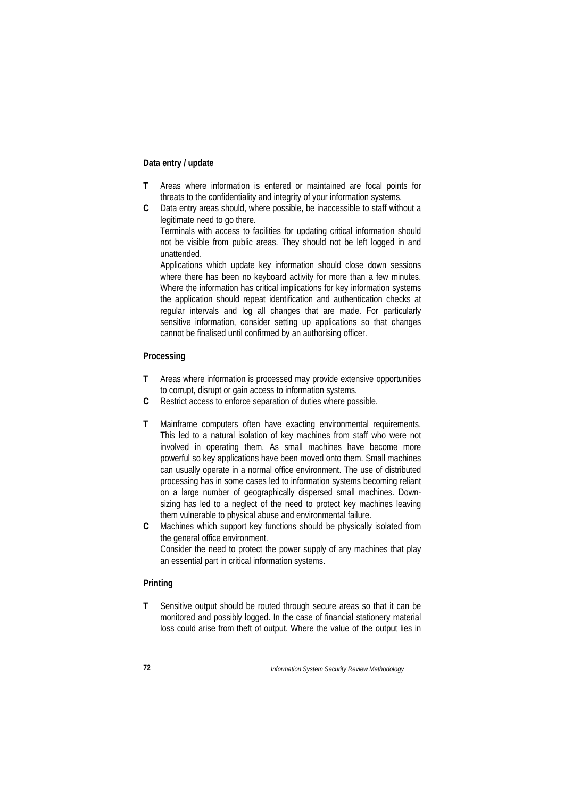## **Data entry / update**

- **T** Areas where information is entered or maintained are focal points for threats to the confidentiality and integrity of your information systems.
- **C** Data entry areas should, where possible, be inaccessible to staff without a legitimate need to go there.

Terminals with access to facilities for updating critical information should not be visible from public areas. They should not be left logged in and unattended.

Applications which update key information should close down sessions where there has been no keyboard activity for more than a few minutes. Where the information has critical implications for key information systems the application should repeat identification and authentication checks at regular intervals and log all changes that are made. For particularly sensitive information, consider setting up applications so that changes cannot be finalised until confirmed by an authorising officer.

## **Processing**

- **T** Areas where information is processed may provide extensive opportunities to corrupt, disrupt or gain access to information systems.
- **C** Restrict access to enforce separation of duties where possible.
- **T** Mainframe computers often have exacting environmental requirements. This led to a natural isolation of key machines from staff who were not involved in operating them. As small machines have become more powerful so key applications have been moved onto them. Small machines can usually operate in a normal office environment. The use of distributed processing has in some cases led to information systems becoming reliant on a large number of geographically dispersed small machines. Downsizing has led to a neglect of the need to protect key machines leaving them vulnerable to physical abuse and environmental failure.
- **C** Machines which support key functions should be physically isolated from the general office environment. Consider the need to protect the power supply of any machines that play an essential part in critical information systems.

#### **Printing**

**T** Sensitive output should be routed through secure areas so that it can be monitored and possibly logged. In the case of financial stationery material loss could arise from theft of output. Where the value of the output lies in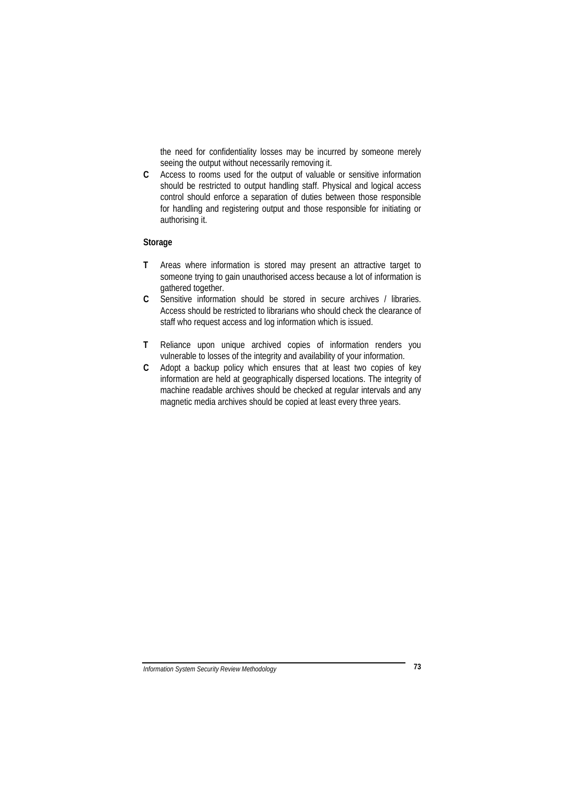the need for confidentiality losses may be incurred by someone merely seeing the output without necessarily removing it.

**C** Access to rooms used for the output of valuable or sensitive information should be restricted to output handling staff. Physical and logical access control should enforce a separation of duties between those responsible for handling and registering output and those responsible for initiating or authorising it.

## **Storage**

- **T** Areas where information is stored may present an attractive target to someone trying to gain unauthorised access because a lot of information is gathered together.
- **C** Sensitive information should be stored in secure archives / libraries. Access should be restricted to librarians who should check the clearance of staff who request access and log information which is issued.
- **T** Reliance upon unique archived copies of information renders you vulnerable to losses of the integrity and availability of your information.
- **C** Adopt a backup policy which ensures that at least two copies of key information are held at geographically dispersed locations. The integrity of machine readable archives should be checked at regular intervals and any magnetic media archives should be copied at least every three years.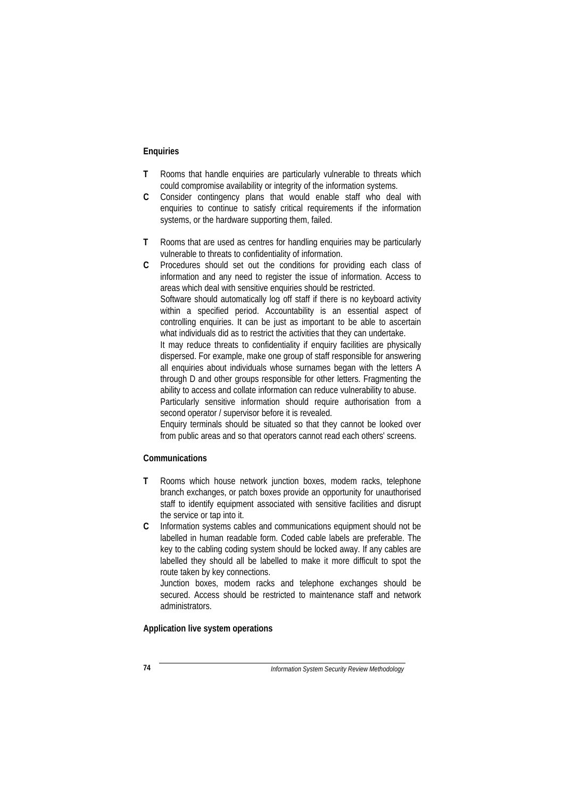#### **Enquiries**

- **T** Rooms that handle enquiries are particularly vulnerable to threats which could compromise availability or integrity of the information systems.
- **C** Consider contingency plans that would enable staff who deal with enquiries to continue to satisfy critical requirements if the information systems, or the hardware supporting them, failed.
- **T** Rooms that are used as centres for handling enquiries may be particularly vulnerable to threats to confidentiality of information.
- **C** Procedures should set out the conditions for providing each class of information and any need to register the issue of information. Access to areas which deal with sensitive enquiries should be restricted. Software should automatically log off staff if there is no keyboard activity within a specified period. Accountability is an essential aspect of controlling enquiries. It can be just as important to be able to ascertain what individuals did as to restrict the activities that they can undertake. It may reduce threats to confidentiality if enquiry facilities are physically dispersed. For example, make one group of staff responsible for answering all enquiries about individuals whose surnames began with the letters A through D and other groups responsible for other letters. Fragmenting the ability to access and collate information can reduce vulnerability to abuse. Particularly sensitive information should require authorisation from a second operator / supervisor before it is revealed.

Enquiry terminals should be situated so that they cannot be looked over from public areas and so that operators cannot read each others' screens.

## **Communications**

- **T** Rooms which house network junction boxes, modem racks, telephone branch exchanges, or patch boxes provide an opportunity for unauthorised staff to identify equipment associated with sensitive facilities and disrupt the service or tap into it.
- **C** Information systems cables and communications equipment should not be labelled in human readable form. Coded cable labels are preferable. The key to the cabling coding system should be locked away. If any cables are labelled they should all be labelled to make it more difficult to spot the route taken by key connections.

Junction boxes, modem racks and telephone exchanges should be secured. Access should be restricted to maintenance staff and network administrators.

## **Application live system operations**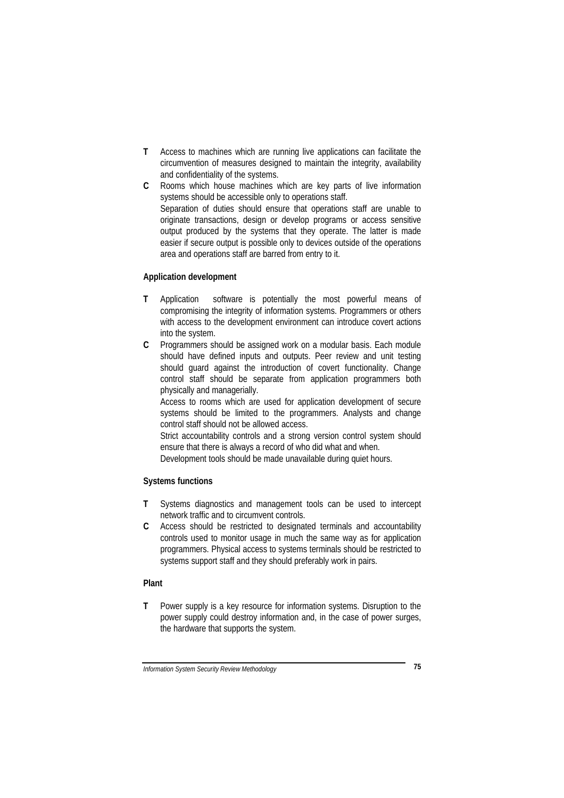- **T** Access to machines which are running live applications can facilitate the circumvention of measures designed to maintain the integrity, availability and confidentiality of the systems.
- **C** Rooms which house machines which are key parts of live information systems should be accessible only to operations staff. Separation of duties should ensure that operations staff are unable to originate transactions, design or develop programs or access sensitive output produced by the systems that they operate. The latter is made easier if secure output is possible only to devices outside of the operations area and operations staff are barred from entry to it.

## **Application development**

- **T** Application software is potentially the most powerful means of compromising the integrity of information systems. Programmers or others with access to the development environment can introduce covert actions into the system.
- **C** Programmers should be assigned work on a modular basis. Each module should have defined inputs and outputs. Peer review and unit testing should guard against the introduction of covert functionality. Change control staff should be separate from application programmers both physically and managerially.

Access to rooms which are used for application development of secure systems should be limited to the programmers. Analysts and change control staff should not be allowed access.

Strict accountability controls and a strong version control system should ensure that there is always a record of who did what and when.

Development tools should be made unavailable during quiet hours.

## **Systems functions**

- **T** Systems diagnostics and management tools can be used to intercept network traffic and to circumvent controls.
- **C** Access should be restricted to designated terminals and accountability controls used to monitor usage in much the same way as for application programmers. Physical access to systems terminals should be restricted to systems support staff and they should preferably work in pairs.

### **Plant**

**T** Power supply is a key resource for information systems. Disruption to the power supply could destroy information and, in the case of power surges, the hardware that supports the system.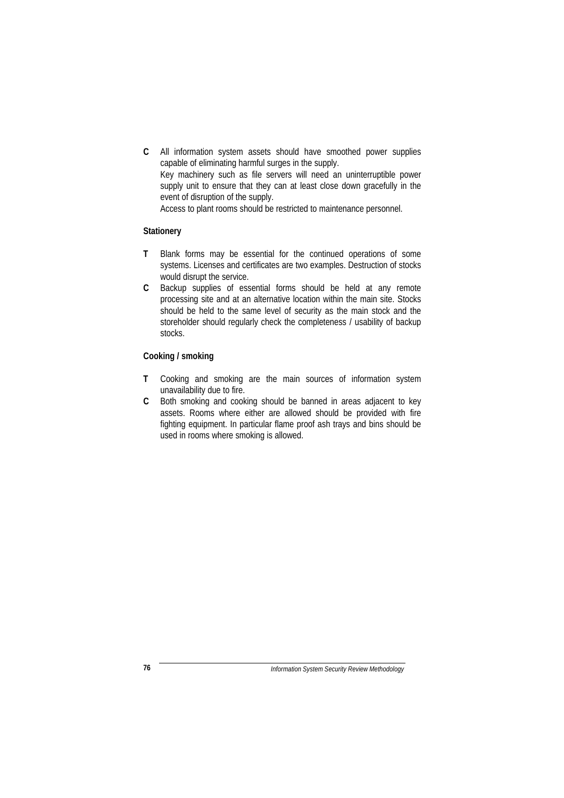**C** All information system assets should have smoothed power supplies capable of eliminating harmful surges in the supply. Key machinery such as file servers will need an uninterruptible power supply unit to ensure that they can at least close down gracefully in the event of disruption of the supply. Access to plant rooms should be restricted to maintenance personnel.

### **Stationery**

- **T** Blank forms may be essential for the continued operations of some systems. Licenses and certificates are two examples. Destruction of stocks would disrupt the service.
- **C** Backup supplies of essential forms should be held at any remote processing site and at an alternative location within the main site. Stocks should be held to the same level of security as the main stock and the storeholder should regularly check the completeness / usability of backup stocks.

#### **Cooking / smoking**

- **T** Cooking and smoking are the main sources of information system unavailability due to fire.
- **C** Both smoking and cooking should be banned in areas adjacent to key assets. Rooms where either are allowed should be provided with fire fighting equipment. In particular flame proof ash trays and bins should be used in rooms where smoking is allowed.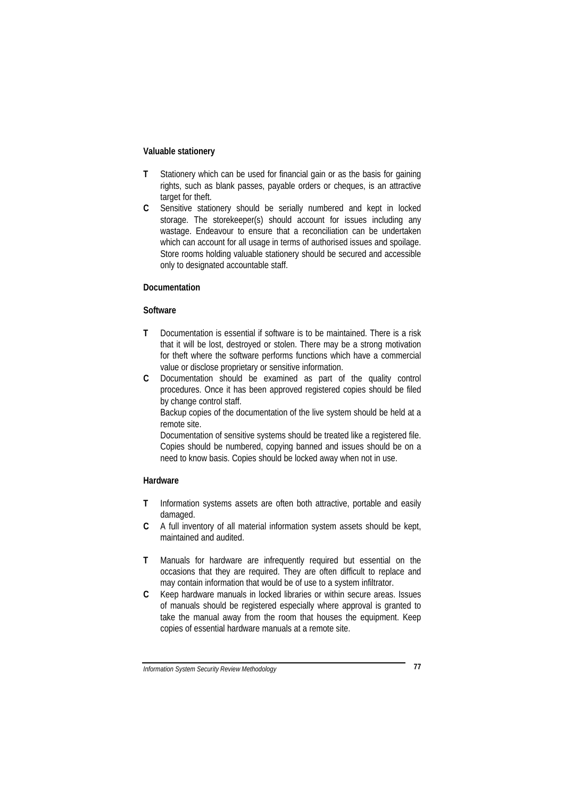#### **Valuable stationery**

- **T** Stationery which can be used for financial gain or as the basis for gaining rights, such as blank passes, payable orders or cheques, is an attractive target for theft.
- **C** Sensitive stationery should be serially numbered and kept in locked storage. The storekeeper(s) should account for issues including any wastage. Endeavour to ensure that a reconciliation can be undertaken which can account for all usage in terms of authorised issues and spoilage. Store rooms holding valuable stationery should be secured and accessible only to designated accountable staff.

## **Documentation**

## **Software**

- **T** Documentation is essential if software is to be maintained. There is a risk that it will be lost, destroyed or stolen. There may be a strong motivation for theft where the software performs functions which have a commercial value or disclose proprietary or sensitive information.
- **C** Documentation should be examined as part of the quality control procedures. Once it has been approved registered copies should be filed by change control staff.

Backup copies of the documentation of the live system should be held at a remote site.

Documentation of sensitive systems should be treated like a registered file. Copies should be numbered, copying banned and issues should be on a need to know basis. Copies should be locked away when not in use.

#### **Hardware**

- **T** Information systems assets are often both attractive, portable and easily damaged.
- **C** A full inventory of all material information system assets should be kept, maintained and audited.
- **T** Manuals for hardware are infrequently required but essential on the occasions that they are required. They are often difficult to replace and may contain information that would be of use to a system infiltrator.
- **C** Keep hardware manuals in locked libraries or within secure areas. Issues of manuals should be registered especially where approval is granted to take the manual away from the room that houses the equipment. Keep copies of essential hardware manuals at a remote site.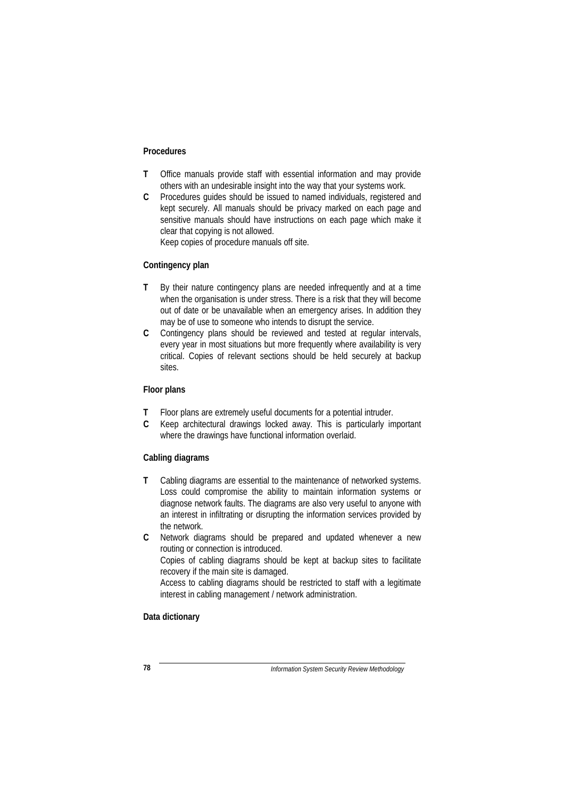#### **Procedures**

- **T** Office manuals provide staff with essential information and may provide others with an undesirable insight into the way that your systems work.
- **C** Procedures guides should be issued to named individuals, registered and kept securely. All manuals should be privacy marked on each page and sensitive manuals should have instructions on each page which make it clear that copying is not allowed.

Keep copies of procedure manuals off site.

## **Contingency plan**

- **T** By their nature contingency plans are needed infrequently and at a time when the organisation is under stress. There is a risk that they will become out of date or be unavailable when an emergency arises. In addition they may be of use to someone who intends to disrupt the service.
- **C** Contingency plans should be reviewed and tested at regular intervals, every year in most situations but more frequently where availability is very critical. Copies of relevant sections should be held securely at backup sites.

## **Floor plans**

- **T** Floor plans are extremely useful documents for a potential intruder.
- **C** Keep architectural drawings locked away. This is particularly important where the drawings have functional information overlaid.

### **Cabling diagrams**

- **T** Cabling diagrams are essential to the maintenance of networked systems. Loss could compromise the ability to maintain information systems or diagnose network faults. The diagrams are also very useful to anyone with an interest in infiltrating or disrupting the information services provided by the network.
- **C** Network diagrams should be prepared and updated whenever a new routing or connection is introduced. Copies of cabling diagrams should be kept at backup sites to facilitate recovery if the main site is damaged.

Access to cabling diagrams should be restricted to staff with a legitimate interest in cabling management / network administration.

## **Data dictionary**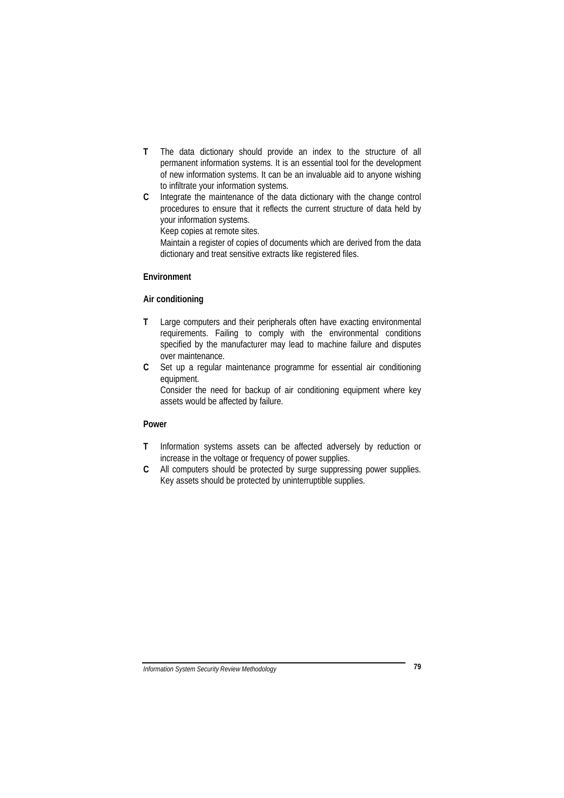- **T** The data dictionary should provide an index to the structure of all permanent information systems. It is an essential tool for the development of new information systems. It can be an invaluable aid to anyone wishing to infiltrate your information systems.
- **C** Integrate the maintenance of the data dictionary with the change control procedures to ensure that it reflects the current structure of data held by your information systems.

Keep copies at remote sites.

Maintain a register of copies of documents which are derived from the data dictionary and treat sensitive extracts like registered files.

## **Environment**

## **Air conditioning**

- **T** Large computers and their peripherals often have exacting environmental requirements. Failing to comply with the environmental conditions specified by the manufacturer may lead to machine failure and disputes over maintenance.
- **C** Set up a regular maintenance programme for essential air conditioning equipment.

Consider the need for backup of air conditioning equipment where key assets would be affected by failure.

## **Power**

- **T** Information systems assets can be affected adversely by reduction or increase in the voltage or frequency of power supplies.
- **C** All computers should be protected by surge suppressing power supplies. Key assets should be protected by uninterruptible supplies.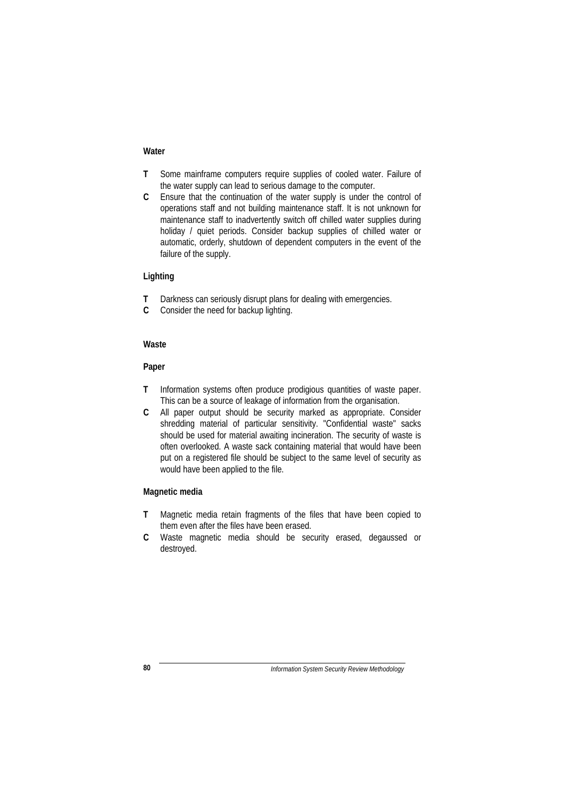#### **Water**

- **T** Some mainframe computers require supplies of cooled water. Failure of the water supply can lead to serious damage to the computer.
- **C** Ensure that the continuation of the water supply is under the control of operations staff and not building maintenance staff. It is not unknown for maintenance staff to inadvertently switch off chilled water supplies during holiday / quiet periods. Consider backup supplies of chilled water or automatic, orderly, shutdown of dependent computers in the event of the failure of the supply.

#### **Lighting**

- **T** Darkness can seriously disrupt plans for dealing with emergencies.
- **C** Consider the need for backup lighting.

#### **Waste**

#### **Paper**

- **T** Information systems often produce prodigious quantities of waste paper. This can be a source of leakage of information from the organisation.
- **C** All paper output should be security marked as appropriate. Consider shredding material of particular sensitivity. "Confidential waste" sacks should be used for material awaiting incineration. The security of waste is often overlooked. A waste sack containing material that would have been put on a registered file should be subject to the same level of security as would have been applied to the file.

#### **Magnetic media**

- **T** Magnetic media retain fragments of the files that have been copied to them even after the files have been erased.
- **C** Waste magnetic media should be security erased, degaussed or destroyed.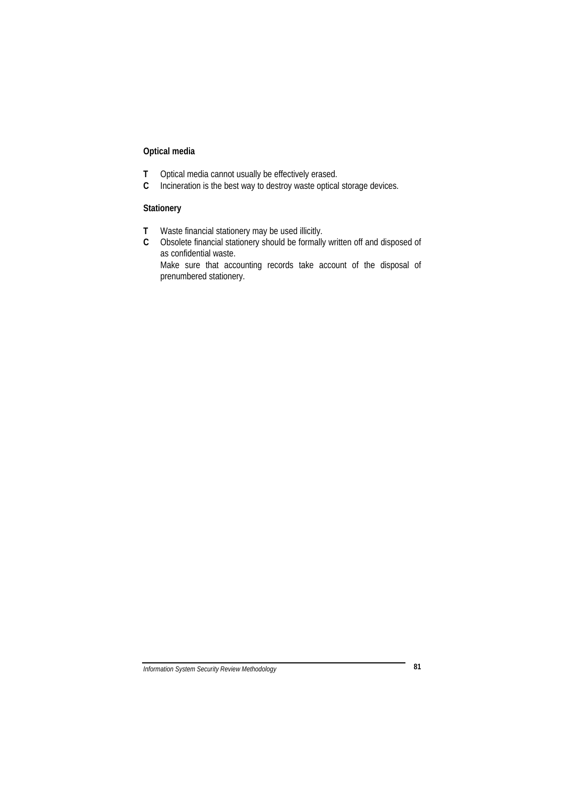## **Optical media**

- **T** Optical media cannot usually be effectively erased.
- **C** Incineration is the best way to destroy waste optical storage devices.

## **Stationery**

- **T** Waste financial stationery may be used illicitly.
- **C** Obsolete financial stationery should be formally written off and disposed of as confidential waste.

Make sure that accounting records take account of the disposal of prenumbered stationery.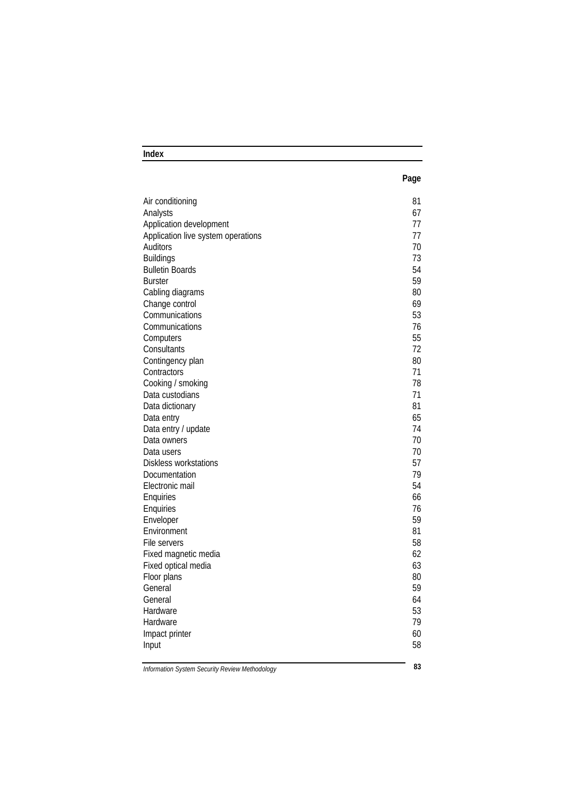## **Index**

| ×<br>e e<br>I<br>×<br>۰. |
|--------------------------|
|--------------------------|

| Air conditioning                   | 81 |
|------------------------------------|----|
| Analysts                           | 67 |
| Application development            | 77 |
| Application live system operations | 77 |
| Auditors                           | 70 |
| <b>Buildings</b>                   | 73 |
| <b>Bulletin Boards</b>             | 54 |
| <b>Burster</b>                     | 59 |
| Cabling diagrams                   | 80 |
| Change control                     | 69 |
| Communications                     | 53 |
| Communications                     | 76 |
| Computers                          | 55 |
| Consultants                        | 72 |
| Contingency plan                   | 80 |
| Contractors                        | 71 |
| Cooking / smoking                  | 78 |
| Data custodians                    | 71 |
| Data dictionary                    | 81 |
| Data entry                         | 65 |
| Data entry / update                | 74 |
| Data owners                        | 70 |
| Data users                         | 70 |
| Diskless workstations              | 57 |
| Documentation                      | 79 |
| Electronic mail                    | 54 |
| Enquiries                          | 66 |
| Enquiries                          | 76 |
| Enveloper                          | 59 |
| Environment                        | 81 |
| File servers                       | 58 |
| Fixed magnetic media               | 62 |
| Fixed optical media                | 63 |
| Floor plans                        | 80 |
| General                            | 59 |
| General                            | 64 |
| Hardware                           | 53 |
| Hardware                           | 79 |
| Impact printer                     | 60 |
| Input                              | 58 |
|                                    |    |

*Information System Security Review Methodology* **83**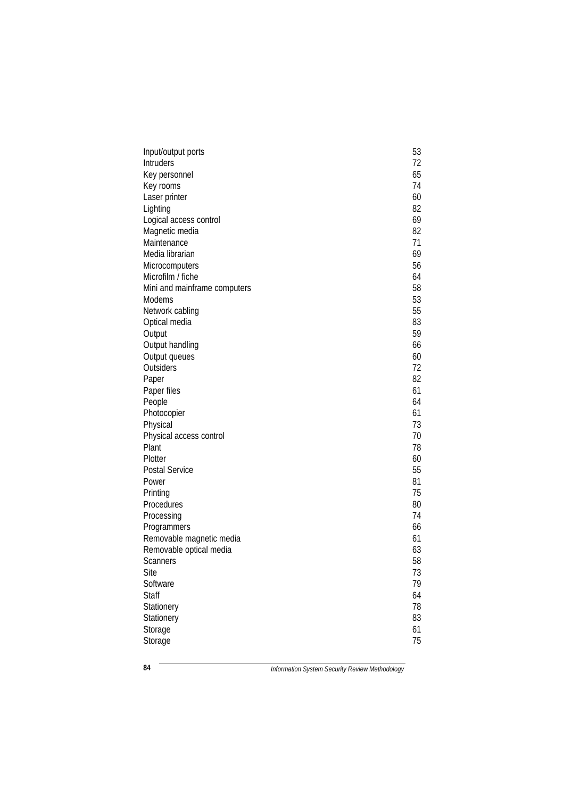|                                 | 53 |
|---------------------------------|----|
| Input/output ports<br>Intruders | 72 |
| Key personnel                   | 65 |
|                                 | 74 |
| Key rooms<br>Laser printer      | 60 |
|                                 | 82 |
| Lighting                        | 69 |
| Logical access control          |    |
| Magnetic media                  | 82 |
| Maintenance                     | 71 |
| Media librarian                 | 69 |
| Microcomputers                  | 56 |
| Microfilm / fiche               | 64 |
| Mini and mainframe computers    | 58 |
| <b>Modems</b>                   | 53 |
| Network cabling                 | 55 |
| Optical media                   | 83 |
| Output                          | 59 |
| Output handling                 | 66 |
| Output queues                   | 60 |
| Outsiders                       | 72 |
| Paper                           | 82 |
| Paper files                     | 61 |
| People                          | 64 |
| Photocopier                     | 61 |
| Physical                        | 73 |
| Physical access control         | 70 |
| Plant                           | 78 |
| Plotter                         | 60 |
| Postal Service                  | 55 |
| Power                           | 81 |
| Printing                        | 75 |
| Procedures                      | 80 |
| Processing                      | 74 |
| Programmers                     | 66 |
| Removable magnetic media        | 61 |
| Removable optical media         | 63 |
| <b>Scanners</b>                 | 58 |
| Site                            | 73 |
| Software                        | 79 |
| <b>Staff</b>                    | 64 |
| Stationery                      | 78 |
| Stationery                      | 83 |
| Storage                         | 61 |
| Storage                         | 75 |
|                                 |    |

**84** *Information System Security Review Methodology*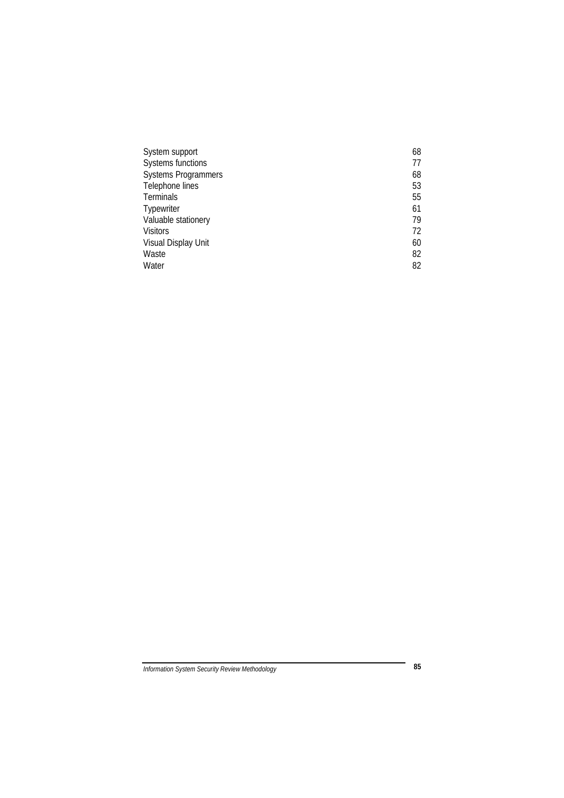| System support             | 68 |
|----------------------------|----|
| Systems functions          | 77 |
| <b>Systems Programmers</b> | 68 |
| Telephone lines            | 53 |
| Terminals                  | 55 |
| Typewriter                 | 61 |
| Valuable stationery        | 79 |
| <b>Visitors</b>            | 72 |
| Visual Display Unit        | 60 |
| Waste                      | 82 |
| Water                      | 82 |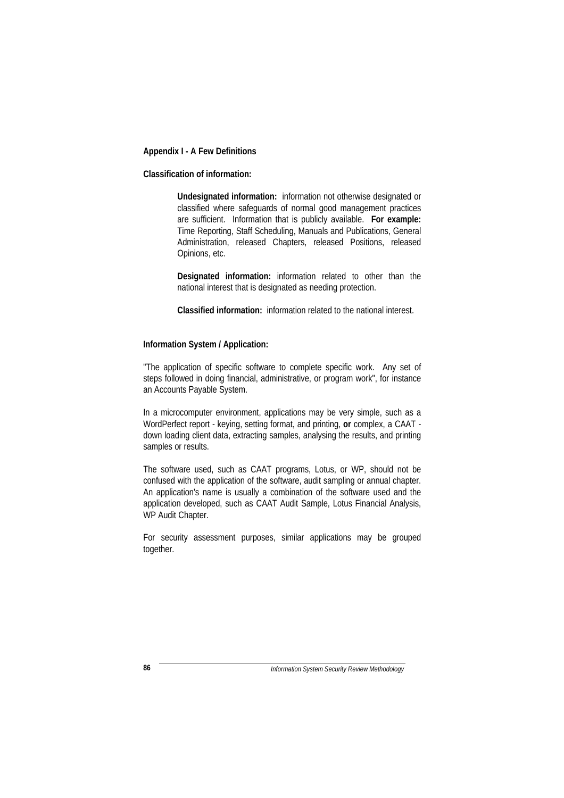#### **Appendix I - A Few Definitions**

## **Classification of information:**

**Undesignated information:** information not otherwise designated or classified where safeguards of normal good management practices are sufficient. Information that is publicly available. **For example:** Time Reporting, Staff Scheduling, Manuals and Publications, General Administration, released Chapters, released Positions, released Opinions, etc.

**Designated information:** information related to other than the national interest that is designated as needing protection.

**Classified information:** information related to the national interest.

#### **Information System / Application:**

"The application of specific software to complete specific work. Any set of steps followed in doing financial, administrative, or program work", for instance an Accounts Payable System.

In a microcomputer environment, applications may be very simple, such as a WordPerfect report - keying, setting format, and printing, **or** complex, a CAAT down loading client data, extracting samples, analysing the results, and printing samples or results.

The software used, such as CAAT programs, Lotus, or WP, should not be confused with the application of the software, audit sampling or annual chapter. An application's name is usually a combination of the software used and the application developed, such as CAAT Audit Sample, Lotus Financial Analysis, WP Audit Chapter.

For security assessment purposes, similar applications may be grouped together.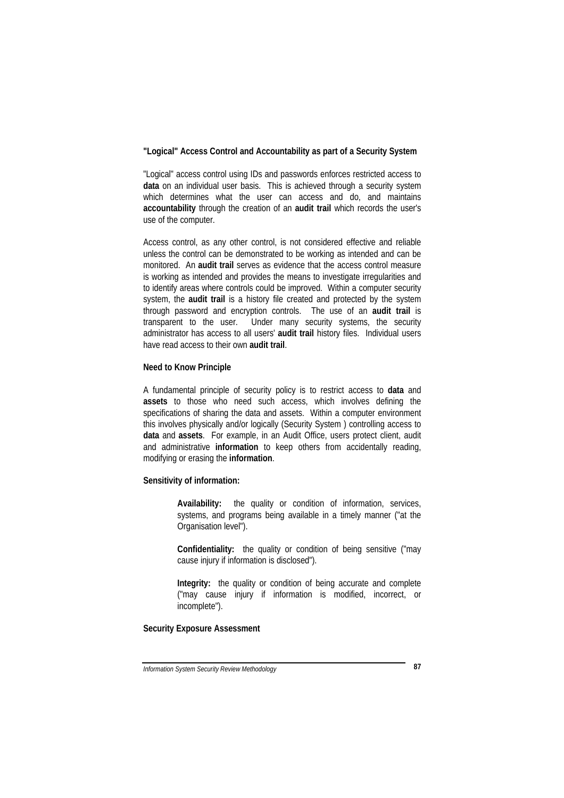### **"Logical" Access Control and Accountability as part of a Security System**

"Logical" access control using IDs and passwords enforces restricted access to **data** on an individual user basis. This is achieved through a security system which determines what the user can access and do, and maintains **accountability** through the creation of an **audit trail** which records the user's use of the computer.

Access control, as any other control, is not considered effective and reliable unless the control can be demonstrated to be working as intended and can be monitored. An **audit trail** serves as evidence that the access control measure is working as intended and provides the means to investigate irregularities and to identify areas where controls could be improved. Within a computer security system, the **audit trail** is a history file created and protected by the system through password and encryption controls. The use of an **audit trail** is transparent to the user. Under many security systems, the security administrator has access to all users' **audit trail** history files. Individual users have read access to their own **audit trail**.

### **Need to Know Principle**

A fundamental principle of security policy is to restrict access to **data** and **assets** to those who need such access, which involves defining the specifications of sharing the data and assets. Within a computer environment this involves physically and/or logically (Security System ) controlling access to **data** and **assets**. For example, in an Audit Office, users protect client, audit and administrative **information** to keep others from accidentally reading, modifying or erasing the **information**.

### **Sensitivity of information:**

**Availability:** the quality or condition of information, services, systems, and programs being available in a timely manner ("at the Organisation level").

**Confidentiality:** the quality or condition of being sensitive ("may cause injury if information is disclosed").

**Integrity:** the quality or condition of being accurate and complete ("may cause injury if information is modified, incorrect, or incomplete").

## **Security Exposure Assessment**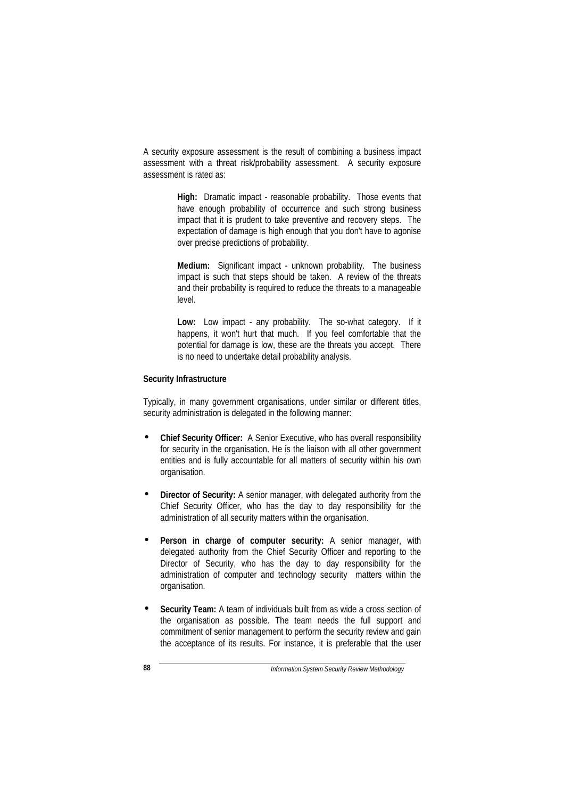A security exposure assessment is the result of combining a business impact assessment with a threat risk/probability assessment. A security exposure assessment is rated as:

> **High:** Dramatic impact - reasonable probability. Those events that have enough probability of occurrence and such strong business impact that it is prudent to take preventive and recovery steps. The expectation of damage is high enough that you don't have to agonise over precise predictions of probability.

> **Medium:** Significant impact - unknown probability. The business impact is such that steps should be taken. A review of the threats and their probability is required to reduce the threats to a manageable level.

> **Low:** Low impact - any probability. The so-what category. If it happens, it won't hurt that much. If you feel comfortable that the potential for damage is low, these are the threats you accept. There is no need to undertake detail probability analysis.

### **Security Infrastructure**

Typically, in many government organisations, under similar or different titles, security administration is delegated in the following manner:

- **Chief Security Officer:** A Senior Executive, who has overall responsibility for security in the organisation. He is the liaison with all other government entities and is fully accountable for all matters of security within his own organisation.
- **Director of Security:** A senior manager, with delegated authority from the Chief Security Officer, who has the day to day responsibility for the administration of all security matters within the organisation.
- **Person in charge of computer security:** A senior manager, with delegated authority from the Chief Security Officer and reporting to the Director of Security, who has the day to day responsibility for the administration of computer and technology security matters within the organisation.
- **Security Team:** A team of individuals built from as wide a cross section of the organisation as possible. The team needs the full support and commitment of senior management to perform the security review and gain the acceptance of its results. For instance, it is preferable that the user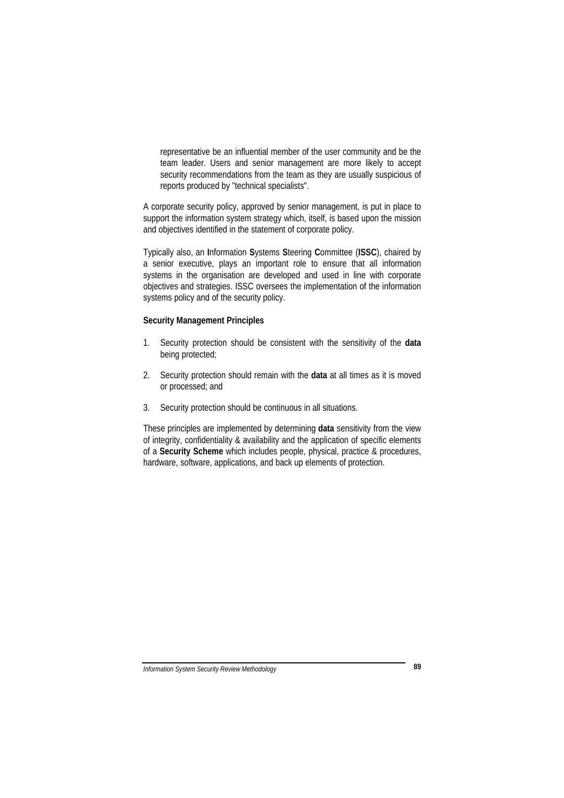representative be an influential member of the user community and be the team leader. Users and senior management are more likely to accept security recommendations from the team as they are usually suspicious of reports produced by "technical specialists".

A corporate security policy, approved by senior management, is put in place to support the information system strategy which, itself, is based upon the mission and objectives identified in the statement of corporate policy.

Typically also, an **I**nformation **S**ystems **S**teering **C**ommittee (**ISSC**), chaired by a senior executive, plays an important role to ensure that all information systems in the organisation are developed and used in line with corporate objectives and strategies. ISSC oversees the implementation of the information systems policy and of the security policy.

### **Security Management Principles**

- 1. Security protection should be consistent with the sensitivity of the **data** being protected:
- 2. Security protection should remain with the **data** at all times as it is moved or processed; and
- 3. Security protection should be continuous in all situations.

These principles are implemented by determining **data** sensitivity from the view of integrity, confidentiality & availability and the application of specific elements of a **Security Scheme** which includes people, physical, practice & procedures, hardware, software, applications, and back up elements of protection.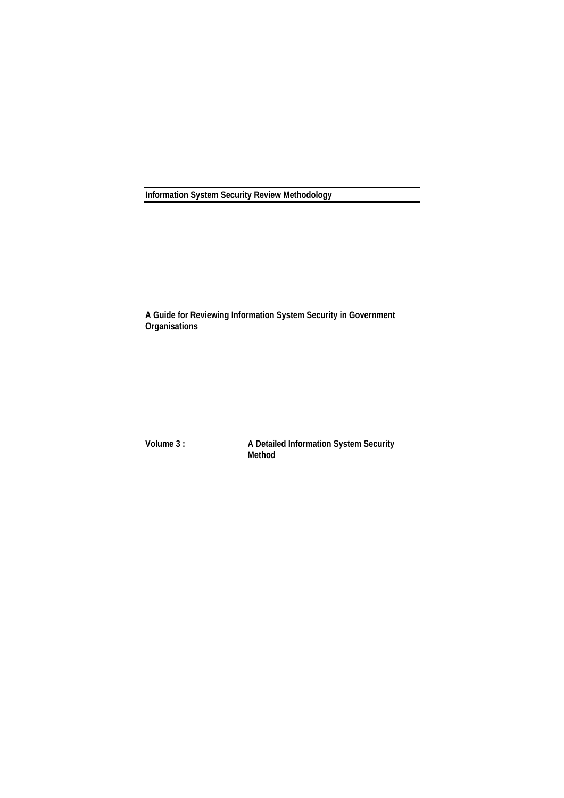**Information System Security Review Methodology**

**A Guide for Reviewing Information System Security in Government Organisations**

**Volume 3 : A Detailed Information System Security Method**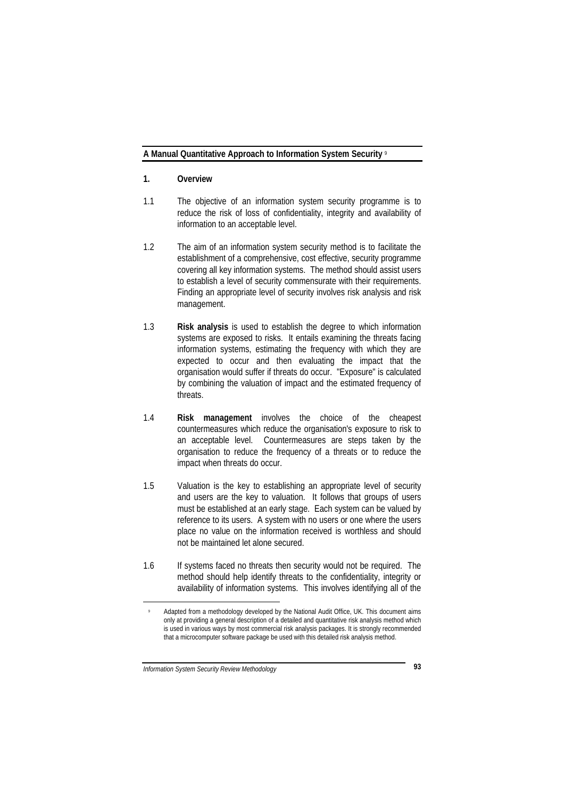### **A Manual Quantitative Approach to Information System Security** <sup>9</sup>

### **1. Overview**

- 1.1 The objective of an information system security programme is to reduce the risk of loss of confidentiality, integrity and availability of information to an acceptable level.
- 1.2 The aim of an information system security method is to facilitate the establishment of a comprehensive, cost effective, security programme covering all key information systems. The method should assist users to establish a level of security commensurate with their requirements. Finding an appropriate level of security involves risk analysis and risk management.
- 1.3 **Risk analysis** is used to establish the degree to which information systems are exposed to risks. It entails examining the threats facing information systems, estimating the frequency with which they are expected to occur and then evaluating the impact that the organisation would suffer if threats do occur. "Exposure" is calculated by combining the valuation of impact and the estimated frequency of threats.
- 1.4 **Risk management** involves the choice of the cheapest countermeasures which reduce the organisation's exposure to risk to an acceptable level. Countermeasures are steps taken by the organisation to reduce the frequency of a threats or to reduce the impact when threats do occur.
- 1.5 Valuation is the key to establishing an appropriate level of security and users are the key to valuation. It follows that groups of users must be established at an early stage. Each system can be valued by reference to its users. A system with no users or one where the users place no value on the information received is worthless and should not be maintained let alone secured.
- 1.6 If systems faced no threats then security would not be required. The method should help identify threats to the confidentiality, integrity or availability of information systems. This involves identifying all of the

 $\overline{a}$ 

Adapted from a methodology developed by the National Audit Office, UK. This document aims only at providing a general description of a detailed and quantitative risk analysis method which is used in various ways by most commercial risk analysis packages. It is strongly recommended that a microcomputer software package be used with this detailed risk analysis method.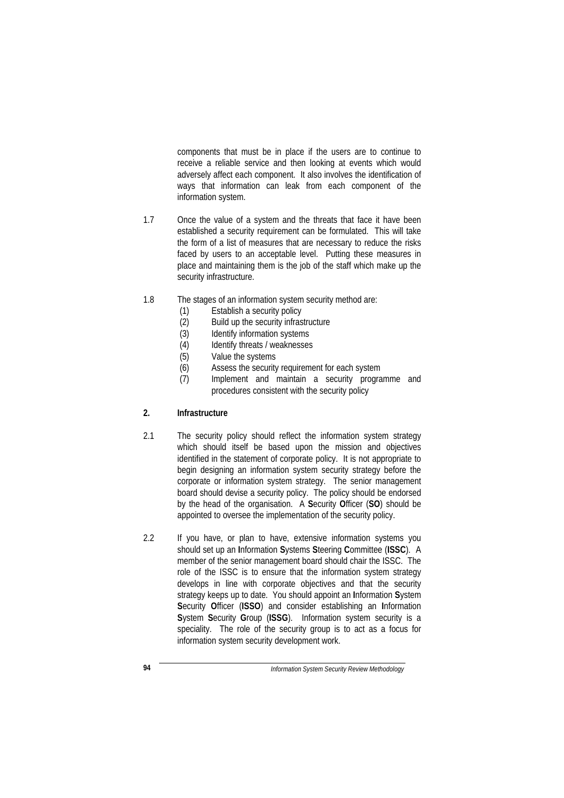components that must be in place if the users are to continue to receive a reliable service and then looking at events which would adversely affect each component. It also involves the identification of ways that information can leak from each component of the information system.

- 1.7 Once the value of a system and the threats that face it have been established a security requirement can be formulated. This will take the form of a list of measures that are necessary to reduce the risks faced by users to an acceptable level. Putting these measures in place and maintaining them is the job of the staff which make up the security infrastructure.
- 1.8 The stages of an information system security method are:
	- (1) Establish a security policy
	- (2) Build up the security infrastructure
	- (3) Identify information systems
	- (4) Identify threats / weaknesses
	- (5) Value the systems
	- (6) Assess the security requirement for each system
	- (7) Implement and maintain a security programme and procedures consistent with the security policy

# **2. Infrastructure**

- 2.1 The security policy should reflect the information system strategy which should itself be based upon the mission and objectives identified in the statement of corporate policy. It is not appropriate to begin designing an information system security strategy before the corporate or information system strategy. The senior management board should devise a security policy. The policy should be endorsed by the head of the organisation. A **S**ecurity **O**fficer (**SO**) should be appointed to oversee the implementation of the security policy.
- 2.2 If you have, or plan to have, extensive information systems you should set up an **I**nformation **S**ystems **S**teering **C**ommittee (**ISSC**). A member of the senior management board should chair the ISSC. The role of the ISSC is to ensure that the information system strategy develops in line with corporate objectives and that the security strategy keeps up to date. You should appoint an **I**nformation **S**ystem **S**ecurity **O**fficer (**ISSO**) and consider establishing an **I**nformation **S**ystem **S**ecurity **G**roup (**ISSG**). Information system security is a speciality. The role of the security group is to act as a focus for information system security development work.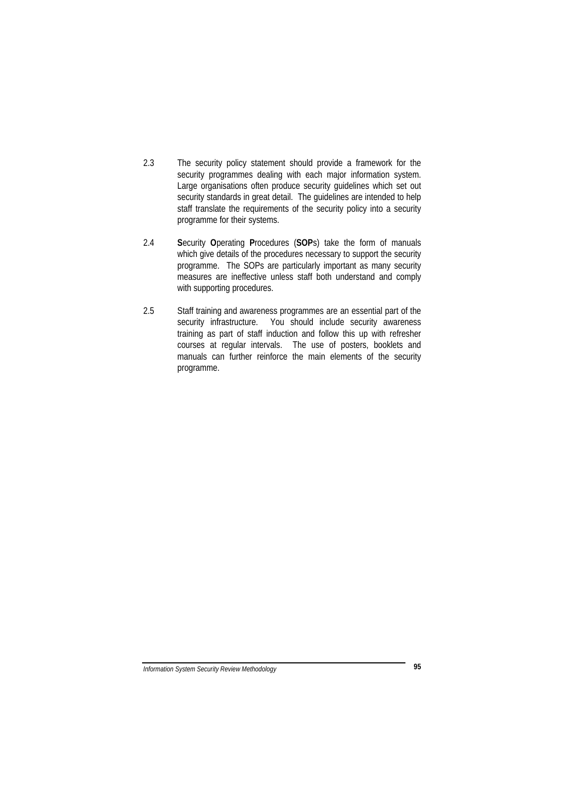- 2.3 The security policy statement should provide a framework for the security programmes dealing with each major information system. Large organisations often produce security guidelines which set out security standards in great detail. The guidelines are intended to help staff translate the requirements of the security policy into a security programme for their systems.
- 2.4 **S**ecurity **O**perating **P**rocedures (**SOP**s) take the form of manuals which give details of the procedures necessary to support the security programme. The SOPs are particularly important as many security measures are ineffective unless staff both understand and comply with supporting procedures.
- 2.5 Staff training and awareness programmes are an essential part of the security infrastructure. You should include security awareness training as part of staff induction and follow this up with refresher courses at regular intervals. The use of posters, booklets and manuals can further reinforce the main elements of the security programme.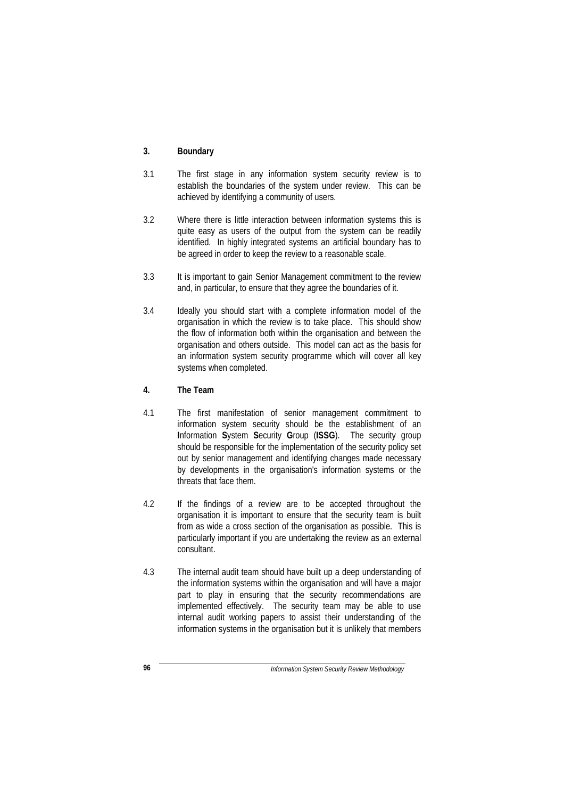## **3. Boundary**

- 3.1 The first stage in any information system security review is to establish the boundaries of the system under review. This can be achieved by identifying a community of users.
- 3.2 Where there is little interaction between information systems this is quite easy as users of the output from the system can be readily identified. In highly integrated systems an artificial boundary has to be agreed in order to keep the review to a reasonable scale.
- 3.3 It is important to gain Senior Management commitment to the review and, in particular, to ensure that they agree the boundaries of it.
- 3.4 Ideally you should start with a complete information model of the organisation in which the review is to take place. This should show the flow of information both within the organisation and between the organisation and others outside. This model can act as the basis for an information system security programme which will cover all key systems when completed.

# **4. The Team**

- 4.1 The first manifestation of senior management commitment to information system security should be the establishment of an **I**nformation **S**ystem **S**ecurity **G**roup (**ISSG**). The security group should be responsible for the implementation of the security policy set out by senior management and identifying changes made necessary by developments in the organisation's information systems or the threats that face them.
- 4.2 If the findings of a review are to be accepted throughout the organisation it is important to ensure that the security team is built from as wide a cross section of the organisation as possible. This is particularly important if you are undertaking the review as an external consultant.
- 4.3 The internal audit team should have built up a deep understanding of the information systems within the organisation and will have a major part to play in ensuring that the security recommendations are implemented effectively. The security team may be able to use internal audit working papers to assist their understanding of the information systems in the organisation but it is unlikely that members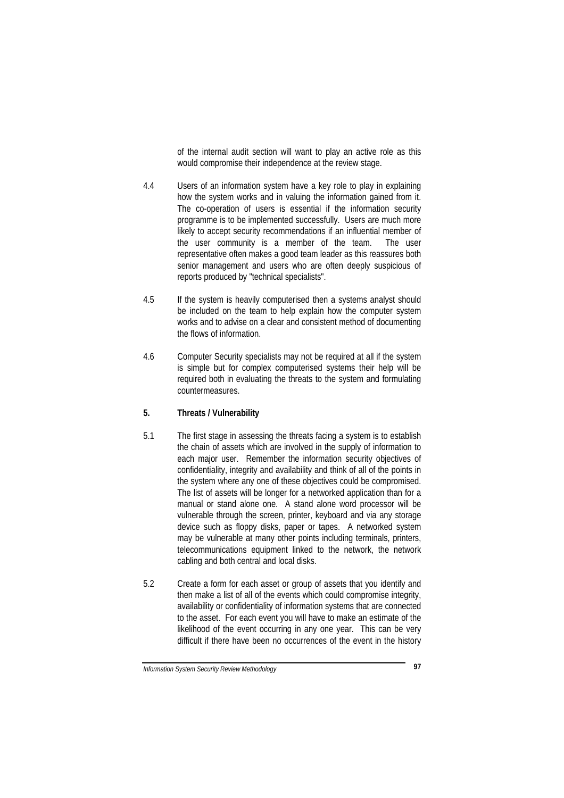of the internal audit section will want to play an active role as this would compromise their independence at the review stage.

- 4.4 Users of an information system have a key role to play in explaining how the system works and in valuing the information gained from it. The co-operation of users is essential if the information security programme is to be implemented successfully. Users are much more likely to accept security recommendations if an influential member of the user community is a member of the team. The user representative often makes a good team leader as this reassures both senior management and users who are often deeply suspicious of reports produced by "technical specialists".
- 4.5 If the system is heavily computerised then a systems analyst should be included on the team to help explain how the computer system works and to advise on a clear and consistent method of documenting the flows of information.
- 4.6 Computer Security specialists may not be required at all if the system is simple but for complex computerised systems their help will be required both in evaluating the threats to the system and formulating countermeasures.

# **5. Threats / Vulnerability**

- 5.1 The first stage in assessing the threats facing a system is to establish the chain of assets which are involved in the supply of information to each major user. Remember the information security objectives of confidentiality, integrity and availability and think of all of the points in the system where any one of these objectives could be compromised. The list of assets will be longer for a networked application than for a manual or stand alone one. A stand alone word processor will be vulnerable through the screen, printer, keyboard and via any storage device such as floppy disks, paper or tapes. A networked system may be vulnerable at many other points including terminals, printers, telecommunications equipment linked to the network, the network cabling and both central and local disks.
- 5.2 Create a form for each asset or group of assets that you identify and then make a list of all of the events which could compromise integrity, availability or confidentiality of information systems that are connected to the asset. For each event you will have to make an estimate of the likelihood of the event occurring in any one year. This can be very difficult if there have been no occurrences of the event in the history

*Information System Security Review Methodology* **97**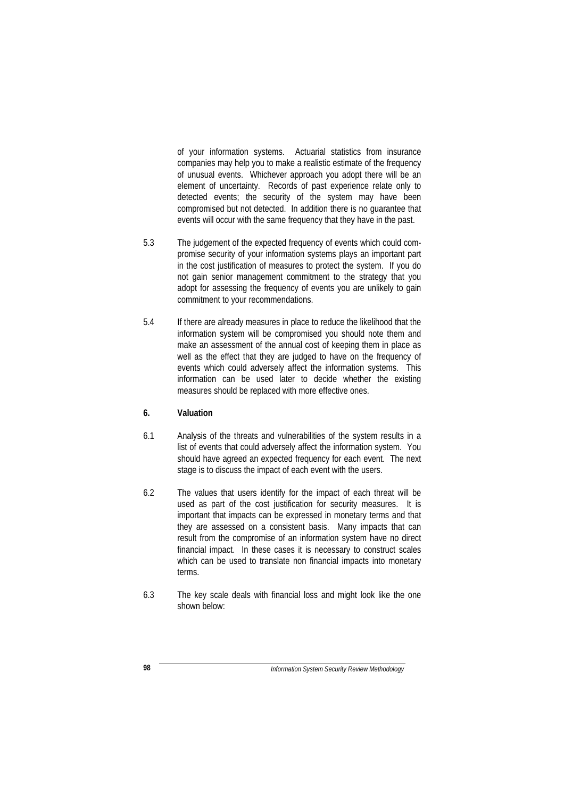of your information systems. Actuarial statistics from insurance companies may help you to make a realistic estimate of the frequency of unusual events. Whichever approach you adopt there will be an element of uncertainty. Records of past experience relate only to detected events; the security of the system may have been compromised but not detected. In addition there is no guarantee that events will occur with the same frequency that they have in the past.

- 5.3 The judgement of the expected frequency of events which could compromise security of your information systems plays an important part in the cost justification of measures to protect the system. If you do not gain senior management commitment to the strategy that you adopt for assessing the frequency of events you are unlikely to gain commitment to your recommendations.
- 5.4 If there are already measures in place to reduce the likelihood that the information system will be compromised you should note them and make an assessment of the annual cost of keeping them in place as well as the effect that they are judged to have on the frequency of events which could adversely affect the information systems. This information can be used later to decide whether the existing measures should be replaced with more effective ones.

# **6. Valuation**

- 6.1 Analysis of the threats and vulnerabilities of the system results in a list of events that could adversely affect the information system. You should have agreed an expected frequency for each event. The next stage is to discuss the impact of each event with the users.
- 6.2 The values that users identify for the impact of each threat will be used as part of the cost justification for security measures. It is important that impacts can be expressed in monetary terms and that they are assessed on a consistent basis. Many impacts that can result from the compromise of an information system have no direct financial impact. In these cases it is necessary to construct scales which can be used to translate non financial impacts into monetary terms.
- 6.3 The key scale deals with financial loss and might look like the one shown below: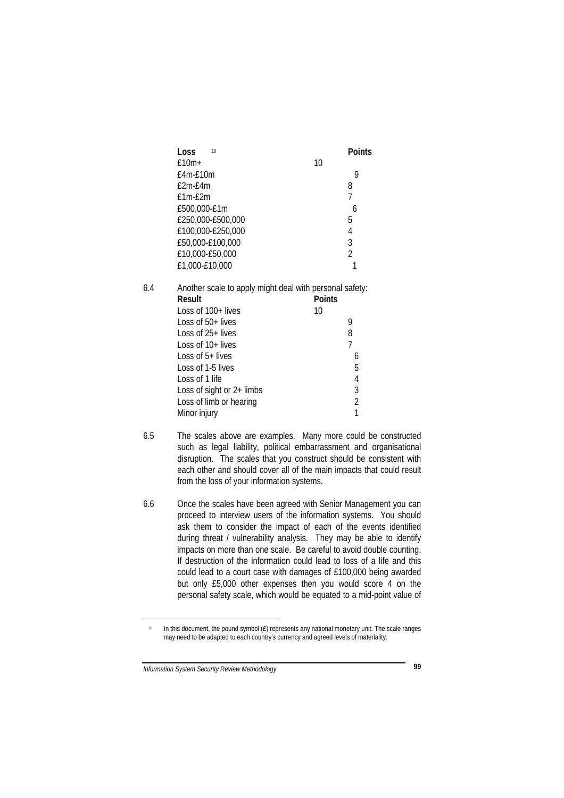|     | Loss<br>10                                              |                | <b>Points</b>  |  |
|-----|---------------------------------------------------------|----------------|----------------|--|
|     | $£10m+$                                                 | 10             |                |  |
|     | $f4m-f10m$                                              |                | 9              |  |
|     | $f2m-f4m$                                               | 8              |                |  |
|     | £1m-£2m                                                 | $\overline{1}$ |                |  |
|     | £500,000-£1m                                            |                | 6              |  |
|     | £250,000-£500,000                                       | 5              |                |  |
|     | £100,000-£250,000                                       | 4              |                |  |
|     | £50,000-£100,000                                        | 3              |                |  |
|     | £10,000-£50,000                                         | $\overline{2}$ |                |  |
|     | £1,000-£10,000                                          |                | 1              |  |
| 6.4 | Another scale to apply might deal with personal safety: |                |                |  |
|     | Result                                                  | <b>Points</b>  |                |  |
|     | Loss of $100+$ lives                                    | 10             |                |  |
|     | Loss of $50+$ lives                                     | 9              |                |  |
|     | Loss of 25+ lives                                       | 8              |                |  |
|     | Loss of 10+ lives                                       | $\overline{7}$ |                |  |
|     | Loss of 5+ lives                                        |                | 6              |  |
|     | Loss of 1-5 lives                                       |                | 5              |  |
|     | Loss of 1 life                                          |                | 4              |  |
|     | Loss of sight or $2+$ limbs                             |                | 3              |  |
|     | Loss of limb or hearing                                 |                | $\overline{2}$ |  |
|     | Minor injury                                            |                | 1              |  |

- 6.5 The scales above are examples. Many more could be constructed such as legal liability, political embarrassment and organisational disruption. The scales that you construct should be consistent with each other and should cover all of the main impacts that could result from the loss of your information systems.
- 6.6 Once the scales have been agreed with Senior Management you can proceed to interview users of the information systems. You should ask them to consider the impact of each of the events identified during threat / vulnerability analysis. They may be able to identify impacts on more than one scale. Be careful to avoid double counting. If destruction of the information could lead to loss of a life and this could lead to a court case with damages of £100,000 being awarded but only £5,000 other expenses then you would score 4 on the personal safety scale, which would be equated to a mid-point value of

 $\overline{a}$ 

In this document, the pound symbol (£) represents any national monetary unit. The scale ranges may need to be adapted to each country's currency and agreed levels of materiality.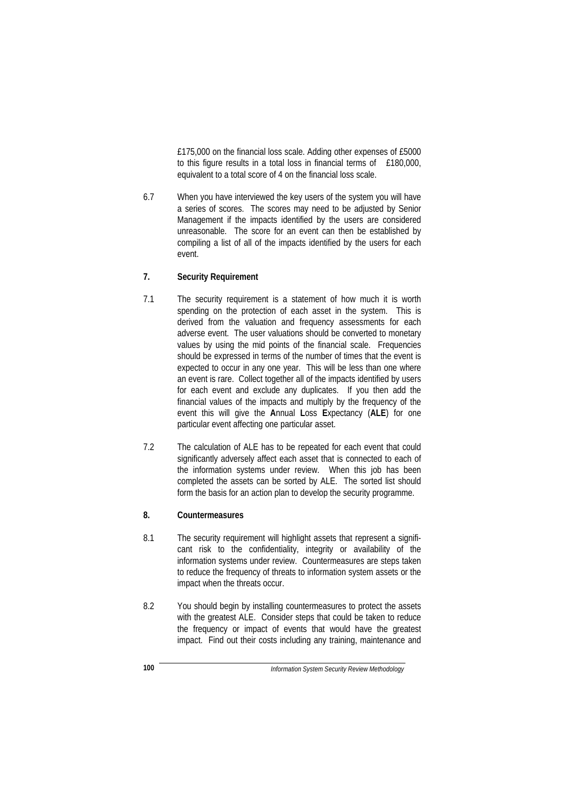£175,000 on the financial loss scale. Adding other expenses of £5000 to this figure results in a total loss in financial terms of £180,000, equivalent to a total score of 4 on the financial loss scale.

6.7 When you have interviewed the key users of the system you will have a series of scores. The scores may need to be adjusted by Senior Management if the impacts identified by the users are considered unreasonable. The score for an event can then be established by compiling a list of all of the impacts identified by the users for each event.

## **7. Security Requirement**

- 7.1 The security requirement is a statement of how much it is worth spending on the protection of each asset in the system. This is derived from the valuation and frequency assessments for each adverse event. The user valuations should be converted to monetary values by using the mid points of the financial scale. Frequencies should be expressed in terms of the number of times that the event is expected to occur in any one year. This will be less than one where an event is rare. Collect together all of the impacts identified by users for each event and exclude any duplicates. If you then add the financial values of the impacts and multiply by the frequency of the event this will give the **A**nnual **L**oss **E**xpectancy (**ALE**) for one particular event affecting one particular asset.
- 7.2 The calculation of ALE has to be repeated for each event that could significantly adversely affect each asset that is connected to each of the information systems under review. When this job has been completed the assets can be sorted by ALE. The sorted list should form the basis for an action plan to develop the security programme.

## **8. Countermeasures**

- 8.1 The security requirement will highlight assets that represent a significant risk to the confidentiality, integrity or availability of the information systems under review. Countermeasures are steps taken to reduce the frequency of threats to information system assets or the impact when the threats occur.
- 8.2 You should begin by installing countermeasures to protect the assets with the greatest ALE. Consider steps that could be taken to reduce the frequency or impact of events that would have the greatest impact. Find out their costs including any training, maintenance and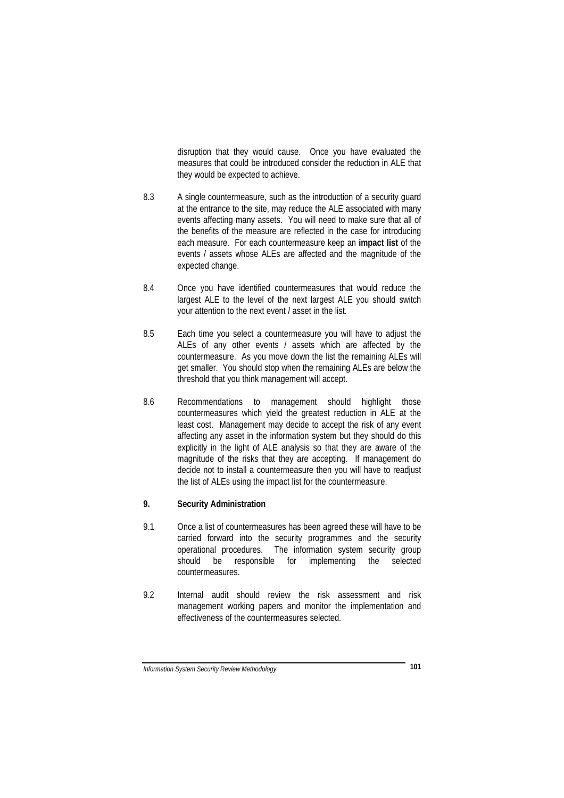disruption that they would cause. Once you have evaluated the measures that could be introduced consider the reduction in ALE that they would be expected to achieve.

- 8.3 A single countermeasure, such as the introduction of a security guard at the entrance to the site, may reduce the ALE associated with many events affecting many assets. You will need to make sure that all of the benefits of the measure are reflected in the case for introducing each measure. For each countermeasure keep an **impact list** of the events / assets whose ALEs are affected and the magnitude of the expected change.
- 8.4 Once you have identified countermeasures that would reduce the largest ALE to the level of the next largest ALE you should switch your attention to the next event / asset in the list.
- 8.5 Each time you select a countermeasure you will have to adjust the ALEs of any other events / assets which are affected by the countermeasure. As you move down the list the remaining ALEs will get smaller. You should stop when the remaining ALEs are below the threshold that you think management will accept.
- 8.6 Recommendations to management should highlight those countermeasures which yield the greatest reduction in ALE at the least cost. Management may decide to accept the risk of any event affecting any asset in the information system but they should do this explicitly in the light of ALE analysis so that they are aware of the magnitude of the risks that they are accepting. If management do decide not to install a countermeasure then you will have to readjust the list of ALEs using the impact list for the countermeasure.

## **9. Security Administration**

- 9.1 Once a list of countermeasures has been agreed these will have to be carried forward into the security programmes and the security operational procedures. The information system security group should be responsible for implementing the selected countermeasures.
- 9.2 Internal audit should review the risk assessment and risk management working papers and monitor the implementation and effectiveness of the countermeasures selected.

*Information System Security Review Methodology* **101**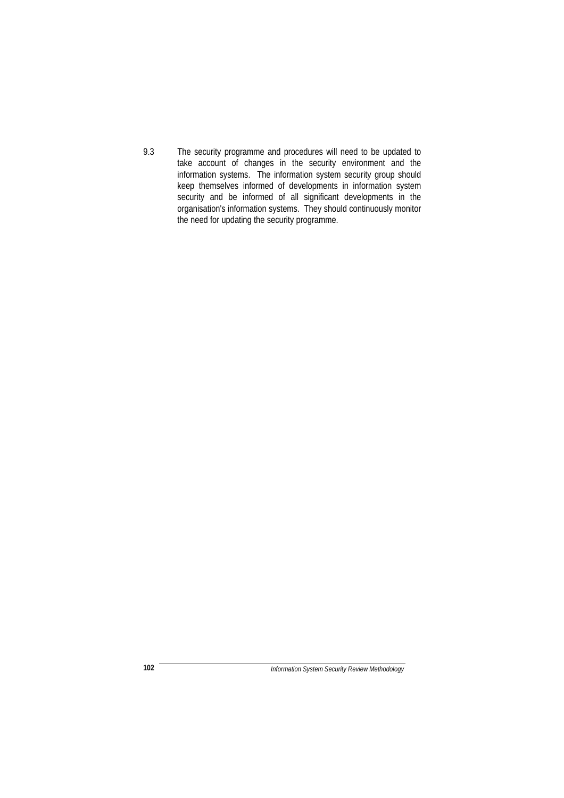9.3 The security programme and procedures will need to be updated to take account of changes in the security environment and the information systems. The information system security group should keep themselves informed of developments in information system security and be informed of all significant developments in the organisation's information systems. They should continuously monitor the need for updating the security programme.